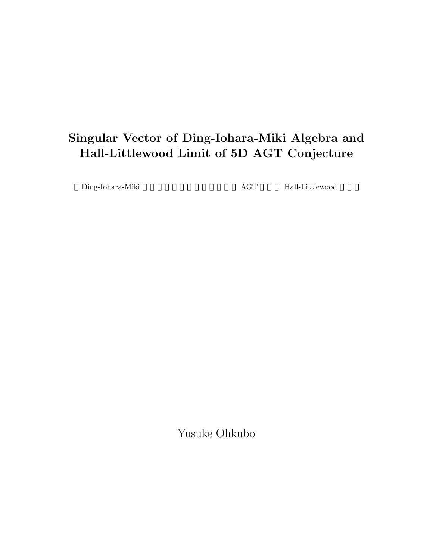# **Singular Vector of Ding-Iohara-Miki Algebra and Hall-Littlewood Limit of 5D AGT Conjecture**

 $\begin{tabular}{ll} \textbf{Ding-Iohara-Miki} & \textbf{AGT} & \textbf{Hall-Littlewood} \end{tabular}$ 

Yusuke Ohkubo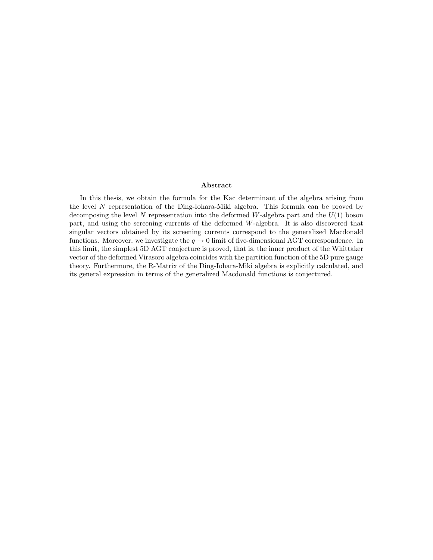#### **Abstract**

In this thesis, we obtain the formula for the Kac determinant of the algebra arising from the level *N* representation of the Ding-Iohara-Miki algebra. This formula can be proved by decomposing the level *N* representation into the deformed *W*-algebra part and the *U*(1) boson part, and using the screening currents of the deformed *W*-algebra. It is also discovered that singular vectors obtained by its screening currents correspond to the generalized Macdonald functions. Moreover, we investigate the  $q \to 0$  limit of five-dimensional AGT correspondence. In this limit, the simplest 5D AGT conjecture is proved, that is, the inner product of the Whittaker vector of the deformed Virasoro algebra coincides with the partition function of the 5D pure gauge theory. Furthermore, the R-Matrix of the Ding-Iohara-Miki algebra is explicitly calculated, and its general expression in terms of the generalized Macdonald functions is conjectured.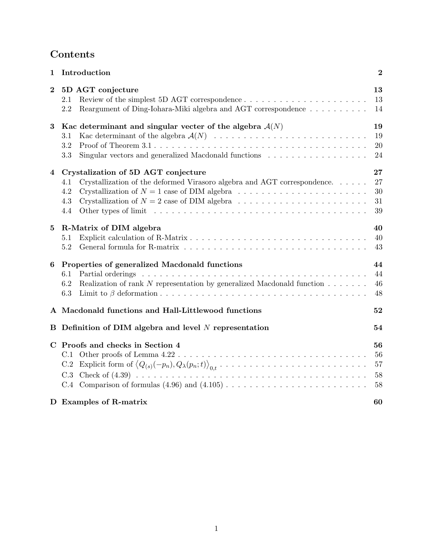# **Contents**

| 1        | Introduction                                                                                                                                                                                                                                   | $\boldsymbol{2}$           |
|----------|------------------------------------------------------------------------------------------------------------------------------------------------------------------------------------------------------------------------------------------------|----------------------------|
| $\bf{2}$ | 5D AGT conjecture<br>2.1<br>Reargument of Ding-Iohara-Miki algebra and AGT correspondence<br>2.2                                                                                                                                               | 13<br>13<br>14             |
| 3        | Kac determinant and singular vecter of the algebra $A(N)$<br>3.1<br>3.2<br>Singular vectors and generalized Macdonald functions<br>3.3                                                                                                         | 19<br>19<br>20<br>24       |
| 4        | Crystalization of 5D AGT conjecture<br>Crystallization of the deformed Virasoro algebra and AGT correspondence<br>4.1<br>4.2<br>Crystallization of $N = 2$ case of DIM algebra $\dots \dots \dots \dots \dots \dots \dots \dots$<br>4.3<br>4.4 | 27<br>27<br>30<br>31<br>39 |
| 5        | R-Matrix of DIM algebra<br>5.1<br>5.2                                                                                                                                                                                                          | 40<br>40<br>43             |
| 6        | Properties of generalized Macdonald functions<br>6.1<br>Realization of rank $N$ representation by generalized Macdonald function $\ldots \ldots$<br>6.2<br>6.3                                                                                 | 44<br>44<br>46<br>48       |
|          | A Macdonald functions and Hall-Littlewood functions                                                                                                                                                                                            | 52                         |
| В        | Definition of DIM algebra and level $N$ representation                                                                                                                                                                                         | 54                         |
|          | C Proofs and checks in Section 4<br>C.1<br>C.3                                                                                                                                                                                                 | 56<br>56<br>57<br>58<br>58 |
|          | D Examples of R-matrix                                                                                                                                                                                                                         | 60                         |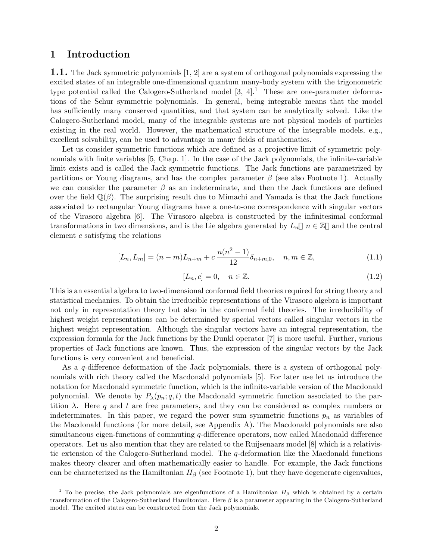# **1 Introduction**

**1.1.** The Jack symmetric polynomials [1, 2] are a system of orthogonal polynomials expressing the excited states of an integrable one-dimensional quantum many-body system with the trigonometric type potential called the Calogero-Sutherland model  $[3, 4].<sup>1</sup>$  These are one-parameter deformations of the Schur symmetric polynomials. In general, being integrable means that the model has sufficiently many conserved quantities, and that system can be analytically solved. Like the Calogero-Sutherland model, many of the integrable systems are not physical models of particles existing in the real world. However, the mathematical structure of the integrable models, e.g., excellent solvability, can be used to advantage in many fields of mathematics.

Let us consider symmetric functions which are defined as a projective limit of symmetric polynomials with finite variables [5, Chap. 1]. In the case of the Jack polynomials, the infinite-variable limit exists and is called the Jack symmetric functions. The Jack functions are parametrized by partitions or Young diagrams, and has the complex parameter  $\beta$  (see also Footnote 1). Actually we can consider the parameter  $\beta$  as an indeterminate, and then the Jack functions are defined over the field  $\mathbb{Q}(\beta)$ . The surprising result due to Mimachi and Yamada is that the Jack functions associated to rectangular Young diagrams have a one-to-one correspondence with singular vectors of the Virasoro algebra [6]. The Virasoro algebra is constructed by the infinitesimal conformal transformations in two dimensions, and is the Lie algebra generated by  $L_n$   $n \in \mathbb{Z}$  and the central element *c* satisfying the relations

$$
[L_n, L_m] = (n-m)L_{n+m} + c \frac{n(n^2-1)}{12} \delta_{n+m,0}, \quad n, m \in \mathbb{Z},
$$
\n(1.1)

$$
[L_n, c] = 0, \quad n \in \mathbb{Z}.\tag{1.2}
$$

This is an essential algebra to two-dimensional conformal field theories required for string theory and statistical mechanics. To obtain the irreducible representations of the Virasoro algebra is important not only in representation theory but also in the conformal field theories. The irreducibility of highest weight representations can be determined by special vectors called singular vectors in the highest weight representation. Although the singular vectors have an integral representation, the expression formula for the Jack functions by the Dunkl operator [7] is more useful. Further, various properties of Jack functions are known. Thus, the expression of the singular vectors by the Jack functions is very convenient and beneficial.

As a *q*-difference deformation of the Jack polynomials, there is a system of orthogonal polynomials with rich theory called the Macdonald polynomials [5]. For later use let us introduce the notation for Macdonald symmetric function, which is the infinite-variable version of the Macdonald polynomial. We denote by  $P_{\lambda}(p_n; q, t)$  the Macdonald symmetric function associated to the partition  $\lambda$ . Here q and t are free parameters, and they can be considered as complex numbers or indeterminates. In this paper, we regard the power sum symmetric functions  $p_n$  as variables of the Macdonald functions (for more detail, see Appendix A). The Macdonald polynomials are also simultaneous eigen-functions of commuting *q*-difference operators, now called Macdonald difference operators. Let us also mention that they are related to the Ruijsenaars model [8] which is a relativistic extension of the Calogero-Sutherland model. The *q*-deformation like the Macdonald functions makes theory clearer and often mathematically easier to handle. For example, the Jack functions can be characterized as the Hamiltonian  $H_\beta$  (see Footnote 1), but they have degenerate eigenvalues,

<sup>&</sup>lt;sup>1</sup> To be precise, the Jack polynomials are eigenfunctions of a Hamiltonian  $H_\beta$  which is obtained by a certain transformation of the Calogero-Sutherland Hamiltonian. Here *β* is a parameter appearing in the Calogero-Sutherland model. The excited states can be constructed from the Jack polynomials.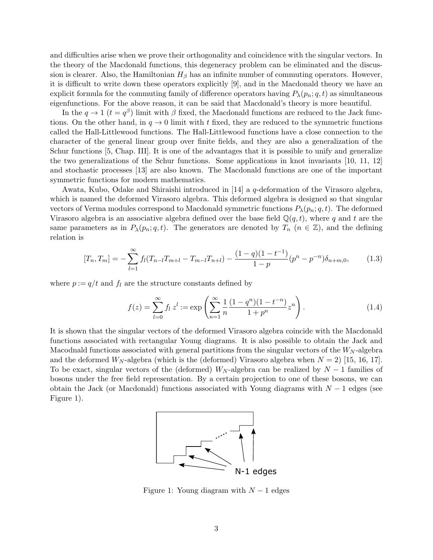and difficulties arise when we prove their orthogonality and coincidence with the singular vectors. In the theory of the Macdonald functions, this degeneracy problem can be eliminated and the discussion is clearer. Also, the Hamiltonian  $H_\beta$  has an infinite number of commuting operators. However, it is difficult to write down these operators explicitly [9], and in the Macdonald theory we have an explicit formula for the commuting family of difference operators having  $P_{\lambda}(p_n; q, t)$  as simultaneous eigenfunctions. For the above reason, it can be said that Macdonald's theory is more beautiful.

In the  $q \to 1$  ( $t = q^{\beta}$ ) limit with  $\beta$  fixed, the Macdonald functions are reduced to the Jack functions. On the other hand, in  $q \to 0$  limit with t fixed, they are reduced to the symmetric functions called the Hall-Littlewood functions. The Hall-Littlewood functions have a close connection to the character of the general linear group over finite fields, and they are also a generalization of the Schur functions [5, Chap. III]. It is one of the advantages that it is possible to unify and generalize the two generalizations of the Schur functions. Some applications in knot invariants [10, 11, 12] and stochastic processes [13] are also known. The Macdonald functions are one of the important symmetric functions for modern mathematics.

Awata, Kubo, Odake and Shiraishi introduced in [14] a *q*-deformation of the Virasoro algebra, which is named the deformed Virasoro algebra. This deformed algebra is designed so that singular vectors of Verma modules correspond to Macdonald symmetric functions  $P_{\lambda}(p_n; q, t)$ . The deformed Virasoro algebra is an associative algebra defined over the base field  $\mathbb{Q}(q, t)$ , where q and t are the same parameters as in  $P_{\lambda}(p_n; q, t)$ . The generators are denoted by  $T_n$  ( $n \in \mathbb{Z}$ ), and the defining relation is

$$
[T_n, T_m] = -\sum_{l=1}^{\infty} f_l (T_{n-l} T_{m+l} - T_{m-l} T_{n+l}) - \frac{(1-q)(1-t^{-1})}{1-p} (p^n - p^{-n}) \delta_{n+m,0}, \tag{1.3}
$$

where  $p := q/t$  and  $f_l$  are the structure constants defined by

$$
f(z) = \sum_{l=0}^{\infty} f_l z^l := \exp\left(\sum_{n=1}^{\infty} \frac{1}{n} \frac{(1-q^n)(1-t^{-n})}{1+p^n} z^n\right).
$$
 (1.4)

It is shown that the singular vectors of the deformed Virasoro algebra coincide with the Macdonald functions associated with rectangular Young diagrams. It is also possible to obtain the Jack and Macodnald functions associated with general partitions from the singular vectors of the *W<sup>N</sup>* -algebra and the deformed  $W_N$ -algebra (which is the (deformed) Virasoro algebra when  $N = 2$ ) [15, 16, 17]. To be exact, singular vectors of the (deformed)  $W_N$ -algebra can be realized by  $N-1$  families of bosons under the free field representation. By a certain projection to one of these bosons, we can obtain the Jack (or Macdonald) functions associated with Young diagrams with *N −* 1 edges (see Figure 1).



Figure 1: Young diagram with *N −* 1 edges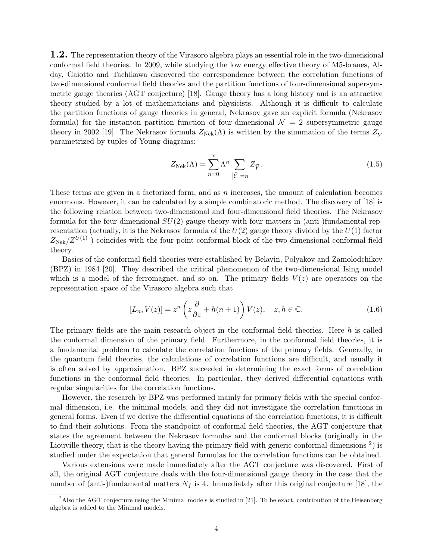**1.2.** The representation theory of the Virasoro algebra plays an essential role in the two-dimensional conformal field theories. In 2009, while studying the low energy effective theory of M5-branes, Alday, Gaiotto and Tachikawa discovered the correspondence between the correlation functions of two-dimensional conformal field theories and the partition functions of four-dimensional supersymmetric gauge theories (AGT conjecture) [18]. Gauge theory has a long history and is an attractive theory studied by a lot of mathematicians and physicists. Although it is difficult to calculate the partition functions of gauge theories in general, Nekrasov gave an explicit formula (Nekrasov formula) for the instanton partition function of four-dimensional  $\mathcal{N}=2$  supersymmetric gauge theory in 2002 [19]. The Nekrasov formula  $Z_{\text{Nek}}(\Lambda)$  is written by the summation of the terms  $Z_{\vec{Y}}$ parametrized by tuples of Young diagrams:

$$
Z_{\text{Nek}}(\Lambda) = \sum_{n=0}^{\infty} \Lambda^n \sum_{\substack{\vec{Y} \mid =n}} Z_{\vec{Y}}.
$$
\n(1.5)

These terms are given in a factorized form, and as *n* increases, the amount of calculation becomes enormous. However, it can be calculated by a simple combinatoric method. The discovery of [18] is the following relation between two-dimensional and four-dimensional field theories. The Nekrasov formula for the four-dimensional *SU*(2) gauge theory with four matters in (anti-)fundamental representation (actually, it is the Nekrasov formula of the *U*(2) gauge theory divided by the *U*(1) factor  $Z_{\text{Nek}}/Z^{U(1)}$ ) coincides with the four-point conformal block of the two-dimensional conformal field theory.

Basics of the conformal field theories were established by Belavin, Polyakov and Zamolodchikov (BPZ) in 1984 [20]. They described the critical phenomenon of the two-dimensional Ising model which is a model of the ferromagnet, and so on. The primary fields  $V(z)$  are operators on the representation space of the Virasoro algebra such that

$$
[L_n, V(z)] = z^n \left( z \frac{\partial}{\partial z} + h(n+1) \right) V(z), \quad z, h \in \mathbb{C}.
$$
 (1.6)

The primary fields are the main research object in the conformal field theories. Here *h* is called the conformal dimension of the primary field. Furthermore, in the conformal field theories, it is a fundamental problem to calculate the correlation functions of the primary fields. Generally, in the quantum field theories, the calculations of correlation functions are difficult, and usually it is often solved by approximation. BPZ succeeded in determining the exact forms of correlation functions in the conformal field theories. In particular, they derived differential equations with regular singularities for the correlation functions.

However, the research by BPZ was performed mainly for primary fields with the special conformal dimension, i.e. the minimal models, and they did not investigate the correlation functions in general forms. Even if we derive the differential equations of the correlation functions, it is difficult to find their solutions. From the standpoint of conformal field theories, the AGT conjecture that states the agreement between the Nekrasov formulas and the conformal blocks (originally in the Liouville theory, that is the theory having the primary field with generic conformal dimensions  $2$ ) is studied under the expectation that general formulas for the correlation functions can be obtained.

Various extensions were made immediately after the AGT conjecture was discovered. First of all, the original AGT conjecture deals with the four-dimensional gauge theory in the case that the number of (anti-)fundamental matters  $N_f$  is 4. Immediately after this original conjecture [18], the

 $2$ Also the AGT conjecture using the Minimal models is studied in [21]. To be exact, contribution of the Heisenberg algebra is added to the Minimal models.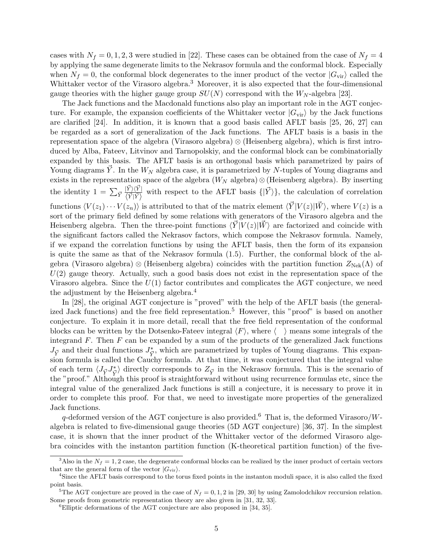cases with  $N_f = 0, 1, 2, 3$  were studied in [22]. These cases can be obtained from the case of  $N_f = 4$ by applying the same degenerate limits to the Nekrasov formula and the conformal block. Especially when  $N_f = 0$ , the conformal block degenerates to the inner product of the vector  $|G_{\text{vir}}\rangle$  called the Whittaker vector of the Virasoro algebra.<sup>3</sup> Moreover, it is also expected that the four-dimensional gauge theories with the higher gauge group  $SU(N)$  correspond with the  $W_N$ -algebra [23].

The Jack functions and the Macdonald functions also play an important role in the AGT conjecture. For example, the expansion coefficients of the Whittaker vector  $|G_{\rm vir}\rangle$  by the Jack functions are clarified [24]. In addition, it is known that a good basis called AFLT basis [25, 26, 27] can be regarded as a sort of generalization of the Jack functions. The AFLT basis is a basis in the representation space of the algebra (Virasoro algebra) *⊗* (Heisenberg algebra), which is first introduced by Alba, Fateev, Litvinov and Tarnopolskiy, and the conformal block can be combinatorially expanded by this basis. The AFLT basis is an orthogonal basis which parametrized by pairs of Young diagrams  $\vec{Y}$ . In the  $W_N$  algebra case, it is parametrized by *N*-tuples of Young diagrams and exists in the representation space of the algebra  $(W_N$  algebra)  $\otimes$  (Heisenberg algebra). By inserting the identity  $1 = \sum_{\vec{Y}} \frac{|\vec{Y}\rangle \langle \vec{Y}|}{\langle \vec{Y} | \vec{Y} \rangle}$  $\langle \frac{|Y\rangle\langle Y|}{\langle \vec{Y}|\vec{Y}\rangle}$  with respect to the AFLT basis  $\{|\vec{Y}\rangle\}$ , the calculation of correlation functions  $\langle V(z_1) \cdots V(z_n) \rangle$  is attributed to that of the matrix element  $\langle \vec{Y} | V(z) | \vec{W} \rangle$ , where  $V(z)$  is a sort of the primary field defined by some relations with generators of the Virasoro algebra and the Heisenberg algebra. Then the three-point functions  $\langle Y|V(z)|W\rangle$  are factorized and coincide with the significant factors called the Nekrasov factors, which compose the Nekrasov formula. Namely, if we expand the correlation functions by using the AFLT basis, then the form of its expansion is quite the same as that of the Nekrasov formula (1.5). Further, the conformal block of the algebra (Virasoro algebra) ⊗ (Heisenberg algebra) coincides with the partition function  $Z_{Nek}(Λ)$  of  $U(2)$  gauge theory. Actually, such a good basis does not exist in the representation space of the Virasoro algebra. Since the *U*(1) factor contributes and complicates the AGT conjecture, we need the adjustment by the Heisenberg algebra.<sup>4</sup>

In [28], the original AGT conjecture is "proved" with the help of the AFLT basis (the generalized Jack functions) and the free field representation.<sup>5</sup> However, this "proof" is based on another conjecture. To explain it in more detail, recall that the free field representation of the conformal blocks can be written by the Dotsenko-Fateev integral *⟨F⟩*, where *⟨ ⟩* means some integrals of the integrand *F*. Then *F* can be expanded by a sum of the products of the generalized Jack functions  $J_{\vec{Y}}$  and their dual functions  $J_{\vec{Y}}^*$ , which are parametrized by tuples of Young diagrams. This expansion formula is called the Cauchy formula. At that time, it was conjectured that the integral value of each term  $\langle J_{\vec{Y}} J_{\vec{Y}}^* \rangle$  directly corresponds to  $Z_{\vec{Y}}$  in the Nekrasov formula. This is the scenario of the "proof." Although this proof is straightforward without using recurrence formulas etc, since the integral value of the generalized Jack functions is still a conjecture, it is necessary to prove it in order to complete this proof. For that, we need to investigate more properties of the generalized Jack functions.

*q*-deformed version of the AGT conjecture is also provided.<sup>6</sup> That is, the deformed Virasoro/*W*algebra is related to five-dimensional gauge theories (5D AGT conjecture) [36, 37]. In the simplest case, it is shown that the inner product of the Whittaker vector of the deformed Virasoro algebra coincides with the instanton partition function (K-theoretical partition function) of the five-

<sup>&</sup>lt;sup>3</sup>Also in the  $N_f = 1, 2$  case, the degenerate conformal blocks can be realized by the inner product of certain vectors that are the general form of the vector  $|G_{\text{vir}}\rangle$ .

<sup>4</sup>Since the AFLT basis correspond to the torus fixed points in the instanton moduli space, it is also called the fixed point basis.

<sup>&</sup>lt;sup>5</sup>The AGT conjecture are proved in the case of  $N_f = 0, 1, 2$  in [29, 30] by using Zamolodchikov reccursion relation. Some proofs from geometric representation theory are also given in [31, 32, 33].

<sup>&</sup>lt;sup>6</sup>Elliptic deformations of the AGT conjecture are also proposed in [34, 35].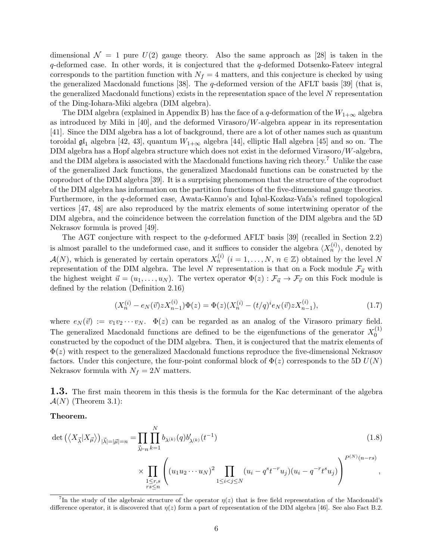dimensional  $\mathcal{N} = 1$  pure  $U(2)$  gauge theory. Also the same approach as [28] is taken in the *q*-deformed case. In other words, it is conjectured that the *q*-deformed Dotsenko-Fateev integral corresponds to the partition function with  $N_f = 4$  matters, and this conjecture is checked by using the generalized Macdonald functions [38]. The *q*-deformed version of the AFLT basis [39] (that is, the generalized Macdonald functions) exists in the representation space of the level *N* representation of the Ding-Iohara-Miki algebra (DIM algebra).

The DIM algebra (explained in Appendix B) has the face of a *q*-deformation of the  $W_{1+\infty}$  algebra as introduced by Miki in [40], and the deformed Virasoro/*W*-algebra appear in its representation [41]. Since the DIM algebra has a lot of background, there are a lot of other names such as quantum toroidal  $\mathfrak{gl}_1$  algebra [42, 43], quantum  $W_{1+\infty}$  algebra [44], elliptic Hall algebra [45] and so on. The DIM algebra has a Hopf algebra structure which does not exist in the deformed Virasoro/*W*-algebra, and the DIM algebra is associated with the Macdonald functions having rich theory.<sup>7</sup> Unlike the case of the generalized Jack functions, the generalized Macdonald functions can be constructed by the coproduct of the DIM algebra [39]. It is a surprising phenomenon that the structure of the coproduct of the DIM algebra has information on the partition functions of the five-dimensional gauge theories. Furthermore, in the *q*-deformed case, Awata-Kanno's and Iqbal-Kozkaz-Vafa's refined topological vertices [47, 48] are also reproduced by the matrix elements of some intertwining operator of the DIM algebra, and the coincidence between the correlation function of the DIM algebra and the 5D Nekrasov formula is proved [49].

The AGT conjecture with respect to the *q*-deformed AFLT basis [39] (recalled in Section 2.2) is almost parallel to the undeformed case, and it suffices to consider the algebra  $\langle X_n^{(i)} \rangle$ , denoted by  $\mathcal{A}(N)$ , which is generated by certain operators  $X_n^{(i)}$   $(i = 1, \ldots, N, n \in \mathbb{Z})$  obtained by the level N representation of the DIM algebra. The level *N* representation is that on a Fock module  $\mathcal{F}_{\vec{u}}$  with the highest weight  $\vec{u} = (u_1, \dots, u_N)$ . The vertex operator  $\Phi(z) : \mathcal{F}_{\vec{u}} \to \mathcal{F}_{\vec{v}}$  on this Fock module is defined by the relation (Definition 2.16)

$$
(X_n^{(i)} - e_N(\vec{v}) z X_{n-1}^{(i)}) \Phi(z) = \Phi(z) (X_n^{(i)} - (t/q)^i e_N(\vec{v}) z X_{n-1}^{(i)}),
$$
\n(1.7)

where  $e_N(\vec{v}) := v_1v_2\cdots v_N$ .  $\Phi(z)$  can be regarded as an analog of the Virasoro primary field. The generalized Macdonald functions are defined to be the eigenfunctions of the generator  $X_0^{(1)}$  $\boldsymbol{0}$ constructed by the copoduct of the DIM algebra. Then, it is conjectured that the matrix elements of Φ(*z*) with respect to the generalized Macdonald functions reproduce the five-dimensional Nekrasov factors. Under this conjecture, the four-point conformal block of  $\Phi(z)$  corresponds to the 5D  $U(N)$ Nekrasov formula with  $N_f = 2N$  matters.

**1.3.** The first main theorem in this thesis is the formula for the Kac determinant of the algebra  $\mathcal{A}(N)$  (Theorem 3.1):

#### **Theorem.**

$$
\det\left(\langle X_{\vec{\lambda}}|X_{\vec{\mu}}\rangle\right)_{|\vec{\lambda}|=|\vec{\mu}|=n} = \prod_{\vec{\lambda}\vdash n} \prod_{k=1}^{N} b_{\lambda^{(k)}}(q) b'_{\lambda^{(k)}}(t^{-1})\tag{1.8}
$$

$$
\times \prod_{\substack{1 \leq r,s \\ rs \leq n}} \left( (u_1 u_2 \cdots u_N)^2 \prod_{1 \leq i < j \leq N} (u_i - q^s t^{-r} u_j)(u_i - q^{-r} t^s u_j) \right)^{P^{(N)}(n-rs)},
$$

<sup>&</sup>lt;sup>7</sup>In the study of the algebraic structure of the operator  $\eta(z)$  that is free field representation of the Macdonald's difference operator, it is discovered that  $\eta(z)$  form a part of representation of the DIM algebra [46]. See also Fact B.2.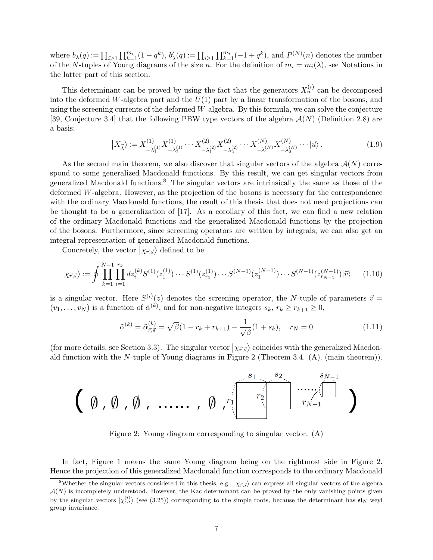where  $b_{\lambda}(q) := \prod_{i \geq 1} \prod_{k=1}^{m_i} (1 - q^k)$ ,  $b'_{\lambda}(q) := \prod_{i \geq 1} \prod_{k=1}^{m_i} (-1 + q^k)$ , and  $P^{(N)}(n)$  denotes the number of the *N*-tuples of Young diagrams of the size *n*. For the definition of  $m_i = m_i(\lambda)$ , see Notations in the latter part of this section.

This determinant can be proved by using the fact that the generators  $X_n^{(i)}$  can be decomposed into the deformed *W*-algebra part and the *U*(1) part by a linear transformation of the bosons, and using the screening currents of the deformed *W*-algebra. By this formula, we can solve the conjecture [39, Conjecture 3.4] that the following PBW type vectors of the algebra *A*(*N*) (Definition 2.8) are a basis:

$$
\left| X_{\vec{\lambda}} \right\rangle := X_{-\lambda_1^{(1)}}^{(1)} X_{-\lambda_2^{(1)}}^{(1)} \cdots X_{-\lambda_1^{(2)}}^{(2)} X_{-\lambda_2^{(2)}}^{(2)} \cdots X_{-\lambda_1^{(N)}}^{(N)} X_{-\lambda_2^{(N)}}^{(N)} \cdots \left| \vec{u} \right\rangle. \tag{1.9}
$$

As the second main theorem, we also discover that singular vectors of the algebra  $\mathcal{A}(N)$  correspond to some generalized Macdonald functions. By this result, we can get singular vectors from generalized Macdonald functions.<sup>8</sup> The singular vectors are intrinsically the same as those of the deformed *W*-algebra. However, as the projection of the bosons is necessary for the correspondence with the ordinary Macdonald functions, the result of this thesis that does not need projections can be thought to be a generalization of [17]. As a corollary of this fact, we can find a new relation of the ordinary Macdonald functions and the generalized Macdonald functions by the projection of the bosons. Furthermore, since screening operators are written by integrals, we can also get an integral representation of generalized Macdonald functions.

Concretely, the vector  $\vert \chi_{\vec{r}, \vec{s}} \rangle$  defined to be

$$
|\chi_{\vec{r},\vec{s}}\rangle := \oint \prod_{k=1}^{N-1} \prod_{i=1}^{r_k} dz_i^{(k)} S^{(1)}(z_1^{(1)}) \cdots S^{(1)}(z_{r_1}^{(1)}) \cdots S^{(N-1)}(z_1^{(N-1)}) \cdots S^{(N-1)}(z_{r_{N-1}}^{(N-1)}) |\vec{v}\rangle \tag{1.10}
$$

is a singular vector. Here  $S^{(i)}(z)$  denotes the screening operator, the *N*-tuple of parameters  $\vec{v} =$  $(v_1, \ldots, v_N)$  is a function of  $\tilde{\alpha}^{(k)}$ , and for non-negative integers  $s_k, r_k \geq r_{k+1} \geq 0$ ,

$$
\tilde{\alpha}^{(k)} = \tilde{\alpha}_{\vec{r},\vec{s}}^{(k)} = \sqrt{\beta}(1 - r_k + r_{k+1}) - \frac{1}{\sqrt{\beta}}(1 + s_k), \quad r_N = 0 \tag{1.11}
$$

(for more details, see Section 3.3). The singular vector  $|\chi_{\vec{r},\vec{s}}\rangle$  coincides with the generalized Macdonald function with the *N*-tuple of Young diagrams in Figure 2 (Theorem 3.4. (A). (main theorem)).

$$
\left(\emptyset, \emptyset, \emptyset, \ldots, \emptyset, \stackrel{\scriptscriptstyle s_1,\ldots,s_2,\ldots,\scriptscriptstyle s_{N-1}}{\scriptscriptstyle r_1}\right) \stackrel{\scriptscriptstyle s_{N-1}}{\scriptscriptstyle r_{N-1}}.
$$

Figure 2: Young diagram corresponding to singular vector. (A)

In fact, Figure 1 means the same Young diagram being on the rightmost side in Figure 2. Hence the projection of this generalized Macdonald function corresponds to the ordinary Macdonald

<sup>&</sup>lt;sup>8</sup>Whether the singular vectors considered in this thesis, e.g.,  $|\chi_{\vec{r},\vec{s}}\rangle$  can express all singular vectors of the algebra  $A(N)$  is incompletely understood. However, the Kac determinant can be proved by the only vanishing points given by the singular vectors  $|\chi_{r,s}^{(i)}\rangle$  (see (3.25)) corresponding to the simple roots, because the determinant has  $\mathfrak{sl}_N$  weyl group invariance.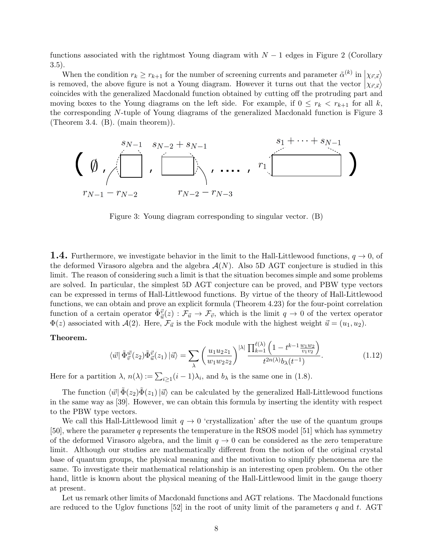functions associated with the rightmost Young diagram with *N −* 1 edges in Figure 2 (Corollary 3.5).

When the condition  $r_k \geq r_{k+1}$  for the number of screening currents and parameter  $\tilde{\alpha}^{(k)}$  in  $\left|\chi_{\vec{r},\vec{s}}\right\rangle$ is removed, the above figure is not a Young diagram. However it turns out that the vector  $\ket{\chi_{\vec{r},\vec{s}}}$ coincides with the generalized Macdonald function obtained by cutting off the protruding part and moving boxes to the Young diagrams on the left side. For example, if  $0 \leq r_k < r_{k+1}$  for all *k*, the corresponding *N*-tuple of Young diagrams of the generalized Macdonald function is Figure 3 (Theorem 3.4. (B). (main theorem)).



Figure 3: Young diagram corresponding to singular vector. (B)

**1.4.** Furthermore, we investigate behavior in the limit to the Hall-Littlewood functions, *q →* 0, of the deformed Virasoro algebra and the algebra  $A(N)$ . Also 5D AGT conjecture is studied in this limit. The reason of considering such a limit is that the situation becomes simple and some problems are solved. In particular, the simplest 5D AGT conjecture can be proved, and PBW type vectors can be expressed in terms of Hall-Littlewood functions. By virtue of the theory of Hall-Littlewood functions, we can obtain and prove an explicit formula (Theorem 4.23) for the four-point correlation function of a certain operator  $\tilde{\Phi}_{\vec{u}}^{\vec{v}}(z) : \mathcal{F}_{\vec{u}} \to \mathcal{F}_{\vec{v}}$ , which is the limit  $q \to 0$  of the vertex operator  $\Phi(z)$  associated with *A*(2). Here,  $\mathcal{F}_{\vec{u}}$  is the Fock module with the highest weight  $\vec{u} = (u_1, u_2)$ .

#### **Theorem.**

$$
\langle \vec{w} | \tilde{\Phi}_{\vec{v}}^{\vec{w}}(z_2) \tilde{\Phi}_{\vec{u}}^{\vec{v}}(z_1) | \vec{u} \rangle = \sum_{\lambda} \left( \frac{u_1 u_2 z_1}{w_1 w_2 z_2} \right)^{|\lambda|} \frac{\prod_{k=1}^{\ell(\lambda)} \left( 1 - t^{k-1} \frac{w_1 w_2}{v_1 v_2} \right)}{t^{2n(\lambda)} b_{\lambda}(t^{-1})}.
$$
\n(1.12)

Here for a partition  $\lambda$ ,  $n(\lambda) := \sum_{i \geq 1} (i - 1)\lambda_i$ , and  $b_{\lambda}$  is the same one in (1.8).

The function  $\langle \vec{w} | \vec{\Phi}(z_2) \vec{\Phi}(z_1) | \vec{u} \rangle$  can be calculated by the generalized Hall-Littlewood functions in the same way as [39]. However, we can obtain this formula by inserting the identity with respect to the PBW type vectors.

We call this Hall-Littlewood limit  $q \to 0$  'crystallization' after the use of the quantum groups [50], where the parameter *q* represents the temperature in the RSOS model [51] which has symmetry of the deformed Virasoro algebra, and the limit  $q \to 0$  can be considered as the zero temperature limit. Although our studies are mathematically different from the notion of the original crystal base of quantum groups, the physical meaning and the motivation to simplify phenomena are the same. To investigate their mathematical relationship is an interesting open problem. On the other hand, little is known about the physical meaning of the Hall-Littlewood limit in the gauge thoery at present.

Let us remark other limits of Macdonald functions and AGT relations. The Macdonald functions are reduced to the Uglov functions [52] in the root of unity limit of the parameters *q* and *t*. AGT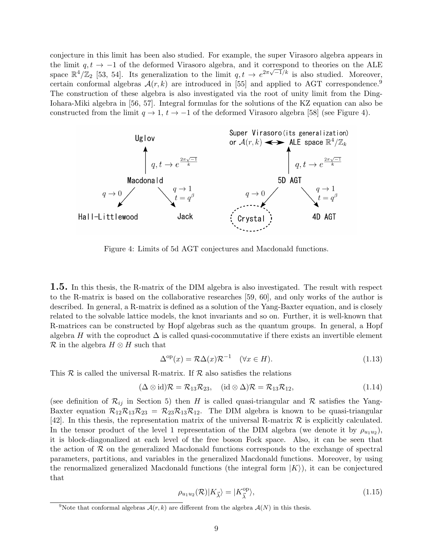conjecture in this limit has been also studied. For example, the super Virasoro algebra appears in the limit *q, t → −*1 of the deformed Virasoro algebra, and it correspond to theories on the ALE space  $\mathbb{R}^4/\mathbb{Z}_2$  [53, 54]. Its generalization to the limit  $q, t \to e^{2\pi\sqrt{-1}/k}$  is also studied. Moreover, certain conformal algebras  $A(r, k)$  are introduced in [55] and applied to AGT correspondence.<sup>9</sup> The construction of these algebra is also investigated via the root of unity limit from the Ding-Iohara-Miki algebra in [56, 57]. Integral formulas for the solutions of the KZ equation can also be constructed from the limit  $q \to 1$ ,  $t \to -1$  of the deformed Virasoro algebra [58] (see Figure 4).



Figure 4: Limits of 5d AGT conjectures and Macdonald functions.

**1.5.** In this thesis, the R-matrix of the DIM algebra is also investigated. The result with respect to the R-matrix is based on the collaborative researches [59, 60], and only works of the author is described. In general, a R-matrix is defined as a solution of the Yang-Baxter equation, and is closely related to the solvable lattice models, the knot invariants and so on. Further, it is well-known that R-matrices can be constructed by Hopf algebras such as the quantum groups. In general, a Hopf algebra *H* with the coproduct  $\Delta$  is called quasi-cocommutative if there exists an invertible element *R* in the algebra *H ⊗ H* such that

$$
\Delta^{\mathrm{op}}(x) = \mathcal{R}\Delta(x)\mathcal{R}^{-1} \quad (\forall x \in H). \tag{1.13}
$$

This  $R$  is called the universal R-matrix. If  $R$  also satisfies the relations

$$
(\Delta \otimes id)\mathcal{R} = \mathcal{R}_{13}\mathcal{R}_{23}, \quad (id \otimes \Delta)\mathcal{R} = \mathcal{R}_{13}\mathcal{R}_{12}, \tag{1.14}
$$

(see definition of  $\mathcal{R}_{ij}$  in Section 5) then *H* is called quasi-triangular and  $\mathcal{R}$  satisfies the Yang-Baxter equation  $\mathcal{R}_{12}\mathcal{R}_{13}\mathcal{R}_{23} = \mathcal{R}_{23}\mathcal{R}_{13}\mathcal{R}_{12}$ . The DIM algebra is known to be quasi-triangular [42]. In this thesis, the representation matrix of the universal R-matrix *R* is explicitly calculated. In the tensor product of the level 1 representation of the DIM algebra (we denote it by  $\rho_{u_1u_2}$ ), it is block-diagonalized at each level of the free boson Fock space. Also, it can be seen that the action of *R* on the generalized Macdonald functions corresponds to the exchange of spectral parameters, partitions, and variables in the generalized Macdonald functions. Moreover, by using the renormalized generalized Macdonald functions (the integral form *|K⟩*), it can be conjectured that

$$
\rho_{u_1 u_2}(\mathcal{R}) |K_{\vec{\lambda}}\rangle = |K_{\vec{\lambda}}^{\text{op}}\rangle,\tag{1.15}
$$

<sup>&</sup>lt;sup>9</sup>Note that conformal algebras  $A(r, k)$  are different from the algebra  $A(N)$  in this thesis.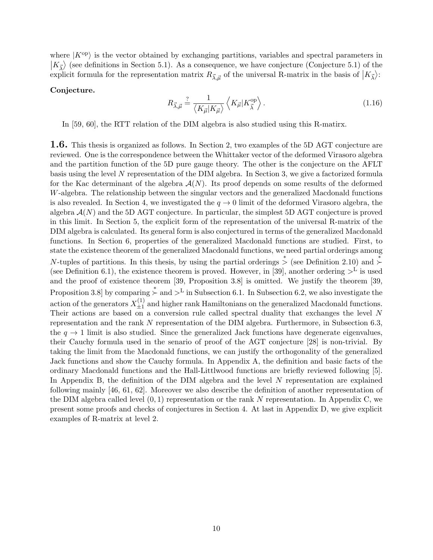where  $|K^{\text{op}}\rangle$  is the vector obtained by exchanging partitions, variables and spectral parameters in  $|K_{\vec{\lambda}}\rangle$  (see definitions in Section 5.1). As a consequence, we have conjecture (Conjecture 5.1) of the explicit formula for the representation matrix  $R_{\vec{\lambda}, \vec{\mu}}$  of the universal R-matrix in the basis of  $|K_{\vec{\lambda}}\rangle$ :

#### **Conjecture.**

$$
R_{\vec{\lambda},\vec{\mu}} \stackrel{?}{=} \frac{1}{\langle K_{\vec{\mu}}|K_{\vec{\mu}}\rangle} \left\langle K_{\vec{\mu}}|K_{\vec{\lambda}}^{\text{op}} \right\rangle. \tag{1.16}
$$

In [59, 60], the RTT relation of the DIM algebra is also studied using this R-matirx.

**1.6.** This thesis is organized as follows. In Section 2, two examples of the 5D AGT conjecture are reviewed. One is the correspondence between the Whittaker vector of the deformed Virasoro algebra and the partition function of the 5D pure gauge theory. The other is the conjecture on the AFLT basis using the level *N* representation of the DIM algebra. In Section 3, we give a factorized formula for the Kac determinant of the algebra  $A(N)$ . Its proof depends on some results of the deformed *W*-algebra. The relationship between the singular vectors and the generalized Macdonald functions is also revealed. In Section 4, we investigated the  $q \to 0$  limit of the deformed Virasoro algebra, the algebra *A*(*N*) and the 5D AGT conjecture. In particular, the simplest 5D AGT conjecture is proved in this limit. In Section 5, the explicit form of the representation of the universal R-matrix of the DIM algebra is calculated. Its general form is also conjectured in terms of the generalized Macdonald functions. In Section 6, properties of the generalized Macdonald functions are studied. First, to state the existence theorem of the generalized Macdonald functions, we need partial orderings among *N*-tuples of partitions. In this thesis, by using the partial orderings *∗ >* (see Definition 2.10) and *<sup>∗</sup> ≻* (see Definition 6.1), the existence theorem is proved. However, in [39], another ordering  $>^L$  is used and the proof of existence theorem [39, Proposition 3.8] is omitted. We justify the theorem [39, Proposition 3.8] by comparing *<sup>∗</sup> ≻* and *>*<sup>L</sup> in Subsection 6.1. In Subsection 6.2, we also investigate the action of the generators  $X_{+1}^{(1)}$  $\frac{1}{2}$  and higher rank Hamiltonians on the generalized Macdonald functions. Their actions are based on a conversion rule called spectral duality that exchanges the level *N* representation and the rank *N* representation of the DIM algebra. Furthermore, in Subsection 6.3, the  $q \rightarrow 1$  limit is also studied. Since the generalized Jack functions have degenerate eigenvalues, their Cauchy formula used in the senario of proof of the AGT conjecture [28] is non-trivial. By taking the limit from the Macdonald functions, we can justify the orthogonality of the generalized Jack functions and show the Cauchy formula. In Appendix A, the definition and basic facts of the ordinary Macdonald functions and the Hall-Littlwood functions are briefly reviewed following [5]. In Appendix B, the definition of the DIM algebra and the level *N* representation are explained following mainly [46, 61, 62]. Moreover we also describe the definition of another representation of the DIM algebra called level (0*,* 1) representation or the rank *N* representation. In Appendix C, we present some proofs and checks of conjectures in Section 4. At last in Appendix D, we give explicit examples of R-matrix at level 2.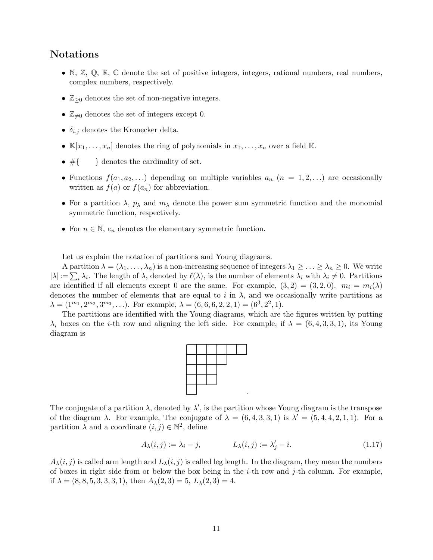# **Notations**

- *•* N*,* Z*,* Q*,* R*,* C denote the set of positive integers, integers, rational numbers, real numbers, complex numbers, respectively.
- *•* Z*≥*<sup>0</sup> denotes the set of non-negative integers.
- $\mathbb{Z}_{\neq 0}$  denotes the set of integers except 0.
- *• δi,j* denotes the Kronecker delta.
- $\mathbb{K}[x_1,\ldots,x_n]$  denotes the ring of polynomials in  $x_1,\ldots,x_n$  over a field K.
- *•* #*{ }* denotes the cardinality of set.
- Functions  $f(a_1, a_2, \ldots)$  depending on multiple variables  $a_n$  ( $n = 1, 2, \ldots$ ) are occasionally written as  $f(a)$  or  $f(a_n)$  for abbreviation.
- For a partition  $\lambda$ ,  $p_{\lambda}$  and  $m_{\lambda}$  denote the power sum symmetric function and the monomial symmetric function, respectively.
- *•* For *n ∈* N, *e<sup>n</sup>* denotes the elementary symmetric function.

Let us explain the notation of partitions and Young diagrams.

A partition  $\lambda = (\lambda_1, \ldots, \lambda_n)$  is a non-increasing sequence of integers  $\lambda_1 \geq \ldots \geq \lambda_n \geq 0$ . We write  $|\lambda| := \sum_i \lambda_i$ . The length of  $\lambda$ , denoted by  $\ell(\lambda)$ , is the number of elements  $\lambda_i$  with  $\lambda_i \neq 0$ . Partitions are identified if all elements except 0 are the same. For example,  $(3, 2) = (3, 2, 0)$ .  $m_i = m_i(\lambda)$ denotes the number of elements that are equal to  $i$  in  $\lambda$ , and we occasionally write partitions as  $\lambda = (1^{m_1}, 2^{m_2}, 3^{m_3}, \ldots)$ . For example,  $\lambda = (6, 6, 6, 2, 2, 1) = (6^3, 2^2, 1)$ .

The partitions are identified with the Young diagrams, which are the figures written by putting *λ*<sup>*i*</sup> boxes on the *i*-th row and aligning the left side. For example, if  $λ = (6, 4, 3, 3, 1)$ , its Young diagram is



The conjugate of a partition  $\lambda$ , denoted by  $\lambda'$ , is the partition whose Young diagram is the transpose of the diagram  $\lambda$ . For example, The conjugate of  $\lambda = (6, 4, 3, 3, 1)$  is  $\lambda' = (5, 4, 4, 2, 1, 1)$ . For a partition  $\lambda$  and a coordinate  $(i, j) \in \mathbb{N}^2$ , define

$$
A_{\lambda}(i,j) := \lambda_i - j, \qquad L_{\lambda}(i,j) := \lambda'_j - i. \tag{1.17}
$$

 $A_{\lambda}(i, j)$  is called arm length and  $L_{\lambda}(i, j)$  is called leg length. In the diagram, they mean the numbers of boxes in right side from or below the box being in the *i*-th row and *j*-th column. For example, if  $\lambda = (8, 8, 5, 3, 3, 3, 1)$ , then  $A_{\lambda}(2, 3) = 5$ ,  $L_{\lambda}(2, 3) = 4$ .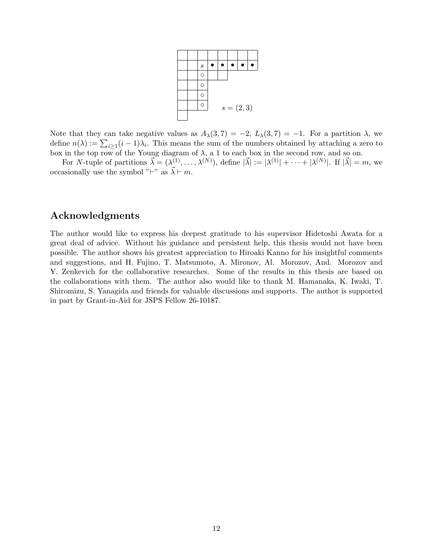

Note that they can take negative values as  $A_{\lambda}(3,7) = -2$ ,  $L_{\lambda}(3,7) = -1$ . For a partition  $\lambda$ , we define  $n(\lambda) := \sum_{i>1} (i-1)\lambda_i$ . This means the sum of the numbers obtained by attaching a zero to *i≥*1 box in the top row of the Young diagram of  $\lambda$ , a 1 to each box in the second row, and so on.

For *N*-tuple of partitions  $\vec{\lambda} = (\lambda^{(1)}, \ldots, \lambda^{(N)})$ , define  $|\vec{\lambda}| := |\lambda^{(1)}| + \cdots + |\lambda^{(N)}|$ . If  $|\vec{\lambda}| = m$ , we occasionally use the symbol "*⊦*" as  $\vec{\lambda}$  *⊢ m*.

# **Acknowledgments**

The author would like to express his deepest gratitude to his supervisor Hidetoshi Awata for a great deal of advice. Without his guidance and persistent help, this thesis would not have been possible. The author shows his greatest appreciation to Hiroaki Kanno for his insightful comments and suggestions, and H. Fujino, T. Matsumoto, A. Mironov, Al. Morozov, And. Morozov and Y. Zenkevich for the collaborative researches. Some of the results in this thesis are based on the collaborations with them. The author also would like to thank M. Hamanaka, K. Iwaki, T. Shiromizu, S. Yanagida and friends for valuable discussions and supports. The author is supported in part by Grant-in-Aid for JSPS Fellow 26-10187.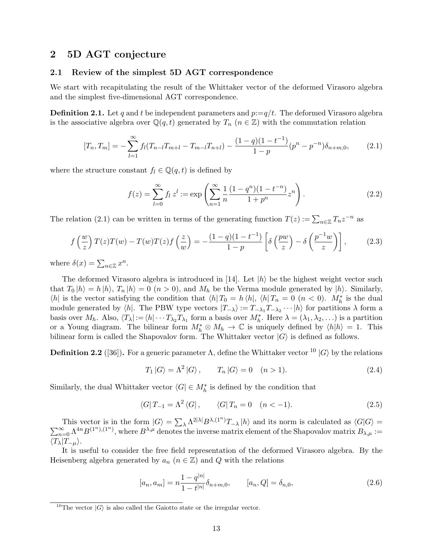## **2 5D AGT conjecture**

#### **2.1 Review of the simplest 5D AGT correspondence**

We start with recapitulating the result of the Whittaker vector of the deformed Virasoro algebra and the simplest five-dimensional AGT correspondence.

**Definition 2.1.** Let q and t be independent parameters and  $p:=q/t$ . The deformed Virasoro algebra is the associative algebra over  $\mathbb{Q}(q,t)$  generated by  $T_n$  ( $n \in \mathbb{Z}$ ) with the commutation relation

$$
[T_n, T_m] = -\sum_{l=1}^{\infty} f_l (T_{n-l} T_{m+l} - T_{m-l} T_{n+l}) - \frac{(1-q)(1-t^{-1})}{1-p} (p^n - p^{-n}) \delta_{n+m,0}, \qquad (2.1)
$$

where the structure constant  $f_l \in \mathbb{Q}(q, t)$  is defined by

$$
f(z) = \sum_{l=0}^{\infty} f_l z^l := \exp\left(\sum_{n=1}^{\infty} \frac{1}{n} \frac{(1-q^n)(1-t^{-n})}{1+p^n} z^n\right).
$$
 (2.2)

The relation (2.1) can be written in terms of the generating function  $T(z) := \sum_{n \in \mathbb{Z}} T_n z^{-n}$  as

$$
f\left(\frac{w}{z}\right)T(z)T(w) - T(w)T(z)f\left(\frac{z}{w}\right) = -\frac{(1-q)(1-t^{-1})}{1-p}\left[\delta\left(\frac{pw}{z}\right) - \delta\left(\frac{p^{-1}w}{z}\right)\right],\tag{2.3}
$$

where  $\delta(x) = \sum_{n \in \mathbb{Z}} x^n$ .

The deformed Virasoro algebra is introduced in [14]. Let *|h⟩* be the highest weight vector such that  $T_0 |h\rangle = h |h\rangle$ ,  $T_n |h\rangle = 0$   $(n > 0)$ , and  $M_h$  be the Verma module generated by  $|h\rangle$ . Similarly,  $\langle h|$  is the vector satisfying the condition that  $\langle h|T_0 = h \langle h|, \langle h|T_n = 0 \rangle$  ( $n < 0$ ).  $M_h^*$  is the dual module generated by  $\langle h |$ . The PBW type vectors  $|T_{-\lambda}\rangle := T_{-\lambda_1}T_{-\lambda_2}\cdots |h\rangle$  for partitions  $\lambda$  form a basis over  $M_h$ . Also,  $\langle T_\lambda | := \langle h | \cdots T_{\lambda_2} T_{\lambda_1} \text{ form a basis over } M_h^*$ . Here  $\lambda = (\lambda_1, \lambda_2, \ldots)$  is a partition or a Young diagram. The bilinear form  $M_h^* \otimes M_h \to \mathbb{C}$  is uniquely defined by  $\langle h|h \rangle = 1$ . This bilinear form is called the Shapovalov form. The Whittaker vector  $|G\rangle$  is defined as follows.

**Definition 2.2** ([36]). For a generic parameter  $\Lambda$ , define the Whittaker vector <sup>10</sup>  $|G\rangle$  by the relations

$$
T_1 |G\rangle = \Lambda^2 |G\rangle, \qquad T_n |G\rangle = 0 \quad (n > 1).
$$
 (2.4)

Similarly, the dual Whittaker vector  $\langle G | \in M_h^*$  is defined by the condition that

$$
\langle G|T_{-1} = \Lambda^2 \langle G|, \qquad \langle G|T_n = 0 \quad (n < -1). \tag{2.5}
$$

This vector is in the form  $|G\rangle = \sum_{\lambda} \Lambda^{2|\lambda|} B^{\lambda,(1^n)}$ ∑ This vector is in the form  $|G\rangle = \sum_{\lambda} \Lambda^{2|\lambda|} B^{\lambda,(1^n)} T_{-\lambda} |h\rangle$  and its norm is calculated as  $\langle G|G\rangle = \sum_{n=0}^{\infty} \Lambda^{4n} B^{(1^n),(1^n)}$ , where  $B^{\lambda,\mu}$  denotes the inverse matrix element of the Shapovalov matrix  $B_{\lambda,\mu}$  *⟨Tλ|T−µ⟩*.

It is useful to consider the free field representation of the deformed Virasoro algebra. By the Heisenberg algebra generated by  $a_n$  ( $n \in \mathbb{Z}$ ) and Q with the relations

$$
[a_n, a_m] = n \frac{1 - q^{|n|}}{1 - t^{|n|}} \delta_{n+m,0}, \qquad [a_n, Q] = \delta_{n,0}, \qquad (2.6)
$$

<sup>&</sup>lt;sup>10</sup>The vector  $|G\rangle$  is also called the Gaiotto state or the irregular vector.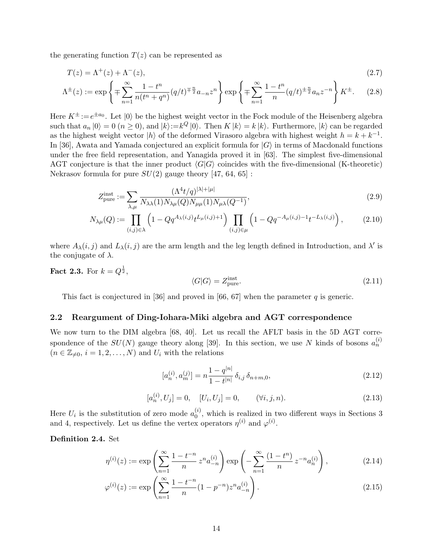the generating function  $T(z)$  can be represented as

$$
T(z) = \Lambda^+(z) + \Lambda^-(z),\tag{2.7}
$$

$$
\Lambda^{\pm}(z) := \exp\left\{ \mp \sum_{n=1}^{\infty} \frac{1 - t^n}{n(t^n + q^n)} (q/t)^{\mp \frac{n}{2}} a_{-n} z^n \right\} \exp\left\{ \mp \sum_{n=1}^{\infty} \frac{1 - t^n}{n} (q/t)^{\pm \frac{n}{2}} a_n z^{-n} \right\} K^{\pm}.
$$
 (2.8)

Here  $K^{\pm} := e^{\pm a_0}$ . Let  $|0\rangle$  be the highest weight vector in the Fock module of the Heisenberg algebra such that  $a_n |0\rangle = 0$   $(n \ge 0)$ , and  $|k\rangle := k^Q |0\rangle$ . Then  $K |k\rangle = k |k\rangle$ . Furthermore,  $|k\rangle$  can be regarded as the highest weight vector  $|h\rangle$  of the deformed Virasoro algebra with highest weight  $h = k + k^{-1}$ . In [36], Awata and Yamada conjectured an explicit formula for *|G⟩* in terms of Macdonald functions under the free field representation, and Yanagida proved it in [63]. The simplest five-dimensional AGT conjecture is that the inner product  $\langle G|G\rangle$  coincides with the five-dimensional (K-theoretic) Nekrasov formula for pure  $SU(2)$  gauge theory [47, 64, 65] :

$$
Z_{\text{pure}}^{\text{inst}} := \sum_{\lambda,\mu} \frac{(\Lambda^4 t/q)^{|\lambda|+|\mu|}}{N_{\lambda\lambda}(1)N_{\lambda\mu}(Q)N_{\mu\mu}(1)N_{\mu\lambda}(Q^{-1})},\tag{2.9}
$$

$$
N_{\lambda\mu}(Q) := \prod_{(i,j)\in\lambda} \left(1 - Qq^{A_{\lambda}(i,j)}t^{L_{\mu}(i,j)+1}\right) \prod_{(i,j)\in\mu} \left(1 - Qq^{-A_{\mu}(i,j)-1}t^{-L_{\lambda}(i,j)}\right),\tag{2.10}
$$

where  $A_{\lambda}(i, j)$  and  $L_{\lambda}(i, j)$  are the arm length and the leg length defined in Introduction, and  $\lambda'$  is the conjugate of *λ*.

**Fact 2.3.** For  $k = Q^{\frac{1}{2}}$ ,

$$
\langle G|G\rangle = Z_{\text{pure}}^{\text{inst}}.\tag{2.11}
$$

This fact is conjectured in [36] and proved in [66, 67] when the parameter *q* is generic.

#### **2.2 Reargument of Ding-Iohara-Miki algebra and AGT correspondence**

We now turn to the DIM algebra [68, 40]. Let us recall the AFLT basis in the 5D AGT correspondence of the  $SU(N)$  gauge theory along [39]. In this section, we use N kinds of bosons  $a_n^{(i)}$  $(n \in \mathbb{Z}_{\neq 0}, i = 1, 2, \ldots, N)$  and  $U_i$  with the relations

$$
[a_n^{(i)}, a_m^{(j)}] = n \frac{1 - q^{|n|}}{1 - t^{|n|}} \delta_{i,j} \delta_{n+m,0},
$$
\n(2.12)

$$
[a_n^{(i)}, U_j] = 0, \quad [U_i, U_j] = 0, \quad (\forall i, j, n). \tag{2.13}
$$

Here  $U_i$  is the substitution of zero mode  $a_0^{(i)}$  $\binom{v}{0}$ , which is realized in two different ways in Sections 3 and 4, respectively. Let us define the vertex operators  $\eta^{(i)}$  and  $\varphi^{(i)}$ .

#### **Definition 2.4.** Set

$$
\eta^{(i)}(z) := \exp\left(\sum_{n=1}^{\infty} \frac{1 - t^{-n}}{n} z^n a_{-n}^{(i)}\right) \exp\left(-\sum_{n=1}^{\infty} \frac{(1 - t^n)}{n} z^{-n} a_n^{(i)}\right),\tag{2.14}
$$

$$
\varphi^{(i)}(z) := \exp\left(\sum_{n=1}^{\infty} \frac{1 - t^{-n}}{n} (1 - p^{-n}) z^n a_{-n}^{(i)}\right). \tag{2.15}
$$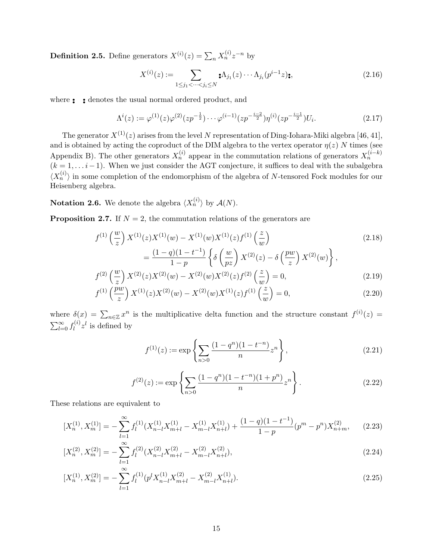**Definition 2.5.** Define generators  $X^{(i)}(z) = \sum_{n} X_n^{(i)} z^{-n}$  by

$$
X^{(i)}(z) := \sum_{1 \le j_1 < \cdots < j_i \le N} \mathbf{A}_{j_1}(z) \cdots \Lambda_{j_i}(p^{i-1}z) \mathbf{z},\tag{2.16}
$$

where *• • • •* denotes the usual normal ordered product, and

$$
\Lambda^{i}(z) := \varphi^{(1)}(z)\varphi^{(2)}(zp^{-\frac{1}{2}}) \cdots \varphi^{(i-1)}(zp^{-\frac{i-2}{2}})\eta^{(i)}(zp^{-\frac{i-1}{2}})U_{i}.
$$
\n(2.17)

The generator  $X^{(1)}(z)$  arises from the level *N* representation of Ding-Iohara-Miki algebra [46, 41], and is obtained by acting the coproduct of the DIM algebra to the vertex operator  $\eta(z)$  *N* times (see Appendix B). The other generators  $X_n^{(i)}$  appear in the commutation relations of generators  $X_n^{(i-k)}$  $(k = 1, \ldots i-1)$ . When we just consider the AGT conjecture, it suffices to deal with the subalgebra  $\langle X_n^{(i)} \rangle$  in some completion of the endomorphism of the algebra of *N*-tensored Fock modules for our Heisenberg algebra.

**Notation 2.6.** We denote the algebra  $\langle X_n^{(i)} \rangle$  by  $\mathcal{A}(N)$ .

**Proposition 2.7.** If  $N = 2$ , the commutation relations of the generators are

$$
f^{(1)}\left(\frac{w}{z}\right) X^{(1)}(z) X^{(1)}(w) - X^{(1)}(w) X^{(1)}(z) f^{(1)}\left(\frac{z}{w}\right)
$$
  
\n
$$
= \frac{(1-q)(1-t^{-1})}{1-p} \left\{ \delta\left(\frac{w}{pz}\right) X^{(2)}(z) - \delta\left(\frac{pw}{z}\right) X^{(2)}(w) \right\},
$$
  
\n
$$
f^{(2)}\left(\frac{w}{z}\right) X^{(2)}(z) X^{(2)}(w) - X^{(2)}(w) X^{(2)}(z) f^{(2)}\left(\frac{z}{z}\right) = 0,
$$
\n(2.19)

$$
f^{(2)}\left(\frac{1}{z}\right)X^{(2)}(z)X^{(2)}(w) - X^{(2)}(w)X^{(2)}(z)f^{(2)}\left(\frac{1}{w}\right) = 0,
$$
\n(2.19)

$$
f^{(1)}\left(\frac{pw}{z}\right)X^{(1)}(z)X^{(2)}(w) - X^{(2)}(w)X^{(1)}(z)f^{(1)}\left(\frac{z}{w}\right) = 0,\tag{2.20}
$$

where  $\delta(x) = \sum_{n \in \mathbb{Z}} x^n$  is the multiplicative delta function and the structure constant  $f^{(i)}(z) =$  $\sum_{l=0}^{\infty} f_l^{(i)}$  $\int_l^{(i)} z^l$  is defined by

$$
f^{(1)}(z) := \exp\left\{\sum_{n>0} \frac{(1-q^n)(1-t^{-n})}{n} z^n\right\},\tag{2.21}
$$

$$
f^{(2)}(z) := \exp\left\{\sum_{n>0} \frac{(1-q^n)(1-t^{-n})(1+p^n)}{n} z^n \right\}.
$$
 (2.22)

These relations are equivalent to

$$
[X_n^{(1)}, X_m^{(1)}] = -\sum_{l=1}^{\infty} f_l^{(1)}(X_{n-l}^{(1)} X_{m+l}^{(1)} - X_{m-l}^{(1)} X_{n+l}^{(1)}) + \frac{(1-q)(1-t^{-1})}{1-p} (p^m - p^n) X_{n+m}^{(2)}, \tag{2.23}
$$

$$
[X_n^{(2)}, X_m^{(2)}] = -\sum_{l=1}^{\infty} f_l^{(2)} (X_{n-l}^{(2)} X_{m+l}^{(2)} - X_{m-l}^{(2)} X_{n+l}^{(2)}),
$$
\n(2.24)

$$
[X_n^{(1)}, X_m^{(2)}] = -\sum_{l=1}^{\infty} f_l^{(1)}(p^l X_{n-l}^{(1)} X_{m+l}^{(2)} - X_{m-l}^{(2)} X_{n+l}^{(1)}).
$$
\n(2.25)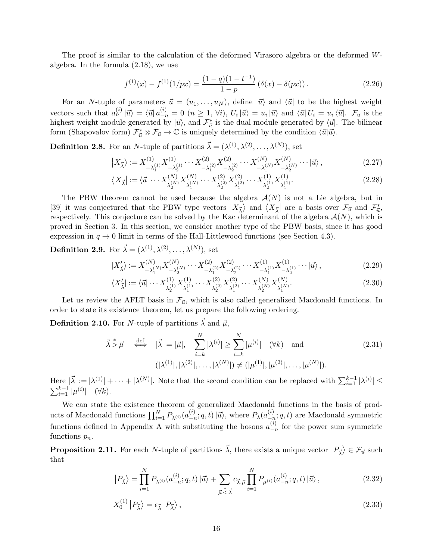The proof is similar to the calculation of the deformed Virasoro algebra or the deformed *W*algebra. In the formula (2.18), we use

$$
f^{(1)}(x) - f^{(1)}(1/px) = \frac{(1-q)(1-t^{-1})}{1-p} (\delta(x) - \delta(px)).
$$
\n(2.26)

For an *N*-tuple of parameters  $\vec{u} = (u_1, \ldots, u_N)$ , define  $|\vec{u}\rangle$  and  $\langle \vec{u} |$  to be the highest weight vectors such that  $a_n^{(i)} | \vec{u} \rangle = \langle \vec{u} | a_{-n}^{(i)} = 0 \ (n \ge 1, \forall i), U_i | \vec{u} \rangle = u_i | \vec{u} \rangle$  and  $\langle \vec{u} | U_i = u_i \langle \vec{u} |$ .  $\mathcal{F}_{\vec{u}}$  is the highest weight module generated by  $|\vec{u}\rangle$ , and  $\mathcal{F}^*_{\vec{u}}$  is the dual module generated by  $\langle \vec{u} |$ . The bilinear form (Shapovalov form)  $\mathcal{F}_{\vec{u}}^* \otimes \mathcal{F}_{\vec{u}} \to \mathbb{C}$  is uniquely determined by the condition  $\langle \vec{u} | \vec{u} \rangle$ .

**Definition 2.8.** For an *N*-tuple of partitions  $\vec{\lambda} = (\lambda^{(1)}, \lambda^{(2)}, \dots, \lambda^{(N)})$ , set

$$
\left| X_{\vec{\lambda}} \right\rangle := X_{-\lambda_1^{(1)}}^{(1)} X_{-\lambda_2^{(1)}}^{(1)} \cdots X_{-\lambda_1^{(2)}}^{(2)} X_{-\lambda_2^{(2)}}^{(2)} \cdots X_{-\lambda_1^{(N)}}^{(N)} X_{-\lambda_2^{(N)}}^{(N)} \cdots \left| \vec{u} \right\rangle, \tag{2.27}
$$

$$
\langle X_{\vec{\lambda}}| := \langle \vec{u}| \cdots X_{\lambda_2^{(N)}}^{(N)} X_{\lambda_1^{(N)}}^{(N)} \cdots X_{\lambda_2^{(2)}}^{(2)} X_{\lambda_1^{(2)}}^{(2)} \cdots X_{\lambda_2^{(1)}}^{(1)} X_{\lambda_1^{(1)}}^{(1)}.
$$
\n(2.28)

The PBW theorem cannot be used because the algebra *A*(*N*) is not a Lie algebra, but in [39] it was conjectured that the PBW type vectors  $|X_{\vec{\lambda}}\rangle$  and  $\langle X_{\vec{\lambda}}|$  are a basis over  $\mathcal{F}_{\vec{u}}$  and  $\mathcal{F}_{\vec{u}}^*$ , respectively. This conjecture can be solved by the Kac determinant of the algebra  $\mathcal{A}(N)$ , which is proved in Section 3. In this section, we consider another type of the PBW basis, since it has good expression in  $q \to 0$  limit in terms of the Hall-Littlewood functions (see Section 4.3).

# **Definition 2.9.** For  $\vec{\lambda} = (\lambda^{(1)}, \lambda^{(2)}, \ldots, \lambda^{(N)})$ , set

$$
|X'_{\vec{\lambda}}\rangle := X^{(N)}_{-\lambda_1^{(N)}} X^{(N)}_{-\lambda_2^{(N)}} \cdots X^{(2)}_{-\lambda_1^{(2)}} X^{(2)}_{-\lambda_2^{(2)}} \cdots X^{(1)}_{-\lambda_1^{(1)}} X^{(1)}_{-\lambda_2^{(1)}} \cdots |\vec{u}\rangle, \tag{2.29}
$$

$$
\langle X'_{\vec{\lambda}}| := \langle \vec{u}|\cdots X_{\lambda_2^{(1)}}^{(1)} X_{\lambda_1^{(1)}}^{(1)} \cdots X_{\lambda_2^{(2)}}^{(2)} X_{\lambda_1^{(2)}}^{(2)} \cdots X_{\lambda_2^{(N)}}^{(N)} X_{\lambda_1^{(N)}}^{(N)}.
$$
\n(2.30)

Let us review the AFLT basis in  $\mathcal{F}_{\vec{u}}$ , which is also called generalized Macdonald functions. In order to state its existence theorem, let us prepare the following ordering.

**Definition 2.10.** For *N*-tuple of partitions  $\vec{\lambda}$  and  $\vec{\mu}$ ,

$$
\vec{\lambda} \stackrel{*}{\geq} \vec{\mu} \quad \stackrel{\text{def}}{\iff} \quad |\vec{\lambda}| = |\vec{\mu}|, \quad \sum_{i=k}^{N} |\lambda^{(i)}| \geq \sum_{i=k}^{N} |\mu^{(i)}| \quad (\forall k) \quad \text{and} \quad (2.31)
$$
\n
$$
(|\lambda^{(1)}|, |\lambda^{(2)}|, \dots, |\lambda^{(N)}|) \neq (|\mu^{(1)}|, |\mu^{(2)}|, \dots, |\mu^{(N)}|).
$$

Here  $|\vec{\lambda}| := |\lambda^{(1)}| + \cdots + |\lambda^{(N)}|$ . Note that the second condition can be replaced with  $\sum_{i=1}^{k-1} |\lambda^{(i)}| \le$  $\sum_{i=1}^{k-1} |\mu^{(i)}|$  (∀*k*).

We can state the existence theorem of generalized Macdonald functions in the basis of products of Macdonald functions  $\prod_{i=1}^{N} P_{\lambda^{(i)}}(a_{-r}^{(i)})$  $\langle i \rangle$ <sub>−*n*</sub>; *q*, *t*) |*ū*<sup> $\rangle$ , where *P*<sub>*λ*</sub>(*a*<sup>(*i*</sup>)<sub>−*t*</sup></sup></sup></sub> *−n* ; *q, t*) are Macdonald symmetric functions defined in Appendix A with substituting the bosons  $a_{-r}^{(i)}$ *−n* for the power sum symmetric functions *pn*.

**Proposition 2.11.** For each *N*-tuple of partitions  $\vec{\lambda}$ , there exists a unique vector  $|P_{\vec{\lambda}}\rangle \in \mathcal{F}_{\vec{u}}$  such that

$$
\left|P_{\vec{\lambda}}\right\rangle = \prod_{i=1}^{N} P_{\lambda^{(i)}}(a_{-n}^{(i)}; q, t) \left|\vec{u}\right\rangle + \sum_{\vec{\mu} \leq \vec{\lambda}} c_{\vec{\lambda}, \vec{\mu}} \prod_{i=1}^{N} P_{\mu^{(i)}}(a_{-n}^{(i)}; q, t) \left|\vec{u}\right\rangle, \tag{2.32}
$$

$$
X_0^{(1)} |P_{\vec{\lambda}}\rangle = \epsilon_{\vec{\lambda}} |P_{\vec{\lambda}}\rangle, \tag{2.33}
$$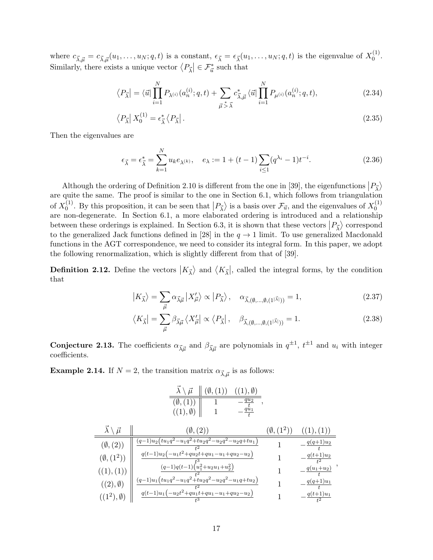where  $c_{\vec{\lambda}, \vec{\mu}} = c_{\vec{\lambda}, \vec{\mu}}(u_1, \dots, u_N; q, t)$  is a constant,  $\epsilon_{\vec{\lambda}} = \epsilon_{\vec{\lambda}}(u_1, \dots, u_N; q, t)$  is the eigenvalue of  $X_0^{(1)}$  $\binom{1}{0}$ . Similarly, there exists a unique vector  $\langle P_{\vec{\lambda}} | \in \mathcal{F}_{\vec{u}}^*$  such that

$$
\langle P_{\vec{\lambda}} \vert = \langle \vec{u} \vert \prod_{i=1}^{N} P_{\lambda^{(i)}}(a_n^{(i)}; q, t) + \sum_{\vec{\mu} \, \stackrel{*}{\geq} \, \vec{\lambda}} c_{\vec{\lambda}, \vec{\mu}}^* \langle \vec{u} \vert \prod_{i=1}^{N} P_{\mu^{(i)}}(a_n^{(i)}; q, t), \tag{2.34}
$$

$$
\langle P_{\vec{\lambda}} | X_0^{(1)} = \epsilon_{\vec{\lambda}}^* \langle P_{\vec{\lambda}} | \,. \tag{2.35}
$$

Then the eigenvalues are

$$
\epsilon_{\vec{\lambda}} = \epsilon_{\vec{\lambda}}^* = \sum_{k=1}^N u_k e_{\lambda^{(k)}}, \quad e_{\lambda} := 1 + (t - 1) \sum_{i \le 1} (q^{\lambda_i} - 1) t^{-i}.
$$
 (2.36)

Although the ordering of Definition 2.10 is different from the one in [39], the eigenfunctions  $|P_{\vec{\lambda}}\rangle$ are quite the same. The proof is similar to the one in Section 6.1, which follows from triangulation of  $X_0^{(1)}$ <sup>(1)</sup>. By this proposition, it can be seen that  $|P_{\vec{\lambda}}\rangle$  is a basis over  $\mathcal{F}_{\vec{u}}$ , and the eigenvalues of  $X_0^{(1)}$ .  $\boldsymbol{0}$ are non-degenerate. In Section 6.1, a more elaborated ordering is introduced and a relationship between these orderings is explained. In Section 6.3, it is shown that these vectors  $|P_{\vec{\lambda}}\rangle$  correspond to the generalized Jack functions defined in [28] in the  $q \to 1$  limit. To use generalized Macdonald functions in the AGT correspondence, we need to consider its integral form. In this paper, we adopt the following renormalization, which is slightly different from that of [39].

**Definition 2.12.** Define the vectors  $|K_{\vec{\lambda}}\rangle$  and  $\langle K_{\vec{\lambda}}|$ , called the integral forms, by the condition that

$$
\left|K_{\vec{\lambda}}\right\rangle = \sum_{\vec{\mu}} \alpha_{\vec{\lambda}\vec{\mu}} \left|X'_{\vec{\mu}}\right\rangle \propto \left|P_{\vec{\lambda}}\right\rangle, \quad \alpha_{\vec{\lambda},(\emptyset,\dots,\emptyset,(1^{|\vec{\lambda}|}))} = 1,\tag{2.37}
$$

$$
\langle K_{\vec{\lambda}}| = \sum_{\vec{\mu}} \beta_{\vec{\lambda}\vec{\mu}} \langle X'_{\vec{\mu}}| \propto \langle P_{\vec{\lambda}}|, \quad \beta_{\vec{\lambda},(\emptyset,\dots,\emptyset,(1^{|\vec{\lambda}|}))} = 1.
$$
 (2.38)

*,*

**Conjecture 2.13.** The coefficients  $\alpha_{\vec{\lambda}\vec{\mu}}$  and  $\beta_{\vec{\lambda}\vec{\mu}}$  are polynomials in  $q^{\pm 1}$ ,  $t^{\pm 1}$  and  $u_i$  with integer coefficients.

**Example 2.14.** If  $N = 2$ , the transition matrix  $\alpha_{\bar{\lambda}, \bar{u}}$  is as follows:

$$
\frac{\vec{\lambda} \setminus \vec{\mu} \parallel (\emptyset, (1)) \quad ((1), \emptyset)}{(\emptyset, (1)) \parallel 1 - \frac{qu_1}{t}}, \n\frac{\vec{\lambda} \setminus \vec{\mu} \parallel (q, (1)) \parallel (1, \emptyset)}{(\emptyset, (2)) \parallel 1 - \frac{qu_1}{t}} \n\frac{\vec{\lambda} \setminus \vec{\mu} \parallel (q-1)u_2(tu_1q^2 - u_1q^2 + tu_2q^2 - u_2q^2 - u_2q + tu_1)}{t^2} \quad (1), (1)) \n\frac{(q, (1))}{t^2} \frac{q(t-1)u_2(-u_1t^2 + qu_2t + qu_1 - u_1 + qu_2 - u_2)}{t^2} \quad 1 - \frac{q(t+1)u_2}{t^2} \n\frac{(q-1)q(t-1)(u_1^2 + u_2u_1 + u_2^2)}{t^2} \quad 1 - \frac{q(u_1+u_2)}{t^2} \n\frac{(q-1)u_1(tu_1q^2 - u_1q^2 + tu_2q^2 - u_2q^2 - u_1q + tu_2)}{t^2} \quad 1 - \frac{q(q+1)u_1}{t} \n\frac{(q+1)u_1(-u_2t^2 + qu_1t + qu_1 - u_1 + qu_2 - u_2)}{t^3} \quad 1 - \frac{q(t+1)u_1}{t^2} \n\frac{q(t+1)u_1(-u_2t^2 + qu_1t + qu_1 - u_1 + qu_2 - u_2)}{t^3} \quad 1 - \frac{q(t+1)u_1}{t^2}
$$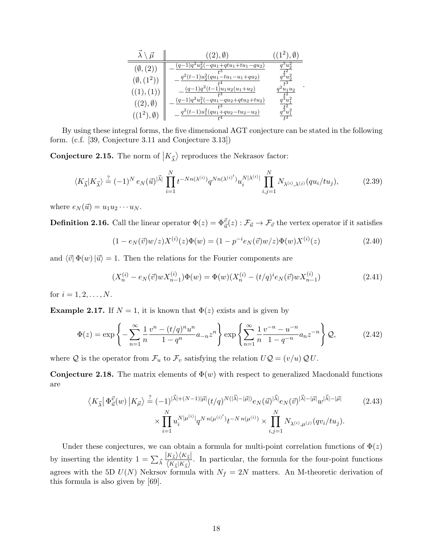|                      | (2),                                          |       |
|----------------------|-----------------------------------------------|-------|
| $(\emptyset, (2))$   | $(q-1)q^2u_2^2(-qu_1+qtu_1+tu_1-qu_2)$        |       |
| $(\emptyset, (1^2))$ | $q^2(t-1)u_2^2-qu_1-u_1-u_1+qu_2)$            |       |
| ((1), (1)            | $(q-1)q^2(t-1)u_1u_2(u_1+u_2)$                | $u_2$ |
| $((2), \emptyset)$   | $(q-1)q^2u_1^2(-qu_1)$<br>$-qu_2+qtu_2+tu_2)$ | റ     |
| $( (1^2)$            | $q^2(t-1)u_1^2-qu_1+qu_2-tu_2-u_2)$           |       |

By using these integral forms, the five dimensional AGT conjecture can be stated in the following form. (c.f. [39, Conjecture 3.11 and Conjecture 3.13])

**Conjecture 2.15.** The norm of  $|K_{\vec{\lambda}}\rangle$  reproduces the Nekrasov factor:

$$
\langle K_{\vec{\lambda}} | K_{\vec{\lambda}} \rangle \stackrel{?}{=} (-1)^N e_N(\vec{u})^{|\vec{\lambda}|} \prod_{i=1}^N t^{-Nn(\lambda^{(i)})} q^{Nn(\lambda^{(i)})} u_i^{N|\lambda^{(i)}|} \prod_{i,j=1}^N N_{\lambda^{(i)},\lambda^{(j)}}(qu_i/tu_j), \tag{2.39}
$$

where  $e_N(\vec{u}) = u_1 u_2 \cdots u_N$ .

**Definition 2.16.** Call the linear operator  $\Phi(z) = \Phi_{\vec{u}}^{\vec{v}}(z) : \mathcal{F}_{\vec{u}} \to \mathcal{F}_{\vec{v}}$  the vertex operator if it satisfies

$$
(1 - e_N(\vec{v})w/z)X^{(i)}(z)\Phi(w) = (1 - p^{-i}e_N(\vec{v})w/z)\Phi(w)X^{(i)}(z)
$$
\n(2.40)

*.*

and  $\langle \vec{v} | \Phi(w) | \vec{u} \rangle = 1$ . Then the relations for the Fourier components are

$$
(X_n^{(i)} - e_N(\vec{v})wX_{n-1}^{(i)})\Phi(w) = \Phi(w)(X_n^{(i)} - (t/q)^i e_N(\vec{v})wX_{n-1}^{(i)})
$$
\n(2.41)

for  $i = 1, 2, ..., N$ .

**Example 2.17.** If  $N = 1$ , it is known that  $\Phi(z)$  exists and is given by

$$
\Phi(z) = \exp\left\{-\sum_{n=1}^{\infty} \frac{1}{n} \frac{v^n - (t/q)^n u^n}{1 - q^n} a_{-n} z^n \right\} \exp\left\{\sum_{n=1}^{\infty} \frac{1}{n} \frac{v^{-n} - u^{-n}}{1 - q^{-n}} a_n z^{-n} \right\} \mathcal{Q},\tag{2.42}
$$

where  $Q$  is the operator from  $\mathcal{F}_u$  to  $\mathcal{F}_v$  satisfying the relation  $UQ = (v/u) Q U$ .

**Conjecture 2.18.** The matrix elements of  $\Phi(w)$  with respect to generalized Macdonald functions are

$$
\langle K_{\vec{\lambda}} | \Phi_{\vec{u}}^{\vec{v}}(w) | K_{\vec{\mu}} \rangle \stackrel{?}{=} (-1)^{|\vec{\lambda}| + (N-1)|\vec{\mu}|} (t/q)^{N(|\vec{\lambda}| - |\vec{\mu}|)} e_N(\vec{u})^{|\vec{\lambda}|} e_N(\vec{v})^{|\vec{\lambda}| - |\vec{\mu}|} w^{|\vec{\lambda}| - |\vec{\mu}|} \qquad (2.43)
$$

$$
\times \prod_{i=1}^N u_i^{N|\mu^{(i)}|} q^{N n(\mu^{(i)'})} t^{-N n(\mu^{(i)})} \times \prod_{i,j=1}^N N_{\lambda^{(i)},\mu^{(j)}}(qv_i/tu_j).
$$

Under these conjectures, we can obtain a formula for multi-point correlation functions of  $\Phi(z)$ by inserting the identity  $1 = \sum_{\vec{\lambda}}$  $|K_{\vec{\lambda}}\rangle\langle K_{\vec{\lambda}}|$  $\sqrt{\frac{K_{\overline{\lambda}}/\sqrt{K_{\overline{\lambda}}}}{K_{\overline{\lambda}}/K_{\overline{\lambda}}}}$ . In particular, the formula for the four-point functions agrees with the 5D  $U(N)$  Nekrsov formula with  $N_f = 2N$  matters. An M-theoretic derivation of this formula is also given by [69].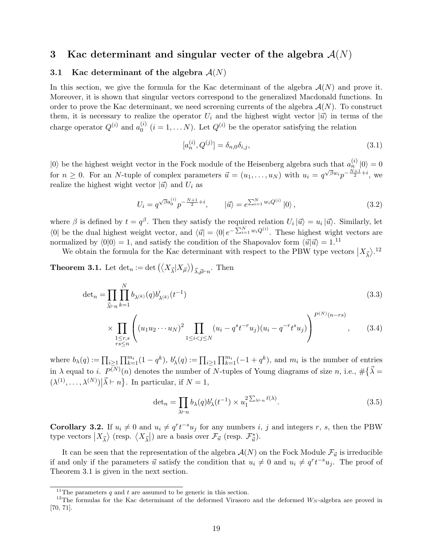# **3 Kac determinant and singular vecter of the algebra** *A*(*N*)

#### **3.1 Kac determinant of the algebra** *A*(*N*)

In this section, we give the formula for the Kac determinant of the algebra *A*(*N*) and prove it. Moreover, it is shown that singular vectors correspond to the generalized Macdonald functions. In order to prove the Kac determinant, we need screening currents of the algebra *A*(*N*). To construct them, it is necessary to realize the operator  $U_i$  and the highest wight vector  $|\vec{u}\rangle$  in terms of the charge operator  $Q^{(i)}$  and  $a_0^{(i)}$  $Q_0^{(i)}$   $(i = 1, \ldots N)$ . Let  $Q_i^{(i)}$  be the operator satisfying the relation

$$
[a_n^{(i)}, Q^{(j)}] = \delta_{n,0}\delta_{i,j},\tag{3.1}
$$

 $|0\rangle$  be the highest weight vector in the Fock module of the Heisenberg algebra such that  $a_n^{(i)}|0\rangle = 0$ for  $n \geq 0$ . For an *N*-tuple of complex parameters  $\vec{u} = (u_1, \ldots, u_N)$  with  $u_i = q^{\sqrt{\beta}w_i}p^{-\frac{N+1}{2}+i}$ , we realize the highest wight vector  $|\vec{u}\rangle$  and  $U_i$  as

$$
U_i = q^{\sqrt{\beta}a_0^{(i)}}p^{-\frac{N+1}{2}+i}, \qquad |\vec{u}\rangle = e^{\sum_{i=1}^N w_i Q^{(i)}}|0\rangle\,,\tag{3.2}
$$

where  $\beta$  is defined by  $t = q^{\beta}$ . Then they satisfy the required relation  $U_i | \vec{u} \rangle = u_i | \vec{u} \rangle$ . Similarly, let  $\langle 0 |$  be the dual highest weight vector, and  $\langle \vec{u} | = \langle 0 | e^{-\sum_{i=1}^{N} w_i Q^{(i)}}$ . These highest wight vectors are normalized by  $\langle 0|0 \rangle = 1$ , and satisfy the condition of the Shapovalov form  $\langle \vec{u} | \vec{u} \rangle = 1$ .<sup>11</sup>

We obtain the formula for the Kac determinant with respect to the PBW type vectors  $|X_{\vec{\lambda}}\rangle$ .<sup>12</sup>

**Theorem 3.1.** Let  $\det_n := \det \left( \langle X_{\vec{\lambda}} | X_{\vec{\mu}} \rangle \right)_{\vec{\lambda}, \vec{\mu} \vdash n}$ . Then

$$
\det_n = \prod_{\vec{\lambda}\vdash n} \prod_{k=1}^N b_{\lambda^{(k)}}(q) b'_{\lambda^{(k)}}(t^{-1})
$$
\n(3.3)

$$
\times \prod_{\substack{1 \le r,s \\ rs \le n}} \left( (u_1 u_2 \cdots u_N)^2 \prod_{1 \le i < j \le N} (u_i - q^s t^{-r} u_j)(u_i - q^{-r} t^s u_j) \right)^{P^{(N)}(n-rs)}, \quad (3.4)
$$

where  $b_{\lambda}(q) := \prod_{i \geq 1} \prod_{k=1}^{m_i} (1 - q^k)$ ,  $b'_{\lambda}(q) := \prod_{i \geq 1} \prod_{k=1}^{m_i} (-1 + q^k)$ , and  $m_i$  is the number of entries in *λ* equal to *i*.  $P^{(N)}(n)$  denotes the number of *N*-tuples of Young diagrams of size *n*, i.e.,  $\#\{\vec{\lambda} =$  $(\lambda^{(1)}, \ldots, \lambda^{(N)}) | \vec{\lambda} \vdash n$  }. In particular, if  $N = 1$ ,

$$
\det_n = \prod_{\lambda \vdash n} b_{\lambda}(q) b'_{\lambda}(t^{-1}) \times u_1^{2 \sum_{\lambda \vdash n} \ell(\lambda)}.
$$
\n(3.5)

**Corollary 3.2.** If  $u_i \neq 0$  and  $u_i \neq q^r t^{-s} u_j$  for any numbers i, j and integers r, s, then the PBW type vectors  $|X_{\vec{\lambda}}\rangle$  (resp.  $\langle X_{\vec{\lambda}}|$ ) are a basis over  $\mathcal{F}_{\vec{u}}$  (resp.  $\mathcal{F}_{\vec{u}}^*$ ).

It can be seen that the representation of the algebra  $\mathcal{A}(N)$  on the Fock Module  $\mathcal{F}_{\vec{u}}$  is irreducible if and only if the parameters  $\vec{u}$  satisfy the condition that  $u_i \neq 0$  and  $u_i \neq q^r t^{-s} u_j$ . The proof of Theorem 3.1 is given in the next section.

<sup>&</sup>lt;sup>11</sup>The parameters  $q$  and  $t$  are assumed to be generic in this section.

<sup>&</sup>lt;sup>12</sup>The formulas for the Kac determinant of the deformed Virasoro and the deformed  $W_N$ -algebra are proved in [70, 71].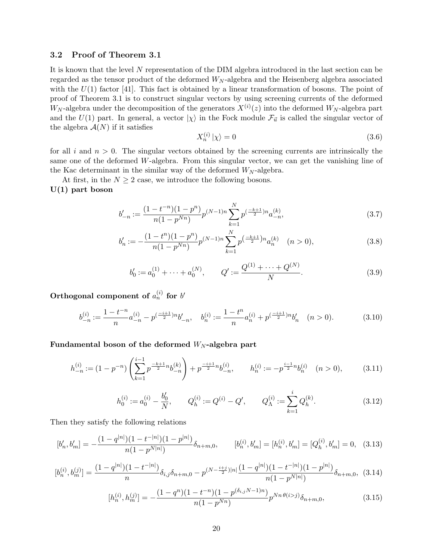#### **3.2 Proof of Theorem 3.1**

It is known that the level *N* representation of the DIM algebra introduced in the last section can be regarded as the tensor product of the deformed *W<sup>N</sup>* -algebra and the Heisenberg algebra associated with the  $U(1)$  factor [41]. This fact is obtained by a linear transformation of bosons. The point of proof of Theorem 3.1 is to construct singular vectors by using screening currents of the deformed  $W_N$ -algebra under the decomposition of the generators  $X^{(i)}(z)$  into the deformed  $W_N$ -algebra part and the  $U(1)$  part. In general, a vector  $|\chi\rangle$  in the Fock module  $\mathcal{F}_{\vec{u}}$  is called the singular vector of the algebra  $A(N)$  if it satisfies

$$
X_n^{(i)}|\chi\rangle = 0\tag{3.6}
$$

for all *i* and *n >* 0. The singular vectors obtained by the screening currents are intrinsically the same one of the deformed *W*-algebra. From this singular vector, we can get the vanishing line of the Kac determinant in the similar way of the deformed *W<sup>N</sup>* -algebra.

At first, in the  $N \geq 2$  case, we introduce the following bosons. **U(1) part boson**

$$
b'_{-n} := \frac{(1 - t^{-n})(1 - p^n)}{n(1 - p^{Nn})} p^{(N-1)n} \sum_{k=1}^{N} p^{\left(\frac{-k+1}{2}\right)n} a_{-n}^{(k)},\tag{3.7}
$$

$$
b'_n := -\frac{(1 - t^n)(1 - p^n)}{n(1 - p^{Nn})} p^{(N-1)n} \sum_{k=1}^N p^{\left(\frac{-k+1}{2}\right)n} a_n^{(k)} \quad (n > 0),\tag{3.8}
$$

$$
b'_0 := a_0^{(1)} + \dots + a_0^{(N)}, \qquad Q' := \frac{Q^{(1)} + \dots + Q^{(N)}}{N}.
$$
\n(3.9)

Orthogonal component of  $a_n^{(i)}$  for  $b'$ 

$$
b_{-n}^{(i)} := \frac{1 - t^{-n}}{n} a_{-n}^{(i)} - p^{\left(\frac{-i+1}{2}\right)n} b_{-n}', \quad b_n^{(i)} := \frac{1 - t^n}{n} a_n^{(i)} + p^{\left(\frac{-i+1}{2}\right)n} b_n' \quad (n > 0). \tag{3.10}
$$

# **Fundamental boson of the deformed** *W<sup>N</sup>* **-algebra part**

$$
h_{-n}^{(i)} := (1 - p^{-n}) \left( \sum_{k=1}^{i-1} p^{\frac{-k+1}{2}n} b_{-n}^{(k)} \right) + p^{\frac{-i+1}{2}n} b_{-n}^{(i)}, \qquad h_n^{(i)} := -p^{\frac{i-1}{2}n} b_n^{(i)} \quad (n > 0), \tag{3.11}
$$

$$
h_0^{(i)} := a_0^{(i)} - \frac{b_0'}{N}, \qquad Q_h^{(i)} := Q^{(i)} - Q', \qquad Q_\Lambda^{(i)} := \sum_{k=1}^i Q_h^{(k)}.
$$
 (3.12)

Then they satisfy the following relations

$$
[b'_n, b'_m] = -\frac{(1-q^{|n|})(1-t^{-|n|})(1-p^{|n|})}{n(1-p^{N|n|})}\delta_{n+m,0}, \qquad [b_n^{(i)}, b'_m] = [h_n^{(i)}, b'_m] = [Q_h^{(i)}, b'_m] = 0, \quad (3.13)
$$

$$
[b_n^{(i)}, b_m^{(j)}] = \frac{(1-q^{|n|})(1-t^{-|n|})}{n} \delta_{i,j} \delta_{n+m,0} - p^{(N-\frac{i+j}{2})|n|} \frac{(1-q^{|n|})(1-t^{-|n|})(1-p^{|n|})}{n(1-p^{N|n|})} \delta_{n+m,0},
$$
(3.14)

$$
[h_n^{(i)}, h_m^{(j)}] = -\frac{(1-q^n)(1-t^{-n})(1-p^{(\delta_{i,j}N-1)n})}{n(1-p^{Nn})} p^{Nn \theta(i>j)} \delta_{n+m,0},
$$
\n(3.15)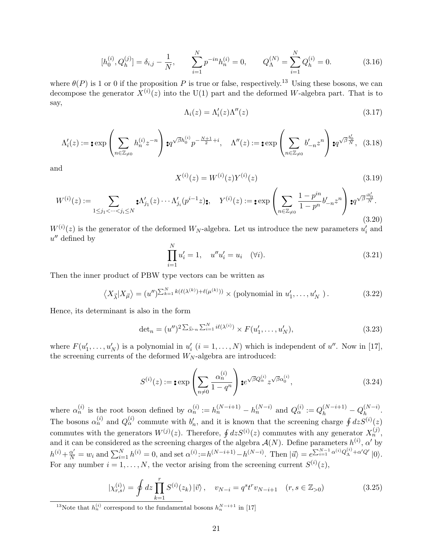$$
[h_0^{(i)}, Q_h^{(j)}] = \delta_{i,j} - \frac{1}{N}, \qquad \sum_{i=1}^N p^{-in} h_n^{(i)} = 0, \qquad Q_\Lambda^{(N)} = \sum_{i=1}^N Q_h^{(i)} = 0. \tag{3.16}
$$

where  $\theta(P)$  is 1 or 0 if the proposition *P* is true or false, respectively.<sup>13</sup> Using these bosons, we can decompose the generator  $X^{(i)}(z)$  into the U(1) part and the deformed *W*-algebra part. That is to say,

$$
\Lambda_i(z) = \Lambda_i'(z)\Lambda''(z) \tag{3.17}
$$

$$
\Lambda_i'(z) := \mathop{\mathbf{:=}} \exp\left(\sum_{n \in \mathbb{Z}_{\neq 0}} h_n^{(i)} z^{-n}\right) \mathop{\mathbf{:=}} \mathop{\mathbf{:=}} \nolimits q^{\sqrt{\beta} h_0^{(i)}} p^{-\frac{N+1}{2} + i}, \quad \Lambda''(z) := \mathop{\mathbf{:=}} \nolimits \exp\left(\sum_{n \in \mathbb{Z}_{\neq 0}} b'_{-n} z^n\right) \mathop{\mathbf{:=}} \nolimits q^{\sqrt{\beta} \frac{b'_0}{N}}, \quad (3.18)
$$

and

$$
X^{(i)}(z) = W^{(i)}(z)Y^{(i)}(z)
$$
\n(3.19)

$$
W^{(i)}(z) := \sum_{1 \le j_1 < \dots < j_i \le N} \mathbf{X}'_{j_1}(z) \cdots \Lambda'_{j_i}(p^{i-1}z) \mathbf{X}, \quad Y^{(i)}(z) := \mathbf{I} \exp\left(\sum_{n \in \mathbb{Z}_{\neq 0}} \frac{1 - p^{in}}{1 - p^n} b'_{-n} z^n\right) \mathbf{X}^{j_1 \overline{\beta} \cdot \overline{\beta} \overline{\gamma}}.
$$
\n
$$
(3.20)
$$

 $W^{(i)}(z)$  is the generator of the deformed  $W_N$ -algebra. Let us introduce the new parameters  $u'_i$  and *u ′′* defined by

$$
\prod_{i=1}^{N} u'_i = 1, \quad u''u'_i = u_i \quad (\forall i).
$$
\n(3.21)

Then the inner product of PBW type vectors can be written as

$$
\left\langle X_{\vec{\lambda}} | X_{\vec{\mu}} \right\rangle = (u'')^{\sum_{k=1}^{N} k(\ell(\lambda^{(k)}) + \ell(\mu^{(k)}))} \times \text{(polynomial in } u'_1, \dots, u'_N \text{ )}.
$$
 (3.22)

Hence, its determinant is also in the form

$$
\det_n = (u'')^{2\sum_{\vec{\lambda}\vdash n} \sum_{i=1}^N i\ell(\lambda^{(i)})} \times F(u'_1, \dots, u'_N),
$$
\n(3.23)

where  $F(u'_1, \ldots, u'_N)$  is a polynomial in  $u'_i$   $(i = 1, \ldots, N)$  which is independent of  $u''$ . Now in [17], the screening currents of the deformed *W<sup>N</sup>* -algebra are introduced:

$$
S^{(i)}(z) := \mathbf{:=} \exp\left(\sum_{n \neq 0} \frac{\alpha_n^{(i)}}{1 - q^n}\right) \mathbf{:=} e^{\sqrt{\beta}Q_\alpha^{(i)}} z^{\sqrt{\beta}\alpha_0^{(i)}},\tag{3.24}
$$

where  $\alpha_n^{(i)}$  is the root boson defined by  $\alpha_n^{(i)} := h_n^{(N-i+1)} - h_n^{(N-i)}$  and  $Q_\alpha^{(i)} := Q_h^{(N-i+1)} - Q_h^{(N-i)}$ . The bosons  $\alpha_n^{(i)}$  and  $Q_{\alpha}^{(i)}$  commute with  $b'_n$ , and it is known that the screening charge  $\oint dz S^{(i)}(z)$ commutes with the generators  $W^{(j)}(z)$ . Therefore,  $\oint dz S^{(i)}(z)$  commutes with any generator  $X_n^{(j)}$ , and it can be considered as the screening charges of the algebra  $\mathcal{A}(N)$ . Define parameters  $h^{(i)}$ ,  $\alpha'$  by  $h^{(i)} + \frac{\alpha'}{N} = w_i$  and  $\sum_{i=1}^{N} h^{(i)} = 0$ , and set  $\alpha^{(i)} := h^{(N-i+1)} - h^{(N-i)}$ . Then  $|\vec{u}\rangle = e^{\sum_{i=1}^{N-1} \alpha^{(i)} Q_{\Lambda}^{(i)} + \alpha' Q'} |0\rangle$ . For any number  $i = 1, ..., N$ , the vector arising from the screening current  $S^{(i)}(z)$ ,

$$
|\chi_{r,s}^{(i)}\rangle = \oint dz \prod_{k=1}^{r} S^{(i)}(z_k) |\vec{v}\rangle, \quad v_{N-i} = q^s t^r v_{N-i+1} \quad (r, s \in \mathbb{Z}_{>0})
$$
(3.25)

<sup>&</sup>lt;sup>13</sup>Note that  $h_n^{(i)}$  correspond to the fundamental bosons  $h_n^{N-i+1}$  in [17]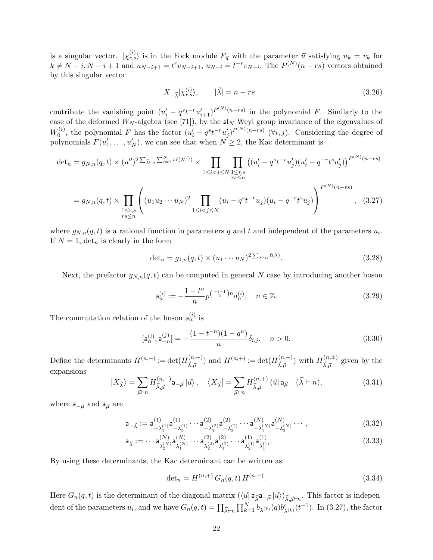is a singular vector.  $|\chi_{r,s}^{(i)}\rangle$  is in the Fock module  $F_{\vec{u}}$  with the parameter  $\vec{u}$  satisfying  $u_k = v_k$  for  $k \neq N-i$ ,  $N-i+1$  and  $u_{N-i+1} = t^r v_{N-i+1}$ ,  $u_{N-i} = t^{-r} v_{N-i}$ . The  $P^{(N)}(n-rs)$  vectors obtained by this singular vector

$$
X_{-\vec{\lambda}}|\chi_{r,s}^{(i)}\rangle, \qquad |\vec{\lambda}| = n - rs \tag{3.26}
$$

contribute the vanishing point  $(u'_i - q^s t^{-r} u'_{i+1})^{P^{(N)}(n-rs)}$  in the polynomial F. Similarly to the case of the deformed  $W_N$ -algebra (see [71]), by the  $\mathfrak{sl}_N$  Weyl group invariance of the eigenvalues of  $W_0^{(i)}$  $v_0^{(i)}$ , the polynomial F has the factor  $(u'_i - q^s t^{-r} u'_j)^{P^{(N)}(n-rs)}$  ( $\forall i, j$ ). Considering the degree of polynomials  $F(u'_1, \ldots, u'_N)$ , we can see that when  $N \geq 2$ , the Kac determinant is

$$
\det_n = g_{N,n}(q,t) \times (u'')^2 \Sigma_{\vec{\lambda}^{+n}} \Sigma_{i=1}^N i\ell(\lambda^{(i)}) \times \prod_{1 \le i < j \le N} \prod_{\substack{1 \le r,s \\ rs \le n}} \left( (u'_i - q^{st-r} u'_j)(u'_i - q^{-rt} u'_j) \right)^{P^{(N)}(n-rs)}
$$
\n
$$
= g_{N,n}(q,t) \times \prod_{\substack{1 \le r,s \\ rs \le n}} \left( (u_1 u_2 \cdots u_N)^2 \prod_{1 \le i < j \le N} (u_i - q^{st-r} u_j)(u_i - q^{-rt} u'_j) \right)^{P^{(N)}(n-rs)}, \quad (3.27)
$$

where  $g_{N,n}(q,t)$  is a rational function in parameters q and t and independent of the parameters  $u_i$ . If  $N = 1$ ,  $\det_n$  is clearly in the form

$$
\det_n = g_{1,n}(q,t) \times (u_1 \cdots u_N)^2 \sum_{\lambda \vdash n} \ell(\lambda).
$$
\n(3.28)

Next, the prefactor  $g_{N,n}(q,t)$  can be computed in general N case by introducing another boson

$$
\mathsf{a}_n^{(i)} := -\frac{1 - t^n}{n} p^{\left(\frac{-i+1}{2}\right)n} a_n^{(i)}, \quad n \in \mathbb{Z}.
$$
 (3.29)

The commutation relation of the boson  $a_n^{(i)}$  is

$$
[\mathsf{a}_n^{(i)}, \mathsf{a}_{-n}^{(j)}] = -\frac{(1 - t^{-n})(1 - q^n)}{n} \delta_{i,j}, \quad n > 0. \tag{3.30}
$$

Define the determinants  $H^{(n,-)} := \det(H^{(n,-)}_{\tau-})$  $(\bar{n}, -)$ <sub> $(\bar{n}, +)$ </sub> and  $H^{(n,+)} := \det(H^{(n,+)}_{\vec{\lambda}, \vec{\mu}})$  $(\bar{x}, +)$ <sub> $(\bar{x}, \bar{\mu})$ </sub> with  $H^{(n, \pm)}_{\vec{\lambda}, \vec{\mu}}$  $\vec{\lambda}, \vec{\mu}$  given by the expansions

$$
\left|X_{\vec{\lambda}}\right\rangle = \sum_{\vec{\mu}\vdash n} H_{\vec{\lambda},\vec{\mu}}^{(n,-)} \mathsf{a}_{-\vec{\mu}} \left|\vec{u}\right\rangle, \quad \left\langle X_{\vec{\lambda}}\right| = \sum_{\vec{\mu}\vdash n} H_{\vec{\lambda},\vec{\mu}}^{(n,+)} \left\langle\vec{u}\right| \mathsf{a}_{\vec{\mu}} \quad (\vec{\lambda}\vdash n),\tag{3.31}
$$

where  $a_{-\vec{\mu}}$  and  $a_{\vec{\mu}}$  are

$$
\mathsf{a}_{-\vec{\lambda}} := \mathsf{a}_{-\lambda_1^{(1)}}^{(1)} \mathsf{a}_{-\lambda_2^{(1)}}^{(1)} \cdots \mathsf{a}_{-\lambda_1^{(2)}}^{(2)} \mathsf{a}_{-\lambda_2^{(2)}}^{(2)} \cdots \mathsf{a}_{-\lambda_1^{(N)}}^{(N)} \mathsf{a}_{-\lambda_2^{(N)}}^{(N)} \cdots , \qquad (3.32)
$$

$$
\mathsf{a}_{\vec{\lambda}} := \cdots \mathsf{a}_{\lambda_2^{(N)}}^{(N)} \mathsf{a}_{\lambda_1^{(N)}}^{(N)} \cdots \mathsf{a}_{\lambda_2^{(2)}}^{(2)} \mathsf{a}_{\lambda_1^{(2)}}^{(2)} \cdots \mathsf{a}_{\lambda_2^{(1)}}^{(1)} \mathsf{a}_{\lambda_1^{(1)}}^{(1)}.
$$
(3.33)

By using these determinants, the Kac determinant can be written as

$$
\det_n = H^{(n,+)} G_n(q,t) H^{(n,-)}.
$$
\n(3.34)

Here  $G_n(q, t)$  is the determinant of the diagonal matrix  $(\langle \vec{u} | a_{\vec{\lambda}} a_{-\vec{\mu}} | \vec{u} \rangle)_{\vec{\lambda}, \vec{\mu} \vdash n}$ . This factor is independent of the parameters  $u_i$ , and we have  $G_n(q,t) = \prod_{\vec{\lambda} \vdash n} \prod_{k=1}^N b_{\lambda^{(k)}}(q) b'_{\lambda^{(k)}}(t^{-1})$ . In (3.27), the factor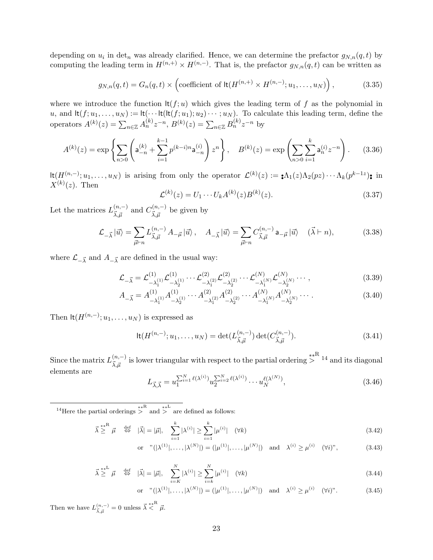depending on  $u_i$  in det<sub>n</sub> was already clarified. Hence, we can determine the prefactor  $g_{N,n}(q,t)$  by computing the leading term in  $H^{(n,+)} \times H^{(n,-)}$ . That is, the prefactor  $g_{N,n}(q,t)$  can be written as

$$
g_{N,n}(q,t) = G_n(q,t) \times \left(\text{coefficient of } \text{lt}(H^{(n,+)} \times H^{(n,-)}; u_1, \dots, u_N)\right),\tag{3.35}
$$

where we introduce the function  $\text{lt}(f; u)$  which gives the leading term of f as the polynomial in  $u$ , and  $\text{lt}(f; u_1, \ldots, u_N) := \text{lt}(\cdots \text{lt}(\text{lt}(f; u_1); u_2) \cdots; u_N)$ . To calculate this leading term, define the operators  $A^{(k)}(z) = \sum_{n \in \mathbb{Z}} A_n^{(k)} z^{-n}$ ,  $B^{(k)}(z) = \sum_{n \in \mathbb{Z}} B_n^{(k)} z^{-n}$  by

$$
A^{(k)}(z) = \exp\left\{\sum_{n>0} \left(\mathbf{a}_{-n}^{(k)} + \sum_{i=1}^{k-1} p^{(k-i)n} \mathbf{a}_{-n}^{(i)}\right) z^n\right\}, \quad B^{(k)}(z) = \exp\left(\sum_{n>0} \sum_{i=1}^k \mathbf{a}_n^{(i)} z^{-n}\right). \tag{3.36}
$$

 $\text{lt}(H^{(n,-)};u_1,\ldots,u_N)$  is arising from only the operator  $\mathcal{L}^{(k)}(z) := \mathbf{A}_1(z)\Lambda_2(pz)\cdots\Lambda_k(p^{k-1}z)$ ; in  $X^{(k)}(z)$ . Then

$$
\mathcal{L}^{(k)}(z) = U_1 \cdots U_k A^{(k)}(z) B^{(k)}(z). \tag{3.37}
$$

Let the matrices  $L^{(n,-)}_{\vec{r},\vec{r}}$  $\frac{(n,-)}{\vec{\lambda},\vec{\mu}}$  and  $C^{(n,-)}_{\vec{\lambda},\vec{\mu}}$  $\chi_{\vec{\lambda},\vec{\mu}}^{(n,-)}$  be given by

$$
\mathcal{L}_{-\vec{\lambda}}|\vec{u}\rangle = \sum_{\vec{\mu}\vdash n} L_{\vec{\lambda},\vec{\mu}}^{(n,-)} A_{-\vec{\mu}}|\vec{u}\rangle, \quad A_{-\vec{\lambda}}|\vec{u}\rangle = \sum_{\vec{\mu}\vdash n} C_{\vec{\lambda},\vec{\mu}}^{(n,-)} \mathsf{a}_{-\vec{\mu}}|\vec{u}\rangle \quad (\vec{\lambda}\vdash n),\tag{3.38}
$$

where  $\mathcal{L}_{-\vec{\lambda}}$  and  $A_{-\vec{\lambda}}$  are defined in the usual way:

$$
\mathcal{L}_{-\vec{\lambda}} = \mathcal{L}_{-\lambda_1^{(1)}}^{(1)} \mathcal{L}_{-\lambda_2^{(1)}}^{(1)} \cdots \mathcal{L}_{-\lambda_1^{(2)}}^{(2)} \mathcal{L}_{-\lambda_2^{(2)}}^{(2)} \cdots \mathcal{L}_{-\lambda_1^{(N)}}^{(N)} \mathcal{L}_{-\lambda_2^{(N)}}^{(N)} \cdots ,
$$
\n(3.39)

$$
A_{-\vec{\lambda}} = A_{-\lambda_1^{(1)}}^{(1)} A_{-\lambda_2^{(1)}}^{(1)} \cdots A_{-\lambda_1^{(2)}}^{(2)} A_{-\lambda_2^{(2)}}^{(2)} \cdots A_{-\lambda_1^{(N)}}^{(N)} A_{-\lambda_2^{(N)}}^{(N)} \cdots
$$
\n(3.40)

Then  $\text{lt}(H^{(n,-)}; u_1, \ldots, u_N)$  is expressed as

$$
\mathrm{lt}(H^{(n,-)}; u_1, \dots, u_N) = \det(L^{(n,-)}_{\vec{\lambda}, \vec{\mu}}) \det(C^{(n,-)}_{\vec{\lambda}, \vec{\mu}}).
$$
 (3.41)

Since the matrix  $L^{(n,-)}_{\vec{r},\vec{r}}$  $\frac{(n,-)}{\vec{\lambda}, \vec{\mu}}$  is lower triangular with respect to the partial ordering  $\frac{**}{\geq}$ <sup>14</sup> and its diagonal elements are

$$
L_{\vec{\lambda}, \vec{\lambda}} = u_1^{\sum_{i=1}^N \ell(\lambda^{(i)})} u_2^{\sum_{i=2}^N \ell(\lambda^{(i)})} \cdots u_N^{\ell(\lambda^{(N)})},
$$
\n(3.46)

<sup>14</sup>Here the partial orderings > <sup>\*\*R</sup> and > <sup>\*\*L</sup> are defined as follows:

$$
\vec{\lambda} \stackrel{\ast}{\geq}^{\mu} \vec{\mu} \quad \stackrel{\text{def}}{\Leftrightarrow} \quad |\vec{\lambda}| = |\vec{\mu}|, \quad \sum_{i=1}^{k} |\lambda^{(i)}| \geq \sum_{i=1}^{k} |\mu^{(i)}| \quad (\forall k)
$$
\n(3.42)

or "
$$
(|\lambda^{(1)}|, ..., |\lambda^{(N)}|) = (|\mu^{(1)}|, ..., |\mu^{(N)}|)
$$
 and  $\lambda^{(i)} \ge \mu^{(i)}$  ( $\forall i$ )", (3.43)

$$
\vec{\lambda} \stackrel{**}{\geq} \vec{\mu} \quad \stackrel{\text{def}}{\Leftrightarrow} \quad |\vec{\lambda}| = |\vec{\mu}|, \quad \sum_{i=K}^{N} |\lambda^{(i)}| \geq \sum_{i=k}^{N} |\mu^{(i)}| \quad (\forall k)
$$
\n(3.44)

or "
$$
(|\lambda^{(1)}|, ..., |\lambda^{(N)}|) = (|\mu^{(1)}|, ..., |\mu^{(N)}|)
$$
 and  $\lambda^{(i)} \ge \mu^{(i)}$  ( $\forall i$ )". (3.45)

Then we have  $L_{\vec{\lambda}, \vec{\mu}}^{(n,-)} = 0$  unless  $\vec{\lambda} \leq \mu^*$ .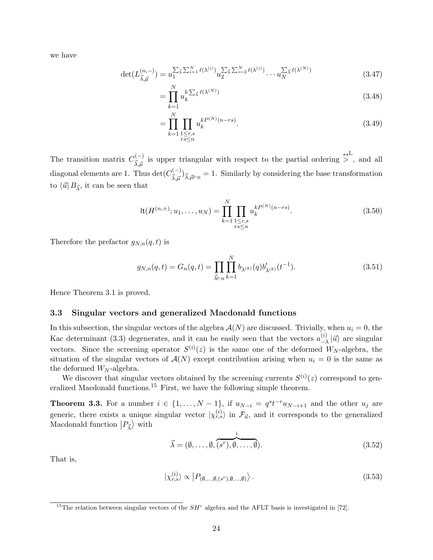we have

$$
\det(L^{(n,-)}_{\vec{\lambda},\vec{\mu}}) = u_1^{\sum_{\vec{\lambda}} \sum_{i=1}^N \ell(\lambda^{(i)})} u_2^{\sum_{\vec{\lambda}} \sum_{i=2}^N \ell(\lambda^{(i)})} \cdots u_N^{\sum_{\vec{\lambda}} \ell(\lambda^{(N)})}
$$
(3.47)

$$
=\prod_{k=1}^{N} u_k^k \Sigma_{\vec{\lambda}} \ell(\lambda^{(N)})
$$
\n(3.48)

$$
= \prod_{k=1}^{N} \prod_{\substack{1 \le r,s \\ rs \le n}} u_k^{kP^{(N)}(n-rs)}.
$$
\n(3.49)

The transition matrix  $C_{\vec{r},\vec{r}}^{(-)}$ *i*<sup>(-)</sup> is upper triangular with respect to the partial ordering  $\frac{1}{n}$ , and all diagonal elements are 1. Thus det( $C_{\vec{x}}^{(-)}$ )  $\chi_{\vec{\lambda},\vec{\mu}}^{(\neg)}\chi_{\vec{\mu}}|_{\neg n} = 1$ . Similarly by considering the base transformation to  $\langle \vec{u} | B_{\vec{\lambda}}$ , it can be seen that

$$
\mathrm{lt}(H^{(n,+)}; u_1, \dots, u_N) = \prod_{k=1}^{N} \prod_{\substack{1 \le r,s \\ rs \le n}} u_k^{k P^{(N)}(n-rs)}.
$$
\n(3.50)

Therefore the prefactor  $g_{N,n}(q,t)$  is

$$
g_{N,n}(q,t) = G_n(q,t) = \prod_{\vec{\lambda}\vdash n} \prod_{k=1}^N b_{\lambda^{(k)}}(q) b'_{\lambda^{(k)}}(t^{-1}).
$$
\n(3.51)

Hence Theorem 3.1 is proved.

## **3.3 Singular vectors and generalized Macdonald functions**

In this subsection, the singular vectors of the algebra  $\mathcal{A}(N)$  are discussed. Trivially, when  $u_i = 0$ , the Kac determinant (3.3) degenerates, and it can be easily seen that the vectors  $a_{-\lambda}^{(i)} | \vec{u} \rangle$  are singular *−λ* vectors. Since the screening operator  $S^{(i)}(z)$  is the same one of the deformed  $W_N$ -algebra, the situation of the singular vectors of  $\mathcal{A}(N)$  except contribution arising when  $u_i = 0$  is the same as the deformed  $W_N$ -algebra.

We discover that singular vectors obtained by the screening currents  $S^{(i)}(z)$  correspond to generalized Macdonald functions.<sup>15</sup> First, we have the following simple theorem.

**Theorem 3.3.** For a number  $i \in \{1, ..., N-1\}$ , if  $u_{N-i} = q^{s}t^{-r}u_{N-i+1}$  and the other  $u_j$  are generic, there exists a unique singular vector  $\ket{\chi_{r,s}^{(i)}}$  in  $\mathcal{F}_{\vec{u}}$ , and it corresponds to the generalized Macdonald function  $|P_{\vec{\lambda}}\rangle$  with

$$
\vec{\lambda} = (\emptyset, \dots, \emptyset, \overbrace{(s^r), \emptyset, \dots, \emptyset}^{i}).
$$
\n(3.52)

That is,

$$
|\chi_{r,s}^{(i)}\rangle \propto |P_{(\emptyset,\dots,\emptyset,(s^r),\emptyset,\dots,\emptyset)}\rangle.
$$
\n(3.53)

<sup>&</sup>lt;sup>15</sup>The relation between singular vectors of the  $SH^c$  algebra and the AFLT basis is investigated in [72].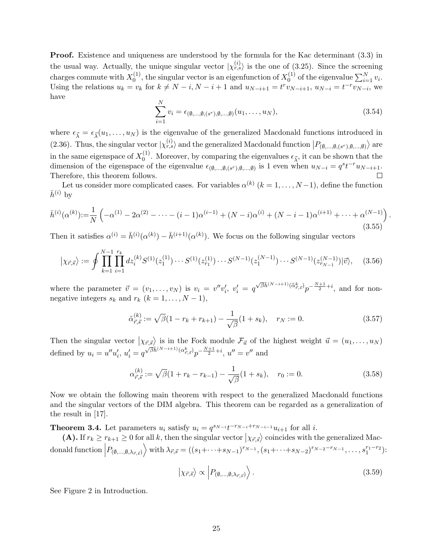**Proof.** Existence and uniqueness are understood by the formula for the Kac determinant  $(3.3)$  in the usual way. Actually, the unique singular vector  $|\chi_{r,s}^{(i)}\rangle$  is the one of (3.25). Since the screening charges commute with  $X_0^{(1)}$  $\chi_0^{(1)}$ , the singular vector is an eigenfunction of  $X_0^{(1)}$  $\sum_{i=1}^{(1)} v_i$  of the eigenvalue  $\sum_{i=1}^{N} v_i$ . Using the relations  $u_k = v_k$  for  $k \neq N - i$ ,  $N - i + 1$  and  $u_{N-i+1} = t^r v_{N-i+1}$ ,  $u_{N-i} = t^{-r} v_{N-i}$ , we have

$$
\sum_{i=1}^{N} v_i = \epsilon_{(\emptyset, \dots, \emptyset, (s^r), \emptyset, \dots, \emptyset)}(u_1, \dots, u_N),
$$
\n(3.54)

where  $\epsilon_{\vec{\lambda}} = \epsilon_{\vec{\lambda}}(u_1, \dots, u_N)$  is the eigenvalue of the generalized Macdonald functions introduced in (2.36). Thus, the singular vector  $|\chi_{r,s}^{(i)}\rangle$  and the generalized Macdonald function  $|P_{(\emptyset,\ldots,\emptyset,(s^r),\emptyset,\ldots,\emptyset)}\rangle$  are in the same eigenspace of  $X_0^{(1)}$ <sup>(1)</sup>. Moreover, by comparing the eigenvalues  $\epsilon_{\vec{\lambda}}$ , it can be shown that the dimension of the eigenspace of the eigenvalue  $\epsilon_{(\emptyset,\dots,\emptyset,(s^r),\emptyset,\dots,\emptyset)}$  is 1 even when  $u_{N-i} = q^s t^{-r} u_{N-i+1}$ . Therefore, this theorem follows.

Let us consider more complicated cases. For variables  $\alpha^{(k)}$   $(k = 1, \ldots, N-1)$ , define the function  $\bar{h}^{(i)}$  by

$$
\bar{h}^{(i)}(\alpha^{(k)}) := \frac{1}{N} \left( -\alpha^{(1)} - 2\alpha^{(2)} - \dots - (i-1)\alpha^{(i-1)} + (N-i)\alpha^{(i)} + (N-i-1)\alpha^{(i+1)} + \dots + \alpha^{(N-1)} \right).
$$
\n(3.55)

Then it satisfies  $\alpha^{(i)} = \bar{h}^{(i)}(\alpha^{(k)}) - \bar{h}^{(i+1)}(\alpha^{(k)})$ . We focus on the following singular vectors

$$
|\chi_{\vec{r},\vec{s}}\rangle := \oint \prod_{k=1}^{N-1} \prod_{i=1}^{r_k} dz_i^{(k)} S^{(1)}(z_1^{(1)}) \cdots S^{(1)}(z_{r_1}^{(1)}) \cdots S^{(N-1)}(z_1^{(N-1)}) \cdots S^{(N-1)}(z_{r_{N-1}}^{(N-1)}) |\vec{v}\rangle, \quad (3.56)
$$

where the parameter  $\vec{v} = (v_1, \ldots, v_N)$  is  $v_i = v''v'_i$ ,  $v'_i = q^{\sqrt{\beta h}(N-i+1)} (\tilde{\alpha}_{\vec{r},\vec{s}}^k) p^{-\frac{N+1}{2}+i}$ , and for nonnegative integers  $s_k$  and  $r_k$  ( $k = 1, \ldots, N - 1$ ),

$$
\tilde{\alpha}_{\vec{r},\vec{s}}^{(k)} := \sqrt{\beta}(1 - r_k + r_{k+1}) - \frac{1}{\sqrt{\beta}}(1 + s_k), \quad r_N := 0.
$$
\n(3.57)

Then the singular vector  $\langle \chi_{\vec{r},\vec{s}} \rangle$  is in the Fock module  $\mathcal{F}_{\vec{u}}$  of the highest weight  $\vec{u} = (u_1,\ldots,u_N)$ defined by  $u_i = u''u'_i$ ,  $u'_i = q^{\sqrt{\beta h}(N-i+1)}(\alpha_{\vec{r},\vec{s}}^k)p^{-\frac{N+1}{2}+i}$ ,  $u'' = v''$  and

$$
\alpha_{\vec{r},\vec{s}}^{(k)} := \sqrt{\beta}(1 + r_k - r_{k-1}) - \frac{1}{\sqrt{\beta}}(1 + s_k), \quad r_0 := 0.
$$
\n(3.58)

Now we obtain the following main theorem with respect to the generalized Macdonald functions and the singular vectors of the DIM algebra. This theorem can be regarded as a generalization of the result in [17].

**Theorem 3.4.** Let parameters  $u_i$  satisfy  $u_i = q^{s_{N-i}}t^{-r_{N-i}+r_{N-i-1}}u_{i+1}$  for all i.

(A). If  $r_k \ge r_{k+1} \ge 0$  for all *k*, then the singular vector  $\vert \chi_{\vec{r},\vec{s}} \rangle$  coincides with the generalized Macdonald function  $|P_{(\emptyset,...,\emptyset,\lambda_{\vec{r},\vec{s}})}\rangle$  with  $\lambda_{\vec{r},\vec{s}} = ((s_1 + \cdots + s_{N-1})^{r_{N-1}}, (s_1 + \cdots + s_{N-2})^{r_{N-2} - r_{N-1}}, \ldots, s_1^{r_1 - r_2})$ :

$$
\left|\chi_{\vec{r},\vec{s}}\right\rangle \propto \left|P_{(\emptyset,\ldots,\emptyset,\lambda_{\vec{r},\vec{s}})}\right\rangle. \tag{3.59}
$$

See Figure 2 in Introduction.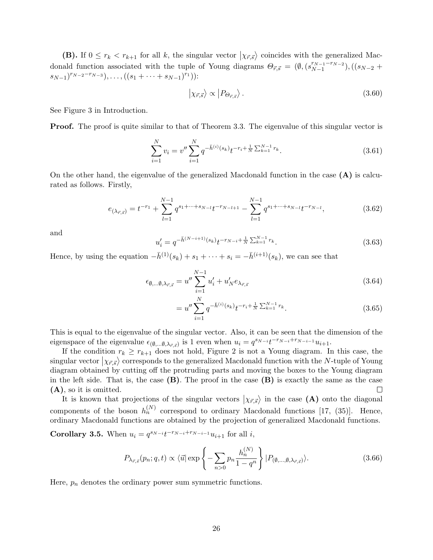**(B).** If  $0 \leq r_k < r_{k+1}$  for all *k*, the singular vector  $\langle \chi_{\vec{r},\vec{s}} \rangle$  coincides with the generalized Macdonald function associated with the tuple of Young diagrams  $\Theta_{\vec{r},\vec{s}} = (\emptyset, (s_{N-1}^{r_{N-1}-r_{N-2}}))$ *N−*1 )*,*((*sN−*<sup>2</sup> + *sN−*1) *<sup>r</sup>N−*2*−rN−*<sup>3</sup> )*, . . . ,*((*s*<sup>1</sup> <sup>+</sup> *· · ·* <sup>+</sup> *<sup>s</sup>N−*1) *<sup>r</sup>*<sup>1</sup> )):

$$
|\chi_{\vec{r},\vec{s}}\rangle \propto |P_{\Theta_{\vec{r},\vec{s}}}\rangle. \tag{3.60}
$$

See Figure 3 in Introduction.

**Proof.** The proof is quite similar to that of Theorem 3.3. The eigenvalue of this singular vector is

$$
\sum_{i=1}^{N} v_i = v'' \sum_{i=1}^{N} q^{-\bar{h}^{(i)}(s_k)} t^{-r_i + \frac{1}{N} \sum_{k=1}^{N-1} r_k}.
$$
\n(3.61)

On the other hand, the eigenvalue of the generalized Macdonald function in the case **(A)** is calcurated as follows. Firstly,

$$
e_{(\lambda_{\vec{r},\vec{s}})} = t^{-r_1} + \sum_{l=1}^{N-1} q^{s_1 + \dots + s_{N-l}} t^{-r_{N-l+1}} - \sum_{l=1}^{N-1} q^{s_1 + \dots + s_{N-l}} t^{-r_{N-l}},
$$
(3.62)

and

$$
u'_{i} = q^{-\bar{h}^{(N-i+1)}(s_k)} t^{-r_{N-i} + \frac{1}{N} \sum_{k=1}^{N-1} r_k}.
$$
\n(3.63)

Hence, by using the equation  $-\bar{h}^{(1)}(s_k) + s_1 + \cdots + s_i = -\bar{h}^{(i+1)}(s_k)$ , we can see that

$$
\epsilon_{\emptyset,\dots\emptyset,\lambda_{\vec{r},\vec{s}}} = u'' \sum_{i=1}^{N-1} u'_i + u'_N e_{\lambda_{\vec{r},\vec{s}}}
$$
\n(3.64)

$$
=u''\sum_{i=1}^{N}q^{-\bar{h}^{(i)}(s_k)}t^{-r_i+\frac{1}{N}\sum_{k=1}^{N-1}r_k}.
$$
\n(3.65)

This is equal to the eigenvalue of the singular vector. Also, it can be seen that the dimension of the eigenspace of the eigenvalue  $\epsilon_{(\emptyset,\dots\emptyset,\lambda_{\vec{r},\vec{s}})}$  is 1 even when  $u_i = q^{s_{N-i}}t^{-r_{N-i}+r_{N-i-1}}u_{i+1}$ .

If the condition  $r_k \geq r_{k+1}$  does not hold, Figure 2 is not a Young diagram. In this case, the  $\langle x \rangle$  singular vector  $\langle x, \overline{s} \rangle$  corresponds to the generalized Macdonald function with the *N*-tuple of Young diagram obtained by cutting off the protruding parts and moving the boxes to the Young diagram in the left side. That is, the case **(B)**. The proof in the case **(B)** is exactly the same as the case **(A)**, so it is omitted.  $\Box$ 

It is known that projections of the singular vectors  $\langle \chi_{\vec{r},\vec{s}} \rangle$  in the case **(A)** onto the diagonal components of the boson  $h_n^{(N)}$  correspond to ordinary Macdonald functions [17, (35)]. Hence, ordinary Macdonald functions are obtained by the projection of generalized Macdonald functions.

**Corollary 3.5.** When  $u_i = q^{s_{N-i}}t^{-r_{N-i}+r_{N-i-1}}u_{i+1}$  for all *i*,

$$
P_{\lambda_{\vec{r},\vec{s}}}(p_n;q,t) \propto \langle \vec{u} | \exp\left\{-\sum_{n>0} p_n \frac{h_n^{(N)}}{1-q^n}\right\} |P_{(\emptyset,\ldots,\emptyset,\lambda_{\vec{r},\vec{s}})}\rangle.
$$
 (3.66)

Here,  $p_n$  denotes the ordinary power sum symmetric functions.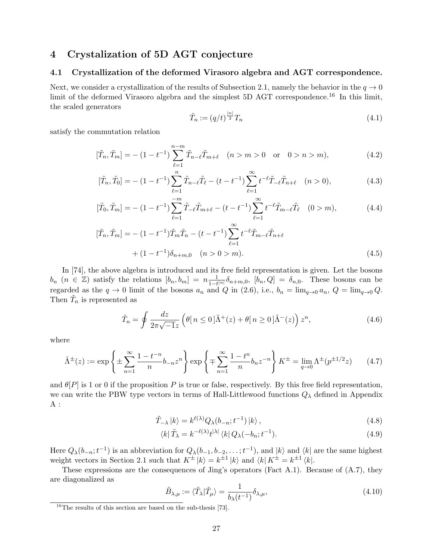# **4 Crystalization of 5D AGT conjecture**

#### **4.1 Crystallization of the deformed Virasoro algebra and AGT correspondence.**

Next, we consider a crystallization of the results of Subsection 2.1, namely the behavior in the  $q \to 0$ limit of the deformed Virasoro algebra and the simplest 5D AGT correspondence.<sup>16</sup> In this limit, the scaled generators

$$
\tilde{T}_n := (q/t)^{\frac{|n|}{2}} T_n \tag{4.1}
$$

satisfy the commutation relation

$$
[\tilde{T}_n, \tilde{T}_m] = -(1 - t^{-1}) \sum_{\ell=1}^{n-m} \tilde{T}_{n-\ell} \tilde{T}_{m+\ell} \quad (n > m > 0 \quad \text{or} \quad 0 > n > m), \tag{4.2}
$$

$$
[\tilde{T}_n, \tilde{T}_0] = -(1 - t^{-1}) \sum_{\ell=1}^n \tilde{T}_{n-\ell} \tilde{T}_{\ell} - (t - t^{-1}) \sum_{\ell=1}^\infty t^{-\ell} \tilde{T}_{-\ell} \tilde{T}_{n+\ell} \quad (n > 0),\tag{4.3}
$$

$$
[\tilde{T}_0, \tilde{T}_m] = -(1 - t^{-1}) \sum_{\ell=1}^{-m} \tilde{T}_{-\ell} \tilde{T}_{m+\ell} - (t - t^{-1}) \sum_{\ell=1}^{\infty} t^{-\ell} \tilde{T}_{m-\ell} \tilde{T}_{\ell} \quad (0 > m), \tag{4.4}
$$

$$
[\tilde{T}_n, \tilde{T}_m] = -(1 - t^{-1}) \tilde{T}_m \tilde{T}_n - (t - t^{-1}) \sum_{\ell=1}^{\infty} t^{-\ell} \tilde{T}_{m-\ell} \tilde{T}_{n+\ell}
$$

$$
+ (1 - t^{-1}) \delta_{n+m,0} \quad (n > 0 > m).
$$
(4.5)

In [74], the above algebra is introduced and its free field representation is given. Let the bosons  $b_n$   $(n \in \mathbb{Z})$  satisfy the relations  $[b_n, b_m] = n \frac{1}{1-t^{|n|}} \delta_{n+m,0}$ ,  $[b_n, Q] = \delta_{n,0}$ . These bosons can be regarded as the  $q \to 0$  limit of the bosons  $a_n$  and  $Q$  in (2.6), i.e.,  $b_n = \lim_{q \to 0} a_n$ ,  $Q = \lim_{q \to 0} Q$ . Then  $\tilde{T}_n$  is represented as

$$
\tilde{T}_n = \oint \frac{dz}{2\pi\sqrt{-1}z} \left( \theta \left[ n \le 0 \right] \tilde{\Lambda}^+(z) + \theta \left[ n \ge 0 \right] \tilde{\Lambda}^-(z) \right) z^n, \tag{4.6}
$$

where

$$
\tilde{\Lambda}^{\pm}(z) := \exp\left\{ \pm \sum_{n=1}^{\infty} \frac{1 - t^{-n}}{n} b_{-n} z^n \right\} \exp\left\{ \mp \sum_{n=1}^{\infty} \frac{1 - t^n}{n} b_n z^{-n} \right\} K^{\pm} = \lim_{q \to 0} \Lambda^{\pm}(p^{\pm 1/2} z) \tag{4.7}
$$

and  $\theta[P]$  is 1 or 0 if the proposition *P* is true or false, respectively. By this free field representation, we can write the PBW type vectors in terms of Hall-Littlewood functions *Q<sup>λ</sup>* defined in Appendix A :

$$
\tilde{T}_{-\lambda} |k\rangle = k^{\ell(\lambda)} Q_{\lambda}(b_{-n}; t^{-1}) |k\rangle, \qquad (4.8)
$$

$$
\langle k|\tilde{T}_{\lambda} = k^{-\ell(\lambda)}t^{|\lambda|}\langle k|\,Q_{\lambda}(-b_n;t^{-1}).\tag{4.9}
$$

Here  $Q_{\lambda}(b_{-n};t^{-1})$  is an abbreviation for  $Q_{\lambda}(b_{-1},b_{-2},\ldots;t^{-1})$ , and  $|k\rangle$  and  $\langle k|$  are the same highest weight vectors in Section 2.1 such that  $K^{\pm} |k\rangle = k^{\pm 1} |k\rangle$  and  $\langle k | K^{\pm} = k^{\pm 1} \langle k |$ .

These expressions are the consequences of Jing's operators (Fact A.1). Because of (A.7), they are diagonalized as

$$
\tilde{B}_{\lambda,\mu} := \langle \tilde{T}_{\lambda} | \tilde{T}_{\mu} \rangle = \frac{1}{b_{\lambda}(t^{-1})} \delta_{\lambda,\mu},\tag{4.10}
$$

<sup>16</sup>The results of this section are based on the sub-thesis [73].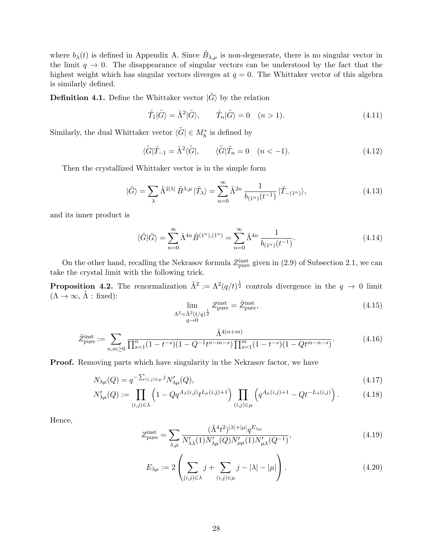where  $b_{\lambda}(t)$  is defined in Appendix A. Since  $\tilde{B}_{\lambda,\mu}$  is non-degenerate, there is no singular vector in the limit  $q \to 0$ . The disappearance of singular vectors can be understood by the fact that the highest weight which has singular vectors diverges at  $q = 0$ . The Whittaker vector of this algebra is similarly defined.

**Definition 4.1.** Define the Whittaker vector  $|\tilde{G}\rangle$  by the relation

$$
\tilde{T}_1|\tilde{G}\rangle = \tilde{\Lambda}^2|\tilde{G}\rangle, \qquad \tilde{T}_n|\tilde{G}\rangle = 0 \quad (n > 1). \tag{4.11}
$$

Similarly, the dual Whittaker vector  $\langle \tilde{G} | \in M_h^*$  is defined by

$$
\langle \tilde{G} | \tilde{T}_{-1} = \tilde{\Lambda}^2 \langle \tilde{G} |, \qquad \langle \tilde{G} | \tilde{T}_n = 0 \quad (n < -1). \tag{4.12}
$$

Then the crystallized Whittaker vector is in the simple form

$$
|\tilde{G}\rangle = \sum_{\lambda} \tilde{\Lambda}^{2|\lambda|} \tilde{B}^{\lambda,\mu} |\tilde{T}_{\lambda}\rangle = \sum_{n=0}^{\infty} \tilde{\Lambda}^{2n} \frac{1}{b_{(1^n)}(t^{-1})} |\tilde{T}_{-(1^n)}\rangle, \tag{4.13}
$$

and its inner product is

$$
\langle \tilde{G} | \tilde{G} \rangle = \sum_{n=0}^{\infty} \tilde{\Lambda}^{4n} \tilde{B}^{(1^n), (1^n)} = \sum_{n=0}^{\infty} \tilde{\Lambda}^{4n} \frac{1}{b_{(1^n)}(t^{-1})}.
$$
\n(4.14)

On the other hand, recalling the Nekrasov formula  $Z_{pure}^{inst}$  given in (2.9) of Subsection 2.1, we can take the crystal limit with the following trick.

**Proposition 4.2.** The renormalization  $\tilde{\Lambda}^2 := \Lambda^2 (q/t)^{\frac{1}{2}}$  controls divergence in the  $q \to 0$  limit  $(\Lambda \to \infty, \tilde{\Lambda} : \text{fixed})$ :

$$
\lim_{\substack{\Lambda^2 = \tilde{\Lambda}^2(t/q)^{\frac{1}{2}} \\ q \to 0}} Z_{\text{pure}}^{\text{inst}} = \tilde{Z}_{\text{pure}}^{\text{inst}},\tag{4.15}
$$

$$
\tilde{Z}_{\text{pure}}^{\text{inst}} := \sum_{n,m \ge 0} \frac{\tilde{\Lambda}^{4(n+m)}}{\prod_{s=1}^{n} (1 - t^{-s})(1 - Q^{-1}t^{n-m-s}) \prod_{s=1}^{m} (1 - t^{-s})(1 - Qt^{m-n-s})}.
$$
\n(4.16)

**Proof.** Removing parts which have singularity in the Nekrasov factor, we have

$$
N_{\lambda\mu}(Q) = q^{-\sum_{(i,j)\in\mu}j} N'_{\lambda\mu}(Q),\tag{4.17}
$$

$$
N'_{\lambda\mu}(Q) := \prod_{(i,j)\in\lambda} \left(1 - Qq^{A_{\lambda}(i,j)}t^{L_{\mu}(i,j)+1}\right) \prod_{(i,j)\in\mu} \left(q^{A_{\mu}(i,j)+1} - Qt^{-L_{\lambda}(i,j)}\right). \tag{4.18}
$$

Hence,

$$
Z_{\text{pure}}^{\text{inst}} = \sum_{\lambda,\mu} \frac{(\tilde{\Lambda}^4 t^2)^{|\lambda|+|\mu|} q^{E_{\lambda\mu}}}{N'_{\lambda\lambda}(1)N'_{\lambda\mu}(Q)N'_{\mu\mu}(1)N'_{\mu\lambda}(Q^{-1})},\tag{4.19}
$$

$$
E_{\lambda\mu} := 2\left(\sum_{(i,j)\in\lambda} j + \sum_{(i,j)\in\mu} j - |\lambda| - |\mu|\right).
$$
 (4.20)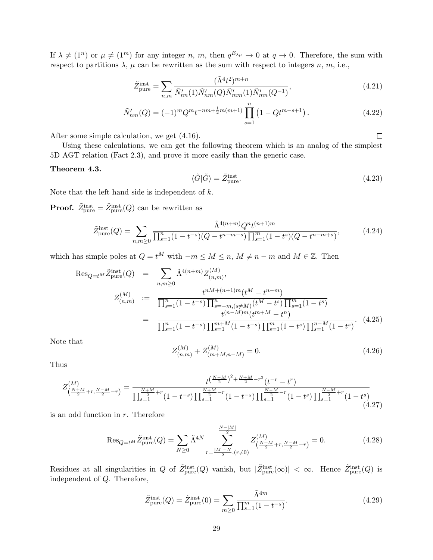If  $\lambda \neq (1^n)$  or  $\mu \neq (1^m)$  for any integer *n*, *m*, then  $q^{E_{\lambda\mu}} \to 0$  at  $q \to 0$ . Therefore, the sum with respect to partitions  $\lambda$ ,  $\mu$  can be rewritten as the sum with respect to integers *n*, *m*, i.e.,

$$
\tilde{Z}_{\text{pure}}^{\text{inst}} = \sum_{n,m} \frac{(\tilde{\Lambda}^4 t^2)^{m+n}}{\tilde{N}_{nn}'(1)\tilde{N}_{nm}'(Q)\tilde{N}_{mm}'(1)\tilde{N}_{mn}'(Q^{-1})},\tag{4.21}
$$

$$
\tilde{N}'_{nm}(Q) = (-1)^m Q^m t^{-nm + \frac{1}{2}m(m+1)} \prod_{s=1}^n \left( 1 - Q t^{m-s+1} \right). \tag{4.22}
$$

After some simple calculation, we get (4.16).

Using these calculations, we can get the following theorem which is an analog of the simplest 5D AGT relation (Fact 2.3), and prove it more easily than the generic case.

#### **Theorem 4.3.**

$$
\langle \tilde{G} | \tilde{G} \rangle = \tilde{Z}_{\text{pure}}^{\text{inst}}.
$$
\n(4.23)

 $\Box$ 

Note that the left hand side is independent of *k*.

**Proof.**  $\widetilde{Z}_{\text{pure}}^{\text{inst}} = \widetilde{Z}_{\text{pure}}^{\text{inst}}(Q)$  can be rewritten as

$$
\tilde{Z}_{\text{pure}}^{\text{inst}}(Q) = \sum_{n,m \ge 0} \frac{\tilde{\Lambda}^{4(n+m)} Q^n t^{(n+1)m}}{\prod_{s=1}^n (1 - t^{-s})(Q - t^{n-m-s}) \prod_{s=1}^m (1 - t^s)(Q - t^{n-m+s})},\tag{4.24}
$$

which has simple poles at  $Q = t^M$  with  $-m \leq M \leq n$ ,  $M \neq n-m$  and  $M \in \mathbb{Z}$ . Then

$$
\operatorname{Res}_{Q=t^{M}} \tilde{Z}_{pure}^{inst}(Q) = \sum_{n,m \geq 0} \tilde{\Lambda}^{4(n+m)} Z_{(n,m)}^{(M)},
$$
  
\n
$$
Z_{(n,m)}^{(M)} := \frac{t^{nM+(n+1)m}(t^M - t^{n-m})}{\prod_{s=1}^n (1 - t^{-s}) \prod_{s=m,(s \neq M)}^{n} (t^M - t^s) \prod_{s=1}^m (1 - t^s)}
$$
  
\n
$$
= \frac{t^{n-M+n} (t^{m+M} - t^n)}{\prod_{s=1}^n (1 - t^{-s}) \prod_{s=1}^{m+M} (1 - t^{-s}) \prod_{s=1}^m (1 - t^s) \prod_{s=1}^{n-M} (1 - t^s)}.
$$
\n(4.25)

Note that

$$
Z_{(n,m)}^{(M)} + Z_{(m+M,n-M)}^{(M)} = 0.
$$
\n(4.26)

Thus

$$
Z_{\left(\frac{N+M}{2}+r,\frac{N-M}{2}-r\right)}^{(M)} = \frac{t^{\left(\frac{N-M}{2}\right)^2 + \frac{N+M}{2} - r^2} (t^{-r} - t^r)}{\prod_{s=1}^{\frac{N+M}{2}+r} (1 - t^{-s}) \prod_{s=1}^{\frac{N+M}{2} - r} (1 - t^{-s}) \prod_{s=1}^{\frac{N-M}{2} - r} (1 - t^s) \prod_{s=1}^{\frac{N-M}{2} + r} (1 - t^s)}\tag{4.27}
$$

is an odd function in *r*. Therefore

$$
\operatorname{Res}_{Q=t^M} \tilde{Z}_{\text{pure}}^{\text{inst}}(Q) = \sum_{N \ge 0} \tilde{\Lambda}^{4N} \sum_{r=\frac{|M|-N}{2}, (r \neq 0)}^{\frac{N-|M|}{2}} Z_{\left(\frac{N+M}{2}+r, \frac{N-M}{2}-r\right)}^{(M)} = 0. \tag{4.28}
$$

Residues at all singularities in *Q* of  $\tilde{Z}_{pure}^{inst}(Q)$  vanish, but  $|\tilde{Z}_{pure}^{inst}(\infty)| < \infty$ . Hence  $\tilde{Z}_{pure}^{inst}(Q)$  is independent of *Q*. Therefore,

$$
\tilde{Z}_{\text{pure}}^{\text{inst}}(Q) = \tilde{Z}_{\text{pure}}^{\text{inst}}(0) = \sum_{m \ge 0} \frac{\tilde{\Lambda}^{4m}}{\prod_{s=1}^{m} (1 - t^{-s})}.
$$
\n(4.29)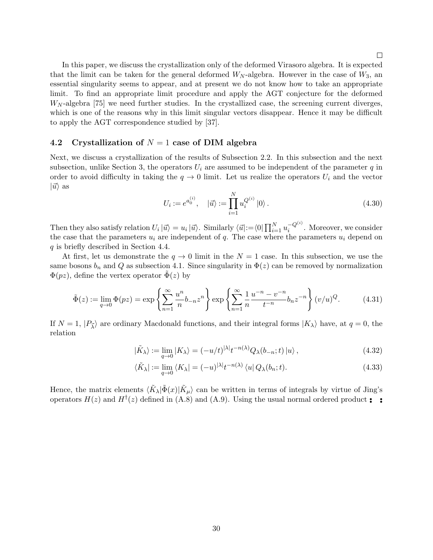In this paper, we discuss the crystallization only of the deformed Virasoro algebra. It is expected that the limit can be taken for the general deformed  $W_N$ -algebra. However in the case of  $W_3$ , and essential singularity seems to appear, and at present we do not know how to take an appropriate limit. To find an appropriate limit procedure and apply the AGT conjecture for the deformed *W<sup>N</sup>* -algebra [75] we need further studies. In the crystallized case, the screening current diverges, which is one of the reasons why in this limit singular vectors disappear. Hence it may be difficult to apply the AGT correspondence studied by [37].

#### **4.2 Crystallization of** *N* = 1 **case of DIM algebra**

Next, we discuss a crystallization of the results of Subsection 2.2. In this subsection and the next subsection, unlike Section 3, the operators  $U_i$  are assumed to be independent of the parameter  $q$  in order to avoid difficulty in taking the  $q \to 0$  limit. Let us realize the operators  $U_i$  and the vector  $|\vec{u}\rangle$  as

$$
U_i := e^{a_0^{(i)}}, \quad |\vec{u}\rangle := \prod_{i=1}^N u_i^{Q^{(i)}} |0\rangle. \tag{4.30}
$$

Then they also satisfy relation  $U_i|\vec{u}\rangle = u_i|\vec{u}\rangle$ . Similarly  $\langle \vec{u} |:=\langle 0| \prod_{i=1}^N u_i^{-Q^{(i)}}$ . Moreover, we consider the case that the parameters  $u_i$  are independent of  $q$ . The case where the parameters  $u_i$  depend on *q* is briefly described in Section 4.4.

At first, let us demonstrate the  $q \to 0$  limit in the  $N = 1$  case. In this subsection, we use the same bosons  $b_n$  and  $Q$  as subsection 4.1. Since singularity in  $\Phi(z)$  can be removed by normalization  $\Phi(pz)$ , define the vertex operator  $\bar{\Phi}(z)$  by

$$
\tilde{\Phi}(z) := \lim_{q \to 0} \Phi(pz) = \exp\left\{\sum_{n=1}^{\infty} \frac{u^n}{n} b_{-n} z^n \right\} \exp\left\{\sum_{n=1}^{\infty} \frac{1}{n} \frac{u^{-n} - v^{-n}}{t^{-n}} b_n z^{-n} \right\} (v/u)^Q.
$$
 (4.31)

If  $N = 1$ ,  $|P_{\vec{\lambda}}\rangle$  are ordinary Macdonald functions, and their integral forms  $|K_{\lambda}\rangle$  have, at  $q = 0$ , the relation

$$
|\tilde{K}_{\lambda}\rangle := \lim_{q \to 0} |K_{\lambda}\rangle = (-u/t)^{|\lambda|} t^{-n(\lambda)} Q_{\lambda}(b_{-n}; t) |u\rangle, \qquad (4.32)
$$

$$
\langle \tilde{K}_{\lambda} | := \lim_{q \to 0} \langle K_{\lambda} | = (-u)^{|\lambda|} t^{-n(\lambda)} \langle u | Q_{\lambda}(b_n; t). \tag{4.33}
$$

Hence, the matrix elements  $\langle \tilde{K}_\lambda | \tilde{\Phi}(x) | \tilde{K}_\mu \rangle$  can be written in terms of integrals by virtue of Jing's operators  $H(z)$  and  $H<sup>\dagger</sup>(z)$  defined in (A.8) and (A.9). Using the usual normal ordered product  $\bullet$  **•**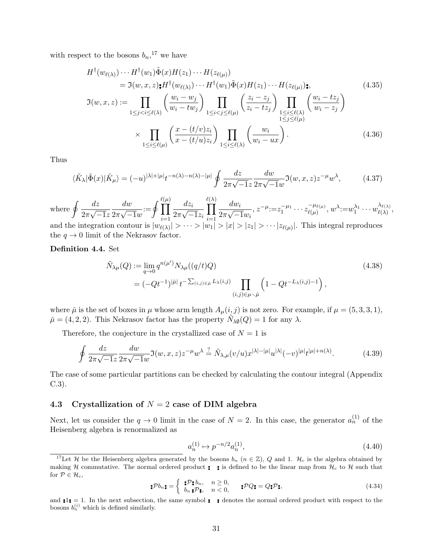with respect to the bosons  $b_n$ ,<sup>17</sup> we have

$$
H^{\dagger}(w_{\ell(\lambda)}) \cdots H^{\dagger}(w_1) \tilde{\Phi}(x) H(z_1) \cdots H(z_{\ell(\mu)})
$$
  
\n
$$
= \Im(w, x, z) \mathbf{t} H^{\dagger}(w_{\ell(\lambda)}) \cdots H^{\dagger}(w_1) \tilde{\Phi}(x) H(z_1) \cdots H(z_{\ell(\mu)}) \mathbf{t},
$$
  
\n
$$
\Im(w, x, z) := \prod_{1 \leq j < i \leq \ell(\lambda)} \left( \frac{w_i - w_j}{w_i - tw_j} \right) \prod_{1 \leq i < j \leq \ell(\mu)} \left( \frac{z_i - z_j}{z_i - tz_j} \right) \prod_{1 \leq i \leq \ell(\lambda)} \left( \frac{w_i - tz_j}{w_i - z_j} \right)
$$
\n(4.35)

$$
\times \prod_{1 \leq i \leq \ell(\mu)} \left( \frac{x - (t/v)z_i}{x - (t/u)z_i} \right) \prod_{1 \leq i \leq \ell(\lambda)} \left( \frac{w_i}{w_i - ux} \right). \tag{4.36}
$$

Thus

$$
\langle \tilde{K}_{\lambda} | \tilde{\Phi}(x) | \tilde{K}_{\mu} \rangle = (-u)^{|\lambda| + |\mu|} t^{-n(\lambda) - n(\lambda) - |\mu|} \oint \frac{dz}{2\pi\sqrt{-1}z} \frac{dw}{2\pi\sqrt{-1}w} \mathfrak{I}(w, x, z) z^{-\mu} w^{\lambda}, \tag{4.37}
$$

where  $\oint \frac{dz}{z}$ 2*π √ −*1*z dw* 2*π √ −*1*w*  $:=\oint\prod^{\ell(\mu)}$ (*µ*) *i*=1 *dz<sup>i</sup>* 2*π √ −*1*z<sup>i</sup> ℓ* ∏ (*λ*) *i*=1 *dw<sup>i</sup>* 2*π √ −*1*w<sup>i</sup>*  $\overline{z}$ ,  $\overline{z}^{-\mu} := z_1^{-\mu_1} \cdots z_{\ell(\mu)}^{-\mu_{\ell(\mu)}}$  $\psi^{(\mu)}_{\ell(\mu)}, w^\lambda {:=} w_1^{\lambda_1} \cdots w_{\ell(\lambda)}^{\lambda_{\ell(\lambda)}}$  $\frac{\lambda \ell(\lambda)}{\ell(\lambda)},$ and the integration contour is  $|w_{\ell(\lambda)}| > \cdots > |w_1| > |x| > |z_1| > \cdots$   $|z_{\ell(\mu)}|$ . This integral reproduces

the  $q \to 0$  limit of the Nekrasov factor.

#### **Definition 4.4.** Set

$$
\tilde{N}_{\lambda\mu}(Q) := \lim_{q \to 0} q^{n(\mu')} N_{\lambda\mu}((q/t)Q) \n= (-Qt^{-1})^{|\tilde{\mu}|} t^{-\sum_{(i,j) \in \tilde{\mu}} L_{\lambda}(i,j)} \prod_{(i,j) \in \mu \setminus \tilde{\mu}} \left(1 - Qt^{-L_{\lambda}(i,j)-1}\right),
$$
\n(4.38)

where  $\mu$  is the set of boxes in  $\mu$  whose arm length  $A_{\mu}(i, j)$  is not zero. For example, if  $\mu = (5, 3, 3, 1)$ ,  $\tilde{\mu} = (4, 2, 2)$ . This Nekrasov factor has the property  $\tilde{N}_{\lambda\emptyset}(Q) = 1$  for any  $\lambda$ .

Therefore, the conjecture in the crystallized case of  $N = 1$  is

$$
\oint \frac{dz}{2\pi\sqrt{-1}z} \frac{dw}{2\pi\sqrt{-1}w} \Im(w, x, z) z^{-\mu} w^{\lambda} \stackrel{?}{=} \tilde{N}_{\lambda,\mu}(v/u) x^{|\lambda| - |\mu|} u^{|\lambda|} (-v)^{|\mu|} t^{|\mu| + n(\lambda)}.
$$
\n(4.39)

The case of some particular partitions can be checked by calculating the contour integral (Appendix C.3).

## **4.3 Crystallization of** *N* = 2 **case of DIM algebra**

Next, let us consider the  $q \to 0$  limit in the case of  $N = 2$ . In this case, the generator  $a_n^{(1)}$  of the Heisenberg algebra is renormalized as

$$
a_n^{(1)} \mapsto p^{-n/2} a_n^{(1)},\tag{4.40}
$$

$$
\bullet \mathcal{P}b_n \bullet = \left\{ \begin{array}{ll} \bullet \mathcal{P} \bullet b_n, & n \ge 0, \\ b_n \bullet \mathcal{P} \bullet, & n < 0, \end{array} \right. \quad \bullet \mathcal{P}Q \bullet = Q \bullet \mathcal{P} \bullet \tag{4.34}
$$

<sup>&</sup>lt;sup>17</sup>Let *H* be the Heisenberg algebra generated by the bosons  $b_n$  ( $n \in \mathbb{Z}$ ), *Q* and 1.  $H_c$  is the algebra obtained by making *H* commutative. The normal ordered product  $\bullet$   $\bullet$  is defined to be the linear map from  $\mathcal{H}_c$  to  $\mathcal{H}$  such that for  $P \in \mathcal{H}_c$ ,

and  $\mathbf{P} = \mathbf{I}$ . In the next subsection, the same symbol  $\mathbf{P} = \mathbf{P}$  denotes the normal ordered product with respect to the bosons  $b_n^{(i)}$  which is defined similarly.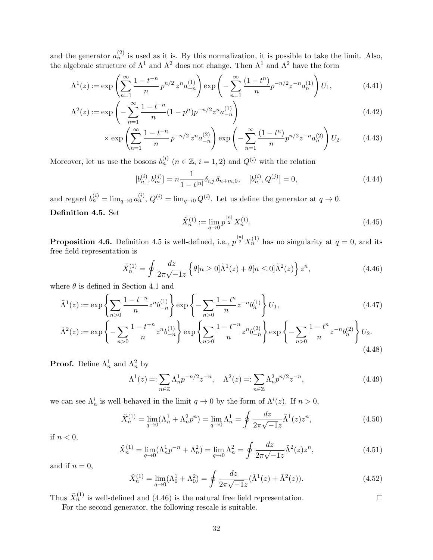and the generator  $a_n^{(2)}$  is used as it is. By this normalization, it is possible to take the limit. Also, the algebraic structure of  $\Lambda^1$  and  $\Lambda^2$  does not change. Then  $\Lambda^1$  and  $\Lambda^2$  have the form

$$
\Lambda^{1}(z) := \exp\left(\sum_{n=1}^{\infty} \frac{1 - t^{-n}}{n} p^{n/2} z^{n} a_{-n}^{(1)}\right) \exp\left(-\sum_{n=1}^{\infty} \frac{(1 - t^{n})}{n} p^{-n/2} z^{-n} a_{n}^{(1)}\right) U_{1},\tag{4.41}
$$

$$
\Lambda^{2}(z) := \exp\left(-\sum_{n=1}^{\infty} \frac{1 - t^{-n}}{n} (1 - p^{n}) p^{-n/2} z^{n} a_{-n}^{(1)}\right)
$$
\n(4.42)

$$
\times \exp\left(\sum_{n=1}^{\infty} \frac{1-t^{-n}}{n} p^{-n/2} z^n a_{-n}^{(2)}\right) \exp\left(-\sum_{n=1}^{\infty} \frac{(1-t^n)}{n} p^{n/2} z^{-n} a_n^{(2)}\right) U_2.
$$
 (4.43)

Moreover, let us use the bosons  $b_n^{(i)}$   $(n \in \mathbb{Z}, i = 1, 2)$  and  $Q^{(i)}$  with the relation

$$
[b_n^{(i)}, b_m^{(j)}] = n \frac{1}{1 - t^{|n|}} \delta_{i,j} \, \delta_{n+m,0}, \quad [b_n^{(i)}, Q^{(j)}] = 0,\tag{4.44}
$$

and regard  $b_n^{(i)} = \lim_{q \to 0} a_n^{(i)}$ ,  $Q^{(i)} = \lim_{q \to 0} Q^{(i)}$ . Let us define the generator at  $q \to 0$ . **Definition 4.5.** Set

$$
\tilde{X}_n^{(1)} := \lim_{q \to 0} p^{\frac{|n|}{2}} X_n^{(1)}.
$$
\n(4.45)

**Proposition 4.6.** Definition 4.5 is well-defined, i.e.,  $p^{\frac{|n|}{2}}X_n^{(1)}$  has no singularity at  $q = 0$ , and its free field representation is

$$
\tilde{X}_n^{(1)} = \oint \frac{dz}{2\pi\sqrt{-1}z} \left\{ \theta[n \ge 0] \tilde{\Lambda}^1(z) + \theta[n \le 0] \tilde{\Lambda}^2(z) \right\} z^n,\tag{4.46}
$$

where  $\theta$  is defined in Section 4.1 and

$$
\tilde{\Lambda}^{1}(z) := \exp\left\{\sum_{n>0} \frac{1-t^{-n}}{n} z^{n} b_{-n}^{(1)}\right\} \exp\left\{-\sum_{n>0} \frac{1-t^{n}}{n} z^{-n} b_{n}^{(1)}\right\} U_{1},\tag{4.47}
$$

$$
\tilde{\Lambda}^{2}(z) := \exp\left\{-\sum_{n>0} \frac{1-t^{-n}}{n} z^{n} b_{-n}^{(1)}\right\} \exp\left\{\sum_{n>0} \frac{1-t^{-n}}{n} z^{n} b_{-n}^{(2)}\right\} \exp\left\{-\sum_{n>0} \frac{1-t^{n}}{n} z^{-n} b_{n}^{(2)}\right\} U_{2}.
$$
\n(4.48)

**Proof.** Define  $\Lambda_n^1$  and  $\Lambda_n^2$  by

$$
\Lambda^{1}(z) =: \sum_{n \in \mathbb{Z}} \Lambda^{1}_{n} p^{-n/2} z^{-n}, \quad \Lambda^{2}(z) =: \sum_{n \in \mathbb{Z}} \Lambda^{2}_{n} p^{n/2} z^{-n}, \tag{4.49}
$$

we can see  $\Lambda_n^i$  is well-behaved in the limit  $q \to 0$  by the form of  $\Lambda^i(z)$ . If  $n > 0$ ,

$$
\tilde{X}_n^{(1)} = \lim_{q \to 0} (\Lambda_n^1 + \Lambda_n^2 p^n) = \lim_{q \to 0} \Lambda_n^1 = \oint \frac{dz}{2\pi\sqrt{-1}z} \tilde{\Lambda}^1(z) z^n,
$$
\n(4.50)

if  $n < 0$ ,

$$
\tilde{X}_n^{(1)} = \lim_{q \to 0} (\Lambda_n^1 p^{-n} + \Lambda_n^2) = \lim_{q \to 0} \Lambda_n^2 = \oint \frac{dz}{2\pi\sqrt{-1}z} \tilde{\Lambda}^2(z) z^n,
$$
\n(4.51)

and if  $n = 0$ ,

$$
\tilde{X}_n^{(1)} = \lim_{q \to 0} (\Lambda_0^1 + \Lambda_0^2) = \oint \frac{dz}{2\pi\sqrt{-1}z} (\tilde{\Lambda}^1(z) + \tilde{\Lambda}^2(z)).
$$
\n(4.52)

 $\Box$ 

Thus  $\tilde{X}_n^{(1)}$  is well-defined and (4.46) is the natural free field representation.

For the second generator, the following rescale is suitable.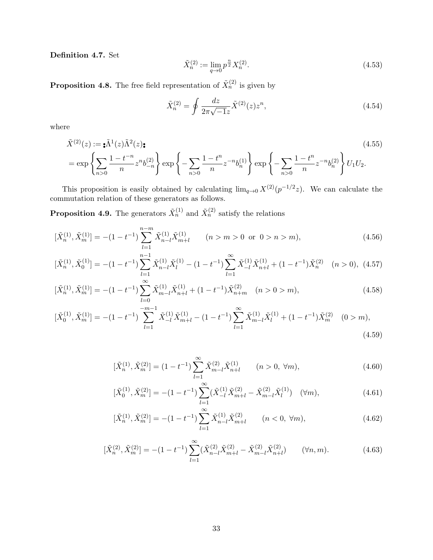**Definition 4.7.** Set

$$
\tilde{X}_n^{(2)} := \lim_{q \to 0} p^{\frac{n}{2}} X_n^{(2)}.
$$
\n(4.53)

**Proposition 4.8.** The free field representation of  $\tilde{X}_n^{(2)}$  is given by

$$
\tilde{X}_n^{(2)} = \oint \frac{dz}{2\pi\sqrt{-1}z} \tilde{X}^{(2)}(z)z^n,
$$
\n(4.54)

where

$$
\tilde{X}^{(2)}(z) := \mathbf{A}^{1}(z)\tilde{\Lambda}^{2}(z)\mathbf{t}
$$
\n
$$
= \exp\left\{\sum_{n>0} \frac{1-t^{-n}}{n} z^{n} b_{-n}^{(2)}\right\} \exp\left\{-\sum_{n>0} \frac{1-t^{n}}{n} z^{-n} b_{n}^{(1)}\right\} \exp\left\{-\sum_{n>0} \frac{1-t^{n}}{n} z^{-n} b_{n}^{(2)}\right\} U_{1} U_{2}.
$$
\n(4.55)

This proposition is easily obtained by calculating  $\lim_{q\to 0} X^{(2)}(p^{-1/2}z)$ . We can calculate the commutation relation of these generators as follows.

**Proposition 4.9.** The generators  $\tilde{X}_n^{(1)}$  and  $\tilde{X}_n^{(2)}$  satisfy the relations

$$
[\tilde{X}_n^{(1)}, \tilde{X}_m^{(1)}] = -(1 - t^{-1}) \sum_{l=1}^{n-m} \tilde{X}_{n-l}^{(1)} \tilde{X}_{m+l}^{(1)} \qquad (n > m > 0 \text{ or } 0 > n > m), \tag{4.56}
$$

$$
[\tilde{X}_n^{(1)}, \tilde{X}_0^{(1)}] = -(1 - t^{-1}) \sum_{l=1}^{n-1} \tilde{X}_{n-l}^{(1)} \tilde{X}_l^{(1)} - (1 - t^{-1}) \sum_{l=1}^{\infty} \tilde{X}_{-l}^{(1)} \tilde{X}_{n+l}^{(1)} + (1 - t^{-1}) \tilde{X}_n^{(2)} \quad (n > 0), \tag{4.57}
$$

$$
[\tilde{X}_n^{(1)}, \tilde{X}_m^{(1)}] = -(1 - t^{-1}) \sum_{l=0}^{\infty} \tilde{X}_{m-l}^{(1)} \tilde{X}_{n+l}^{(1)} + (1 - t^{-1}) \tilde{X}_{n+m}^{(2)} \quad (n > 0 > m), \tag{4.58}
$$

$$
[\tilde{X}_0^{(1)}, \tilde{X}_m^{(1)}] = -(1 - t^{-1}) \sum_{l=1}^{-m-1} \tilde{X}_{-l}^{(1)} \tilde{X}_{m+l}^{(1)} - (1 - t^{-1}) \sum_{l=1}^{\infty} \tilde{X}_{m-l}^{(1)} \tilde{X}_l^{(1)} + (1 - t^{-1}) \tilde{X}_m^{(2)} \quad (0 > m),
$$
\n
$$
(4.59)
$$

$$
[\tilde{X}_n^{(1)}, \tilde{X}_m^{(2)}] = (1 - t^{-1}) \sum_{l=1}^{\infty} \tilde{X}_{m-l}^{(2)} \tilde{X}_{n+l}^{(1)} \qquad (n > 0, \ \forall m), \tag{4.60}
$$

$$
[\tilde{X}_0^{(1)}, \tilde{X}_m^{(2)}] = -(1 - t^{-1}) \sum_{l=1}^{\infty} (\tilde{X}_{-l}^{(1)} \tilde{X}_{m+l}^{(2)} - \tilde{X}_{m-l}^{(2)} \tilde{X}_l^{(1)}) \quad (\forall m), \tag{4.61}
$$

$$
[\tilde{X}_n^{(1)}, \tilde{X}_m^{(2)}] = -(1 - t^{-1}) \sum_{l=1}^{\infty} \tilde{X}_{n-l}^{(1)} \tilde{X}_{m+l}^{(2)} \qquad (n < 0, \ \forall m), \tag{4.62}
$$

$$
[\tilde{X}_n^{(2)}, \tilde{X}_m^{(2)}] = -(1 - t^{-1}) \sum_{l=1}^{\infty} (\tilde{X}_{n-l}^{(2)} \tilde{X}_{m+l}^{(2)} - \tilde{X}_{m-l}^{(2)} \tilde{X}_{n+l}^{(2)}) \qquad (\forall n, m). \tag{4.63}
$$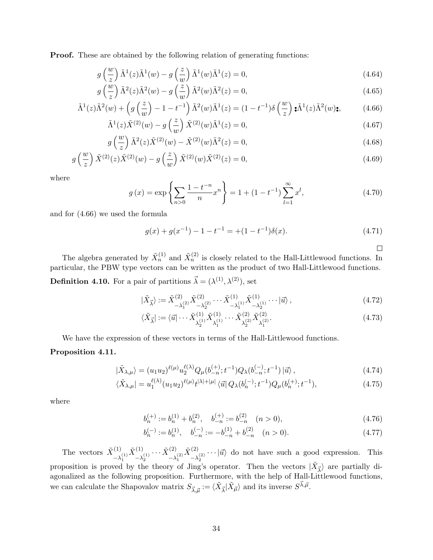**Proof.** These are obtained by the following relation of generating functions:

$$
g\left(\frac{w}{z}\right)\tilde{\Lambda}^{1}(z)\tilde{\Lambda}^{1}(w) - g\left(\frac{z}{w}\right)\tilde{\Lambda}^{1}(w)\tilde{\Lambda}^{1}(z) = 0,
$$
\n(4.64)

$$
g\left(\frac{w}{z}\right)\tilde{\Lambda}^2(z)\tilde{\Lambda}^2(w) - g\left(\frac{z}{w}\right)\tilde{\Lambda}^2(w)\tilde{\Lambda}^2(z) = 0,
$$
\n(4.65)

$$
\tilde{\Lambda}^1(z)\tilde{\Lambda}^2(w) + \left(g\left(\frac{z}{w}\right) - 1 - t^{-1}\right)\tilde{\Lambda}^2(w)\tilde{\Lambda}^1(z) = (1 - t^{-1})\delta\left(\frac{w}{z}\right)\mathbf{A}^1(z)\tilde{\Lambda}^2(w)\mathbf{t},\tag{4.66}
$$

$$
\tilde{\Lambda}^1(z)\tilde{X}^{(2)}(w) - g\left(\frac{z}{w}\right)\tilde{X}^{(2)}(w)\tilde{\Lambda}^1(z) = 0,
$$
\n(4.67)

$$
g\left(\frac{w}{z}\right)\tilde{\Lambda}^{2}(z)\tilde{X}^{(2)}(w) - \tilde{X}^{(2)}(w)\tilde{\Lambda}^{2}(z) = 0,
$$
\n(4.68)

$$
g\left(\frac{w}{z}\right)\tilde{X}^{(2)}(z)\tilde{X}^{(2)}(w) - g\left(\frac{z}{w}\right)\tilde{X}^{(2)}(w)\tilde{X}^{(2)}(z) = 0,
$$
\n(4.69)

where

$$
g(x) = \exp\left\{\sum_{n>0} \frac{1-t^{-n}}{n} x^n\right\} = 1 + (1-t^{-1}) \sum_{l=1}^{\infty} x^l,
$$
\n(4.70)

and for (4.66) we used the formula

$$
g(x) + g(x^{-1}) - 1 - t^{-1} = (1 - t^{-1})\delta(x).
$$
 (4.71)

 $\Box$ 

The algebra generated by  $\tilde{X}_n^{(1)}$  and  $\tilde{X}_n^{(2)}$  is closely related to the Hall-Littlewood functions. In particular, the PBW type vectors can be written as the product of two Hall-Littlewood functions. **Definition 4.10.** For a pair of partitions  $\vec{\lambda} = (\lambda^{(1)}, \lambda^{(2)})$ , set

$$
|\tilde{X}_{\vec{\lambda}}\rangle := \tilde{X}_{-\lambda_1^{(2)}}^{(2)} \tilde{X}_{-\lambda_2^{(2)}}^{(2)} \cdots \tilde{X}_{-\lambda_1^{(1)}}^{(1)} \tilde{X}_{-\lambda_2^{(1)}}^{(1)} \cdots |\vec{u}\rangle ,
$$
\n(4.72)

$$
\langle \tilde{X}_{\vec{\lambda}} \vert := \langle \vec{u} \vert \cdots \tilde{X}^{(1)}_{\lambda_2^{(1)}} \tilde{X}^{(1)}_{\lambda_1^{(1)}} \cdots \tilde{X}^{(2)}_{\lambda_2^{(2)}} \tilde{X}^{(2)}_{\lambda_1^{(2)}}.
$$
\n(4.73)

We have the expression of these vectors in terms of the Hall-Littlewood functions.

## **Proposition 4.11.**

$$
|\tilde{X}_{\lambda,\mu}\rangle = (u_1 u_2)^{\ell(\mu)} u_2^{\ell(\lambda)} Q_\mu(b_{-n}^{(+)}; t^{-1}) Q_\lambda(b_{-n}^{(-)}; t^{-1}) |\vec{u}\rangle ,
$$
\n(4.74)

$$
\langle \tilde{X}_{\lambda,\mu} | = u_1^{\ell(\lambda)} (u_1 u_2)^{\ell(\mu)} t^{|\lambda|+|\mu|} \langle \vec{u} | Q_\lambda(b_n^{(-)}; t^{-1}) Q_\mu(b_n^{(+)}; t^{-1}), \tag{4.75}
$$

where

$$
b_n^{(+)} := b_n^{(1)} + b_n^{(2)}, \quad b_{-n}^{(+)} := b_{-n}^{(2)} \quad (n > 0),\tag{4.76}
$$

$$
b_n^{(-)} := b_n^{(1)}, \quad b_{-n}^{(-)} := -b_{-n}^{(1)} + b_{-n}^{(2)} \quad (n > 0). \tag{4.77}
$$

The vectors  $\tilde{X}^{(1)}$  $-\lambda_1^{(1)}$  $\tilde{X}^{(1)}$  $\overline{\lambda}_2^{(1)} \cdots \overline{\tilde{X}}_{-\lambda}^{(2)}$  $-\lambda_1^{(2)}$  $\tilde{X}^{(2)}$  $-\lambda_2^{(2)}$   $\cdots$  |*ū*<sup>*\*</sup> do not have such a good expression. This proposition is proved by the theory of Jing's operator. Then the vectors  $|\tilde{X}_{\vec{\lambda}}\rangle$  are partially diagonalized as the following proposition. Furthermore, with the help of Hall-Littlewood functions, we can calculate the Shapovalov matrix  $S_{\vec{\lambda}, \vec{\mu}} := \langle \tilde{X}_{\vec{\lambda}} | \tilde{X}_{\vec{\mu}} \rangle$  and its inverse  $S^{\vec{\lambda}, \vec{\mu}}$ .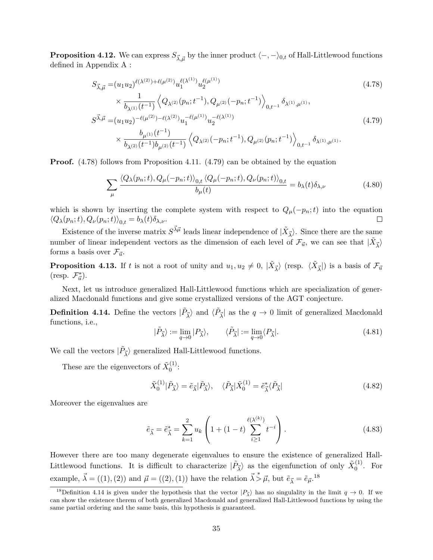**Proposition 4.12.** We can express  $S_{\vec{\lambda}, \vec{\mu}}$  by the inner product  $\langle -, -\rangle_{0,t}$  of Hall-Littlewood functions defined in Appendix A :

$$
S_{\vec{\lambda}, \vec{\mu}} = (u_1 u_2)^{\ell(\lambda^{(2)}) + \ell(\mu^{(2)})} u_1^{\ell(\lambda^{(1)})} u_2^{\ell(\mu^{(1)})}
$$
\n
$$
\times \frac{1}{b_{\lambda^{(1)}}(t^{-1})} \left\langle Q_{\lambda^{(2)}}(p_n; t^{-1}), Q_{\mu^{(2)}}(-p_n; t^{-1}) \right\rangle_{0, t^{-1}} \delta_{\lambda^{(1)}, \mu^{(1)}},
$$
\n
$$
S^{\vec{\lambda}, \vec{\mu}} = (u_1 u_2)^{-\ell(\mu^{(2)}) - \ell(\lambda^{(2)})} u_1^{-\ell(\mu^{(1)})} u_2^{-\ell(\lambda^{(1)})}
$$
\n
$$
\times \frac{b_{\mu^{(1)}}(t^{-1})}{b_{\lambda^{(2)}}(t^{-1}) b_{\mu^{(2)}}(t^{-1})} \left\langle Q_{\lambda^{(2)}}(-p_n; t^{-1}), Q_{\mu^{(2)}}(p_n; t^{-1}) \right\rangle_{0, t^{-1}} \delta_{\lambda^{(1)}, \mu^{(1)}}.
$$
\n(4.79)

**Proof.** (4.78) follows from Proposition 4.11. (4.79) can be obtained by the equation

$$
\sum_{\mu} \frac{\langle Q_{\lambda}(p_n;t), Q_{\mu}(-p_n;t) \rangle_{0,t} \langle Q_{\mu}(-p_n;t), Q_{\nu}(p_n;t) \rangle_{0,t}}{b_{\mu}(t)} = b_{\lambda}(t) \delta_{\lambda,\nu}
$$
(4.80)

which is shown by inserting the complete system with respect to  $Q_{\mu}(-p_n;t)$  into the equation  $\langle Q_{\lambda}(p_n;t), Q_{\nu}(p_n;t) \rangle_{0,t} = b_{\lambda}(t) \delta_{\lambda,\nu}.$ 

Existence of the inverse matrix  $S^{\vec{\lambda}\vec{\mu}}$  leads linear independence of  $|\tilde{X}_{\vec{\lambda}}\rangle$ . Since there are the same number of linear independent vectors as the dimension of each level of  $\mathcal{F}_{\vec{u}}$ , we can see that  $|\tilde{X}_{\vec{\lambda}}\rangle$ forms a basis over  $\mathcal{F}_{\vec{u}}$ .

**Proposition 4.13.** If *t* is not a root of unity and  $u_1, u_2 \neq 0$ ,  $|\tilde{X}_{\vec{\lambda}}\rangle$  (resp.  $\langle \tilde{X}_{\vec{\lambda}}|$ ) is a basis of  $\mathcal{F}_{\vec{u}}$  $(\text{resp. } \mathcal{F}_{\vec{u}}^*)$ .

Next, let us introduce generalized Hall-Littlewood functions which are specialization of generalized Macdonald functions and give some crystallized versions of the AGT conjecture.

**Definition 4.14.** Define the vectors  $|\tilde{P}_{\vec{\lambda}}\rangle$  and  $\langle \tilde{P}_{\vec{\lambda}}|$  as the  $q \to 0$  limit of generalized Macdonald functions, i.e.,

$$
|\tilde{P}_{\vec{\lambda}}\rangle := \lim_{q \to 0} |P_{\vec{\lambda}}\rangle, \qquad \langle \tilde{P}_{\vec{\lambda}}| := \lim_{q \to 0} \langle P_{\vec{\lambda}}|.
$$
 (4.81)

We call the vectors  $|\tilde{P}_{\vec{\lambda}}\rangle$  generalized Hall-Littlewood functions.

These are the eigenvectors of  $\tilde{X}_0^{(1)}$  $\binom{1}{0}$ :

$$
\tilde{X}_0^{(1)}|\tilde{P}_{\vec{\lambda}}\rangle = \tilde{e}_{\vec{\lambda}}|\tilde{P}_{\vec{\lambda}}\rangle, \quad \langle \tilde{P}_{\vec{\lambda}}|\tilde{X}_0^{(1)} = \tilde{e}_{\vec{\lambda}}^*\langle \tilde{P}_{\vec{\lambda}}| \tag{4.82}
$$

Moreover the eigenvalues are

$$
\tilde{e}_{\vec{\lambda}} = \tilde{e}_{\vec{\lambda}}^* = \sum_{k=1}^2 u_k \left( 1 + (1 - t) \sum_{i \ge 1}^{\ell(\lambda^{(k)})} t^{-i} \right). \tag{4.83}
$$

However there are too many degenerate eigenvalues to ensure the existence of generalized Hall-Littlewood functions. It is difficult to characterize  $|\tilde{P}_{\vec{\lambda}}\rangle$  as the eigenfunction of only  $\tilde{X}_0^{(1)}$  $\int_0^{(1)}$ . For example,  $\vec{\lambda} = ((1), (2))$  and  $\vec{\mu} = ((2), (1))$  have the relation  $\vec{\lambda} > \vec{\mu}$ , but  $\tilde{e}_{\vec{\lambda}} = \tilde{e}_{\vec{\mu}}$ .<sup>18</sup>

<sup>&</sup>lt;sup>18</sup>Definition 4.14 is given under the hypothesis that the vector  $|P_{\lambda}\rangle$  has no singulality in the limit  $q \to 0$ . If we can show the existence therem of both generalized Macdonald and generalized Hall-Littlewood functions by using the same partial ordering and the same basis, this hypothesis is guaranteed.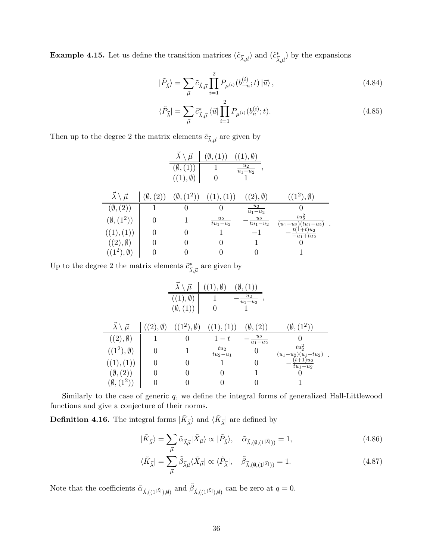**Example 4.15.** Let us define the transition matrices  $(\tilde{c}_{\vec{\lambda}, \vec{\mu}})$  and  $(\tilde{c}^*_{\vec{\lambda}, \vec{\mu}})$  by the expansions

$$
|\tilde{P}_{\vec{\lambda}}\rangle = \sum_{\vec{\mu}} \tilde{c}_{\vec{\lambda},\vec{\mu}} \prod_{i=1}^{2} P_{\mu^{(i)}}(b_{-n}^{(i)};t) |\vec{u}\rangle , \qquad (4.84)
$$

$$
\langle \tilde{P}_{\vec{\lambda}} \vert = \sum_{\vec{\mu}} \tilde{c}^*_{\vec{\lambda}, \vec{\mu}} \langle \vec{u} \vert \prod_{i=1}^2 P_{\mu^{(i)}}(b_n^{(i)}; t). \tag{4.85}
$$

Then up to the degree  $2$  the matrix elements  $\tilde{c}_{\vec{\lambda}, \vec{\mu}}$  are given by

|                                |    | $\vec{\mu}$          |                     | $((1), \emptyset)$   |                                     |
|--------------------------------|----|----------------------|---------------------|----------------------|-------------------------------------|
|                                |    | Ø,                   |                     | $u_2$<br>$u_1 - u_2$ |                                     |
|                                |    | $((1), \emptyset)$   |                     |                      |                                     |
| $\vec{\lambda}$<br>$\vec{\mu}$ | Ø, | $(\emptyset, (1^2))$ | ((1), (1))          | $((2), \emptyset)$   | $((1^2), \emptyset)$                |
| $(\emptyset, (2))$             |    | $\theta$             | $\left( \right)$    | $u_2$<br>$u_1 - u_2$ |                                     |
| $(\emptyset, (1^2))$           |    |                      | $u_2$<br>$tu_1-u_2$ | $u_2$<br>$tu_1-u_2$  | $tu_2^2$<br>$(u_1-u_2)(tu_1-u_2)$ . |
| ((1),(1))                      |    |                      |                     | $-1$                 | $t(1+t)u_2$<br>$-u_1+tu_2$          |
| $((2), \emptyset)$             |    |                      | $\theta$            |                      |                                     |
| $(1^2), \emptyset$             |    |                      |                     | 0                    |                                     |

Up to the degree 2 the matrix elements  $\tilde{c}^*_{\vec{\lambda}, \vec{\mu}}$  are given by

|                                     |                     | $\vec{\mu}$              | $\emptyset$          | $(\emptyset, (1))$   |                                   |
|-------------------------------------|---------------------|--------------------------|----------------------|----------------------|-----------------------------------|
|                                     |                     | $\emptyset$<br>(1),      |                      | $u_2$<br>$u_1 - u_2$ |                                   |
|                                     |                     | $(\emptyset, (1))$       |                      |                      |                                   |
| $\vec{\lambda} \setminus \vec{\mu}$ | (2),<br>$\emptyset$ | $((1^2),$<br>$\emptyset$ | 1), (1))             | $(\emptyset, (2))$   | $(\emptyset, (1^2))$              |
| $((2), \emptyset)$                  |                     | 0                        | $1-t$                | $u_2$<br>$u_1 - u_2$ |                                   |
| $((1^2), \emptyset)$                |                     |                          | $tu_2$<br>$tu_2-u_1$ | $\boldsymbol{0}$     | $tu_2^2$<br>$(u_1-u_2)(u_1-tu_2)$ |
| (1)<br>(1)                          |                     | 0                        |                      | 0                    | $(t+1)u_2$<br>$tu_1-u_2$          |
| $(\emptyset, (2))$                  |                     |                          |                      |                      |                                   |
| $(\emptyset, (1^2))$                |                     |                          |                      |                      |                                   |

Similarly to the case of generic *q*, we define the integral forms of generalized Hall-Littlewood functions and give a conjecture of their norms.

**Definition 4.16.** The integral forms  $|\tilde{K}_{\vec{\lambda}}\rangle$  and  $\langle \tilde{K}_{\vec{\lambda}}|$  are defined by

$$
|\tilde{K}_{\vec{\lambda}}\rangle = \sum_{\vec{\mu}} \tilde{\alpha}_{\vec{\lambda}\vec{\mu}} |\tilde{X}_{\vec{\mu}}\rangle \propto |\tilde{P}_{\vec{\lambda}}\rangle, \quad \tilde{\alpha}_{\vec{\lambda},(\emptyset,(1^{|\vec{\lambda}|}))} = 1,
$$
\n(4.86)

$$
\langle \tilde{K}_{\vec{\lambda}} \vert = \sum_{\vec{\mu}} \tilde{\beta}_{\vec{\lambda}\vec{\mu}} \langle \tilde{X}_{\vec{\mu}} \vert \propto \langle \tilde{P}_{\vec{\lambda}} \vert, \quad \tilde{\beta}_{\vec{\lambda},(\emptyset,(1^{|\vec{\lambda}|}))} = 1. \tag{4.87}
$$

Note that the coefficients  $\tilde{\alpha}_{\vec{\lambda},((1^{|\vec{\lambda}|}),\emptyset)}$  and  $\tilde{\beta}_{\vec{\lambda},((1^{|\vec{\lambda}|}),\emptyset)}$  can be zero at  $q=0$ .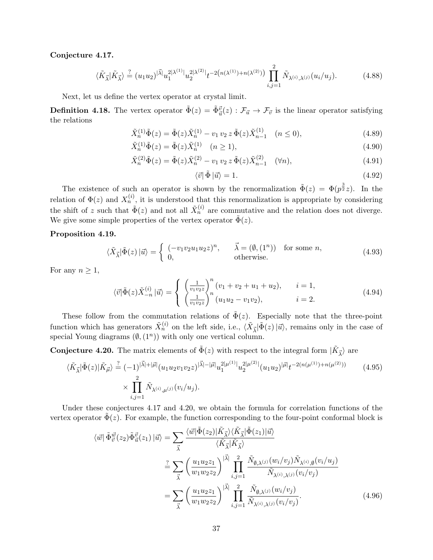#### **Conjecture 4.17.**

$$
\langle \tilde{K}_{\vec{\lambda}} | \tilde{K}_{\vec{\lambda}} \rangle \stackrel{?}{=} (u_1 u_2)^{|\vec{\lambda}|} u_1^{2|\lambda^{(1)}|} u_2^{2|\lambda^{(2)}|} t^{-2(n(\lambda^{(1)}) + n(\lambda^{(2)}))} \prod_{i,j=1}^2 \tilde{N}_{\lambda^{(i)},\lambda^{(j)}}(u_i/u_j). \tag{4.88}
$$

Next, let us define the vertex operator at crystal limit.

**Definition 4.18.** The vertex operator  $\tilde{\Phi}(z) = \tilde{\Phi}_{\vec{u}}^{\vec{v}}(z) : \mathcal{F}_{\vec{u}} \to \mathcal{F}_{\vec{v}}$  is the linear operator satisfying the relations

$$
\tilde{X}_n^{(1)} \tilde{\Phi}(z) = \tilde{\Phi}(z) \tilde{X}_n^{(1)} - v_1 v_2 z \tilde{\Phi}(z) \tilde{X}_{n-1}^{(1)} \quad (n \le 0),
$$
\n
$$
\tilde{X}_n^{(1)} \tilde{\Phi}(z) = \tilde{\Phi}(z) \tilde{X}_n^{(1)} \quad (n \ge 1),
$$
\n(4.90)

$$
\tilde{X}_n^{(1)} \tilde{\Phi}(z) = \tilde{\Phi}(z) \tilde{X}_n^{(1)} \quad (n \ge 1), \tag{4.90}
$$

$$
\tilde{X}_n^{(2)} \tilde{\Phi}(z) = \tilde{\Phi}(z) \tilde{X}_n^{(2)} - v_1 v_2 z \tilde{\Phi}(z) \tilde{X}_{n-1}^{(2)} \quad (\forall n), \tag{4.91}
$$

$$
\langle \vec{v} | \tilde{\Phi} | \vec{u} \rangle = 1. \tag{4.92}
$$

The existence of such an operator is shown by the renormalization  $\tilde{\Phi}(z) = \Phi(p^{\frac{3}{2}}z)$ . In the relation of  $\Phi(z)$  and  $X_n^{(i)}$ , it is understood that this renormalization is appropriate by considering the shift of *z* such that  $\tilde{\Phi}(z)$  and not all  $\tilde{X}_n^{(i)}$  are commutative and the relation does not diverge. We give some simple properties of the vertex operator  $\tilde{\Phi}(z)$ .

#### **Proposition 4.19.**

$$
\langle \tilde{X}_{\vec{\lambda}} | \tilde{\Phi}(z) | \vec{u} \rangle = \begin{cases} (-v_1 v_2 u_1 u_2 z)^n, & \vec{\lambda} = (\emptyset, (1^n)) & \text{for some } n, \\ 0, & \text{otherwise.} \end{cases}
$$
(4.93)

For any  $n \geq 1$ ,

$$
\langle \vec{v} | \tilde{\Phi}(z) \tilde{X}_{-n}^{(i)} | \vec{u} \rangle = \begin{cases} \left(\frac{1}{v_1 v_2 z}\right)^n (v_1 + v_2 + u_1 + u_2), & i = 1, \\ \left(\frac{1}{v_1 v_2 z}\right)^n (u_1 u_2 - v_1 v_2), & i = 2. \end{cases}
$$
(4.94)

These follow from the commutation relations of  $\tilde{\Phi}(z)$ . Especially note that the three-point function which has generators  $\tilde{X}_n^{(i)}$  on the left side, i.e.,  $\langle \tilde{X}_{\vec{\lambda}} | \tilde{\Phi}(z) | \vec{u} \rangle$ , remains only in the case of special Young diagrams  $(\emptyset, (1^n))$  with only one vertical column.

**Conjecture 4.20.** The matrix elements of  $\tilde{\Phi}(z)$  with respect to the integral form  $|\tilde{K}_{\vec{\lambda}}\rangle$  are

$$
\langle \tilde{K}_{\vec{\lambda}} | \tilde{\Phi}(z) | \tilde{K}_{\vec{\mu}} \rangle \stackrel{?}{=} (-1)^{|\vec{\lambda}| + |\vec{\mu}|} (u_1 u_2 v_1 v_2 z)^{|\vec{\lambda}| - |\vec{\mu}|} u_1^{2|\mu^{(1)}|} u_2^{2|\mu^{(2)}|} (u_1 u_2)^{|\vec{\mu}|} t^{-2(n(\mu^{(1)}) + n(\mu^{(2)}))} \qquad (4.95)
$$
  

$$
\times \prod_{i,j=1}^2 \tilde{N}_{\lambda^{(i)},\mu^{(j)}} (v_i/u_j).
$$

Under these conjectures 4.17 and 4.20, we obtain the formula for correlation functions of the vertex operator  $\tilde{\Phi}(z)$ . For example, the function corresponding to the four-point conformal block is

$$
\langle \vec{w} | \tilde{\Phi}_{\vec{v}}^{\vec{w}}(z_2) \tilde{\Phi}_{\vec{u}}^{\vec{v}}(z_1) | \vec{u} \rangle = \sum_{\vec{\lambda}} \frac{\langle \vec{w} | \tilde{\Phi}(z_2) | \tilde{K}_{\vec{\lambda}} \rangle \langle \tilde{K}_{\vec{\lambda}} | \tilde{\Phi}(z_1) | \vec{u} \rangle}{\langle \tilde{K}_{\vec{\lambda}} | \tilde{K}_{\vec{\lambda}} \rangle}
$$
  

$$
= \sum_{\vec{\lambda}} \left( \frac{u_1 u_2 z_1}{w_1 w_2 z_2} \right)^{|\vec{\lambda}|} \prod_{i,j=1}^2 \frac{\tilde{N}_{\emptyset, \lambda^{(j)}}(w_i/v_j) \tilde{N}_{\lambda^{(i)}, \emptyset}(v_i/u_j)}{\tilde{N}_{\lambda^{(i)}, \lambda^{(j)}}(v_i/v_j)}
$$
  

$$
= \sum_{\vec{\lambda}} \left( \frac{u_1 u_2 z_1}{w_1 w_2 z_2} \right)^{|\vec{\lambda}|} \prod_{i,j=1}^2 \frac{\tilde{N}_{\emptyset, \lambda^{(j)}}(w_i/v_j)}{\tilde{N}_{\lambda^{(i)}, \lambda^{(j)}}(v_i/v_j)}.
$$
 (4.96)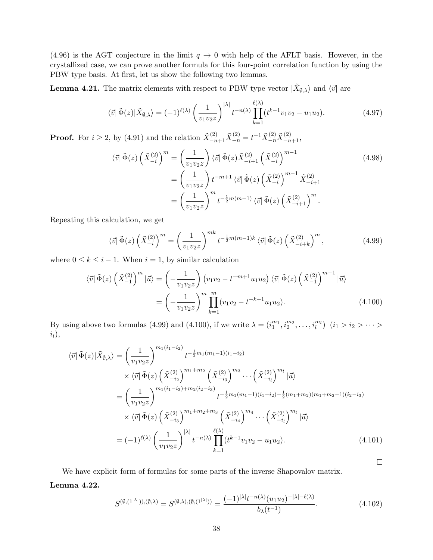(4.96) is the AGT conjecture in the limit  $q \to 0$  with help of the AFLT basis. However, in the crystallized case, we can prove another formula for this four-point correlation function by using the PBW type basis. At first, let us show the following two lemmas.

**Lemma 4.21.** The matrix elements with respect to PBW type vector  $|\tilde{X}_{\emptyset,\lambda}\rangle$  and  $\langle \vec{v} |$  are

$$
\langle \vec{v} | \tilde{\Phi}(z) | \tilde{X}_{\emptyset, \lambda} \rangle = (-1)^{\ell(\lambda)} \left( \frac{1}{v_1 v_2 z} \right)^{|\lambda|} t^{-n(\lambda)} \prod_{k=1}^{\ell(\lambda)} (t^{k-1} v_1 v_2 - u_1 u_2).
$$
 (4.97)

**Proof.** For  $i \geq 2$ , by (4.91) and the relation  $\tilde{X}_{-n+1}^{(2)} \tilde{X}_{-n}^{(2)} = t^{-1} \tilde{X}_{-n}^{(2)} \tilde{X}_{-n+1}^{(2)}$ ,

$$
\langle \vec{v} | \tilde{\Phi}(z) \left( \tilde{X}_{-i}^{(2)} \right)^m = \left( \frac{1}{v_1 v_2 z} \right) \langle \vec{v} | \tilde{\Phi}(z) \tilde{X}_{-i+1}^{(2)} \left( \tilde{X}_{-i}^{(2)} \right)^{m-1} = \left( \frac{1}{v_1 v_2 z} \right) t^{-m+1} \langle \vec{v} | \tilde{\Phi}(z) \left( \tilde{X}_{-i}^{(2)} \right)^{m-1} \tilde{X}_{-i+1}^{(2)} = \left( \frac{1}{v_1 v_2 z} \right)^m t^{-\frac{1}{2}m(m-1)} \langle \vec{v} | \tilde{\Phi}(z) \left( \tilde{X}_{-i+1}^{(2)} \right)^m.
$$
\n(4.98)

Repeating this calculation, we get

$$
\langle \vec{v} | \tilde{\Phi}(z) \left( \tilde{X}_{-i}^{(2)} \right)^m = \left( \frac{1}{v_1 v_2 z} \right)^{mk} t^{-\frac{1}{2}m(m-1)k} \langle \vec{v} | \tilde{\Phi}(z) \left( \tilde{X}_{-i+k}^{(2)} \right)^m, \tag{4.99}
$$

where  $0 \leq k \leq i - 1$ . When  $i = 1$ , by similar calculation

$$
\langle \vec{v} | \tilde{\Phi}(z) \left( \tilde{X}_{-1}^{(2)} \right)^m | \vec{u} \rangle = \left( -\frac{1}{v_1 v_2 z} \right) \left( v_1 v_2 - t^{-m+1} u_1 u_2 \right) \langle \vec{v} | \tilde{\Phi}(z) \left( \tilde{X}_{-1}^{(2)} \right)^{m-1} | \vec{u} \rangle
$$

$$
= \left( -\frac{1}{v_1 v_2 z} \right)^m \prod_{k=1}^m (v_1 v_2 - t^{-k+1} u_1 u_2).
$$
(4.100)

By using above two formulas (4.99) and (4.100), if we write  $\lambda = (i_1^{m_1}, i_2^{m_2}, \dots, i_l^{m_l})$   $(i_1 > i_2 > \dots > i_l^{m_l})$ *il*),

$$
\langle \vec{v} | \tilde{\Phi}(z) | \tilde{X}_{\emptyset, \lambda} \rangle = \left( \frac{1}{v_1 v_2 z} \right)^{m_1(i_1 - i_2)} t^{-\frac{1}{2} m_1(m_1 - 1)(i_1 - i_2)}
$$
  
\n
$$
\times \langle \vec{v} | \tilde{\Phi}(z) \left( \tilde{X}_{-i_2}^{(2)} \right)^{m_1 + m_2} \left( \tilde{X}_{-i_3}^{(2)} \right)^{m_3} \cdots \left( \tilde{X}_{-i_l}^{(2)} \right)^{m_l} | \vec{u} \rangle
$$
  
\n
$$
= \left( \frac{1}{v_1 v_2 z} \right)^{m_1(i_1 - i_3) + m_2(i_2 - i_3)} t^{-\frac{1}{2} m_1(m_1 - 1)(i_1 - i_2) - \frac{1}{2} (m_1 + m_2)(m_1 + m_2 - 1)(i_2 - i_3)}
$$
  
\n
$$
\times \langle \vec{v} | \tilde{\Phi}(z) \left( \tilde{X}_{-i_3}^{(2)} \right)^{m_1 + m_2 + m_3} \left( \tilde{X}_{-i_4}^{(2)} \right)^{m_4} \cdots \left( \tilde{X}_{-i_l}^{(2)} \right)^{m_l} | \vec{u} \rangle
$$
  
\n
$$
= (-1)^{\ell(\lambda)} \left( \frac{1}{v_1 v_2 z} \right)^{|\lambda|} t^{-n(\lambda)} \prod_{k=1}^{\ell(\lambda)} (t^{k-1} v_1 v_2 - u_1 u_2).
$$
 (4.101)

We have explicit form of formulas for some parts of the inverse Shapovalov matrix. **Lemma 4.22.**

$$
S^{(\emptyset,(1^{|\lambda|})),(\emptyset,\lambda)} = S^{(\emptyset,\lambda),(\emptyset,(1^{|\lambda|}))} = \frac{(-1)^{|\lambda|} t^{-n(\lambda)} (u_1 u_2)^{-|\lambda| - \ell(\lambda)}}{b_{\lambda}(t^{-1})}.
$$
\n(4.102)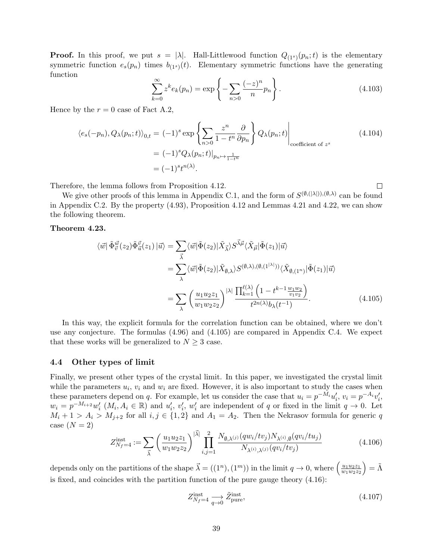**Proof.** In this proof, we put  $s = |\lambda|$ . Hall-Littlewood function  $Q_{(1^s)}(p_n; t)$  is the elementary symmetric function  $e_s(p_n)$  times  $b_{(1^s)}(t)$ . Elementary symmetric functions have the generating function

$$
\sum_{k=0}^{\infty} z^k e_k(p_n) = \exp\left\{-\sum_{n>0} \frac{(-z)^n}{n} p_n\right\}.
$$
 (4.103)

 $\Box$ 

Hence by the  $r = 0$  case of Fact A.2,

$$
\langle e_s(-p_n), Q_\lambda(p_n; t) \rangle_{0,t} = (-1)^s \exp \left\{ \sum_{n>0} \frac{z^n}{1 - t^n} \frac{\partial}{\partial p_n} \right\} Q_\lambda(p_n; t) \Big|_{\text{coefficient of } z^s}
$$
\n
$$
= (-1)^s Q_\lambda(p_n; t) \Big|_{p_n \mapsto \frac{1}{1 - t^n}}
$$
\n
$$
= (-1)^s t^{n(\lambda)}.
$$
\n(4.104)

Therefore, the lemma follows from Proposition 4.12.

We give other proofs of this lemma in Appendix C.1, and the form of  $S^{(\emptyset, (|\lambda|)), (\emptyset, \lambda)}$  can be found in Appendix C.2. By the property (4.93), Proposition 4.12 and Lemmas 4.21 and 4.22, we can show the following theorem.

#### **Theorem 4.23.**

$$
\langle \vec{w} | \tilde{\Phi}_{\vec{v}}^{\vec{w}}(z_2) \tilde{\Phi}_{\vec{u}}^{\vec{v}}(z_1) | \vec{u} \rangle = \sum_{\vec{\lambda}} \langle \vec{w} | \tilde{\Phi}(z_2) | \tilde{X}_{\vec{\lambda}} \rangle S^{\vec{\lambda}\vec{\mu}} \langle \tilde{X}_{\vec{\mu}} | \tilde{\Phi}(z_1) | \vec{u} \rangle
$$
  
\n
$$
= \sum_{\lambda} \langle \vec{w} | \tilde{\Phi}(z_2) | \tilde{X}_{\emptyset, \lambda} \rangle S^{(\emptyset, \lambda), (\emptyset, (1^{|\lambda|}))} \langle \tilde{X}_{\emptyset, (1^n)} | \tilde{\Phi}(z_1) | \vec{u} \rangle
$$
  
\n
$$
= \sum_{\lambda} \left( \frac{u_1 u_2 z_1}{w_1 w_2 z_2} \right)^{|\lambda|} \frac{\prod_{k=1}^{\ell(\lambda)} \left( 1 - t^{k-1} \frac{w_1 w_2}{v_1 v_2} \right)}{t^{2n(\lambda)} b_{\lambda}(t^{-1})}.
$$
 (4.105)

In this way, the explicit formula for the correlation function can be obtained, where we don't use any conjecture. The formulas (4.96) and (4.105) are compared in Appendix C.4. We expect that these works will be generalized to  $N \geq 3$  case.

#### **4.4 Other types of limit**

Finally, we present other types of the crystal limit. In this paper, we investigated the crystal limit while the parameters  $u_i$ ,  $v_i$  and  $w_i$  are fixed. However, it is also important to study the cases when these parameters depend on q. For example, let us consider the case that  $u_i = p^{-M_i} u'_i$ ,  $v_i = p^{-A_i} v'_i$ ,  $w_i = p^{-M_{i+2}}w'_i$   $(M_i, A_i \in \mathbb{R})$  and  $u'_i, v'_i, w'_i$  are independent of q or fixed in the limit  $q \to 0$ . Let  $M_i + 1 > A_i > M_{j+2}$  for all  $i, j \in \{1, 2\}$  and  $A_1 = A_2$ . Then the Nekrasov formula for generic *q* case  $(N = 2)$ 

$$
Z_{N_f=4}^{\text{inst}} := \sum_{\vec{\lambda}} \left( \frac{u_1 u_2 z_1}{w_1 w_2 z_2} \right)^{|\vec{\lambda}|} \prod_{i,j=1}^2 \frac{N_{\emptyset,\lambda^{(j)}}(q w_i / t v_j) N_{\lambda^{(i)},\emptyset}(q v_i / t u_j)}{N_{\lambda^{(i)},\lambda^{(j)}}(q v_i / t v_j)} \tag{4.106}
$$

depends only on the partitions of the shape  $\vec{\lambda} = ((1^n), (1^m))$  in the limit  $q \to 0$ , where  $\left(\frac{u_1 u_2 z_1}{w_1 w_2 z_2}\right)$  $\left(\frac{u_1u_2z_1}{w_1w_2z_2}\right)=\tilde{\Lambda}$ is fixed, and coincides with the partition function of the pure gauge theory (4.16):

$$
Z_{N_f=4}^{\text{inst}} \underset{q \to 0}{\longrightarrow} \tilde{Z}_{\text{pure}}^{\text{inst}},\tag{4.107}
$$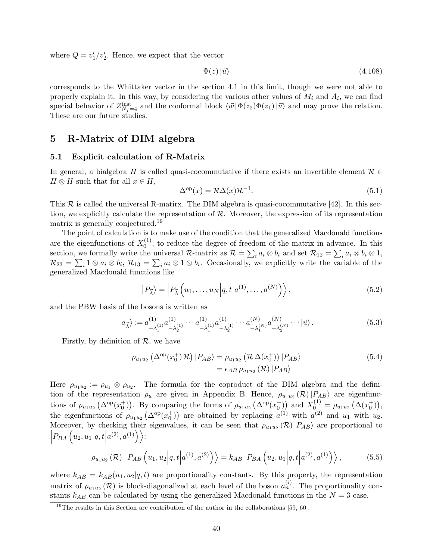where  $Q = v_1'/v_2'$ . Hence, we expect that the vector

$$
\Phi(z) \left| \vec{u} \right\rangle \tag{4.108}
$$

corresponds to the Whittaker vector in the section 4.1 in this limit, though we were not able to properly explain it. In this way, by considering the various other values of *M<sup>i</sup>* and *A<sup>i</sup>* , we can find special behavior of  $Z_{N_f=4}^{\text{inst}}$  and the conformal block  $\langle \vec{w} | \Phi(z_2) \Phi(z_1) | \vec{u} \rangle$  and may prove the relation. These are our future studies.

# **5 R-Matrix of DIM algebra**

#### **5.1 Explicit calculation of R-Matrix**

In general, a bialgebra *H* is called quasi-cocommutative if there exists an invertible element  $\mathcal{R} \in$  $H \otimes H$  such that for all  $x \in H$ ,

$$
\Delta^{\text{op}}(x) = \mathcal{R}\Delta(x)\mathcal{R}^{-1}.
$$
\n(5.1)

This  $R$  is called the universal R-matirx. The DIM algebra is quasi-cocommutative [42]. In this section, we explicitly calculate the representation of *R*. Moreover, the expression of its representation matrix is generally conjectured.<sup>19</sup>

The point of calculation is to make use of the condition that the generalized Macdonald functions are the eigenfunctions of  $X_0^{(1)}$  $_{0}^{(1)}$ , to reduce the degree of freedom of the matrix in advance. In this section, we formally write the universal *R*-matrix as  $\mathcal{R} = \sum_i a_i \otimes b_i$  and set  $\mathcal{R}_{12} = \sum_i a_i \otimes b_i \otimes 1$ ,  $\mathcal{R}_{23} = \sum_i 1 \otimes a_i \otimes b_i$ ,  $\mathcal{R}_{13} = \sum_i a_i \otimes 1 \otimes b_i$ . Occasionally, we explicitly write the variable of the generalized Macdonald functions like

$$
\left|P_{\vec{\lambda}}\right\rangle = \left|P_{\vec{\lambda}}\left(u_1,\ldots,u_N\middle|q,t\middle|a^{(1)},\ldots,a^{(N)}\right)\right\rangle,\tag{5.2}
$$

and the PBW basis of the bosons is written as

$$
|a_{\vec{\lambda}}\rangle := a_{-\lambda_1^{(1)}}^{(1)} a_{-\lambda_2^{(1)}}^{(1)} \cdots a_{-\lambda_1^{(1)}}^{(1)} a_{-\lambda_2^{(1)}}^{(1)} \cdots a_{-\lambda_1^{(N)}}^{(N)} a_{-\lambda_2^{(N)}}^{(N)} \cdots |\vec{u}\rangle.
$$
 (5.3)

Firstly, by definition of *R*, we have

$$
\rho_{u_1 u_2} \left( \Delta^{\rm op}(x_0^+) \mathcal{R} \right) | P_{AB} \rangle = \rho_{u_1 u_2} \left( \mathcal{R} \Delta(x_0^+) \right) | P_{AB} \rangle
$$
\n
$$
= \epsilon_{AB} \rho_{u_1 u_2} \left( \mathcal{R} \right) | P_{AB} \rangle
$$
\n(5.4)

Here  $\rho_{u_1u_2} := \rho_{u_1} \otimes \rho_{u_2}$ . The formula for the coproduct of the DIM algebra and the definition of the representation  $\rho_u$  are given in Appendix B. Hence,  $\rho_{u_1u_2}(\mathcal{R})|P_{AB}\rangle$  are eigenfunctions of  $\rho_{u_1u_2}(\Delta^{\text{op}}(x_0^+))$ . By comparing the forms of  $\rho_{u_1u_2}(\Delta^{\text{op}}(x_0^+))$  and  $X_0^{(1)} = \rho_{u_1u_2}(\Delta(x_0^+))$ , the eigenfunctions of  $\rho_{u_1u_2}(\Delta^{\text{op}}(x_0^+))$  are obtained by replacing  $a^{(1)}$  with  $a^{(2)}$  and  $u_1$  with  $u_2$ . Moreover, by checking their eigenvalues, it can be seen that  $\rho_{u_1u_2}(\mathcal{R})|P_{AB}\rangle$  are proportional to  $\left| P_{BA}\left( u_{2},u_{1}\Big| q,t\right| \right|$  $a^{(2)}, a^{(1)} \rangle$ :

$$
\rho_{u_1 u_2}(\mathcal{R}) \left| P_{AB} \left( u_1, u_2 \middle| q, t \middle| a^{(1)}, a^{(2)} \right) \right\rangle = k_{AB} \left| P_{BA} \left( u_2, u_1 \middle| q, t \middle| a^{(2)}, a^{(1)} \right) \right\rangle, \tag{5.5}
$$

where  $k_{AB} = k_{AB}(u_1, u_2 | q, t)$  are proportionality constants. By this property, the representation matrix of  $\rho_{u_1u_2}(\mathcal{R})$  is block-diagonalized at each level of the boson  $a_n^{(i)}$ . The proportionality constants  $k_{AB}$  can be calculated by using the generalized Macdonald functions in the  $N=3$  case.

 $19$ The results in this Section are contribution of the author in the collaborations [59, 60].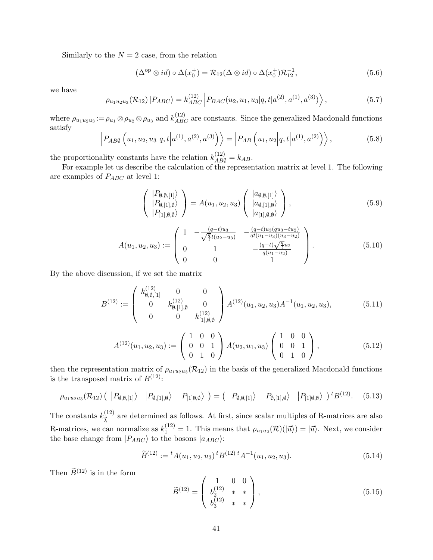Similarly to the  $N = 2$  case, from the relation

$$
(\Delta^{\rm op} \otimes id) \circ \Delta(x_0^+) = \mathcal{R}_{12}(\Delta \otimes id) \circ \Delta(x_0^+) \mathcal{R}_{12}^{-1},\tag{5.6}
$$

we have

$$
\rho_{u_1 u_2 u_3}(\mathcal{R}_{12}) | P_{ABC} \rangle = k_{ABC}^{(12)} | P_{BAC}(u_2, u_1, u_3 | q, t | a^{(2)}, a^{(1)}, a^{(3)}) \rangle, \qquad (5.7)
$$

where  $\rho_{u_1u_2u_3} := \rho_{u_1} \otimes \rho_{u_2} \otimes \rho_{u_3}$  and  $k_{ABC}^{(12)}$  are constants. Since the generalized Macdonald functions satisfy

$$
\left| P_{AB\emptyset} \left( u_1, u_2, u_3 \middle| q, t \middle| a^{(1)}, a^{(2)}, a^{(3)} \right) \right\rangle = \left| P_{AB} \left( u_1, u_2 \middle| q, t \middle| a^{(1)}, a^{(2)} \right) \right\rangle, \tag{5.8}
$$

the proportionality constants have the relation  $k_{AB}^{(12)} = k_{AB}$ .

For example let us describe the calculation of the representation matrix at level 1. The following are examples of *PABC* at level 1:

$$
\begin{pmatrix}\n|P_{\emptyset,\emptyset,[1]}\rangle \\
|P_{\emptyset,[1],\emptyset}\rangle \\
|P_{[1],\emptyset,\emptyset}\rangle\n\end{pmatrix} = A(u_1,u_2,u_3) \begin{pmatrix}\n|a_{\emptyset,\emptyset,[1]}\rangle \\
|a_{\emptyset,[1],\emptyset}\rangle \\
|a_{[1],\emptyset,\emptyset}\rangle\n\end{pmatrix},
$$
\n(5.9)

$$
A(u_1, u_2, u_3) := \begin{pmatrix} 1 & -\frac{(q-t)u_3}{\sqrt{\frac{q}{t}}t(u_2 - u_3)} & -\frac{(q-t)u_3(qu_3 - u_2)}{qt(u_1 - u_3)(u_3 - u_2)} \\ 0 & 1 & -\frac{(q-t)\sqrt{\frac{q}{t}}u_2}{q(u_1 - u_2)} \\ 0 & 0 & 1 \end{pmatrix} . \tag{5.10}
$$

By the above discussion, if we set the matrix

$$
B^{(12)} := \begin{pmatrix} k_{\emptyset,\emptyset,[1]}^{(12)} & 0 & 0\\ 0 & k_{\emptyset,[1],\emptyset}^{(12)} & 0\\ 0 & 0 & k_{[1],\emptyset,\emptyset}^{(12)} \end{pmatrix} A^{(12)}(u_1,u_2,u_3) A^{-1}(u_1,u_2,u_3), \tag{5.11}
$$

$$
A^{(12)}(u_1, u_2, u_3) := \begin{pmatrix} 1 & 0 & 0 \\ 0 & 0 & 1 \\ 0 & 1 & 0 \end{pmatrix} A(u_2, u_1, u_3) \begin{pmatrix} 1 & 0 & 0 \\ 0 & 0 & 1 \\ 0 & 1 & 0 \end{pmatrix}, \tag{5.12}
$$

then the representation matrix of  $\rho_{u_1u_2u_3}(R_{12})$  in the basis of the generalized Macdonald functions is the transposed matrix of  $B^{(12)}$ :

$$
\rho_{u_1 u_2 u_3}(\mathcal{R}_{12}) \left( \left. \left| P_{\emptyset, \emptyset, [1]} \right\rangle \right| P_{\emptyset, [1], \emptyset} \right\rangle \left. \left| P_{[1]\emptyset, \emptyset} \right\rangle \right) = \left( \left. \left| P_{\emptyset, \emptyset, [1]} \right\rangle \right| P_{\emptyset, [1], \emptyset} \right\rangle \left. \left| P_{[1]\emptyset, \emptyset} \right\rangle \right) {}^t B^{(12)}.\tag{5.13}
$$

The constants  $k_{\vec{r}}^{(12)}$  $\frac{1}{\lambda}$ <sup>(12)</sup> are determined as follows. At first, since scalar multiples of R-matrices are also R-matrices, we can normalize as  $k_1^{(12)} = 1$ . This means that  $\rho_{u_1 u_2}(\mathcal{R})(\ket{\vec{u}}) = \ket{\vec{u}}$ . Next, we consider the base change from  $|P_{ABC}\rangle$  to the bosons  $|a_{ABC}\rangle$ :

$$
\widetilde{B}^{(12)} := {}^{t}A(u_1, u_2, u_3) {}^{t}B^{(12)} {}^{t}A^{-1}(u_1, u_2, u_3). \tag{5.14}
$$

Then  $\widetilde{B}^{(12)}$  is in the form

$$
\widetilde{B}^{(12)} = \begin{pmatrix} 1 & 0 & 0 \\ b_2^{(12)} & * & * \\ b_3^{(12)} & * & * \end{pmatrix},\tag{5.15}
$$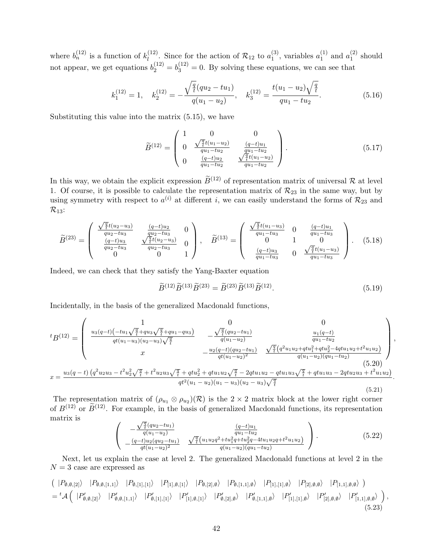where  $b_n^{(12)}$  is a function of  $k_l^{(12)}$  $\binom{(12)}{l}$ . Since for the action of  $\mathcal{R}_{12}$  to  $a_1^{(3)}$  $_1^{(3)}$ , variables  $a_1^{(1)}$  $_1^{(1)}$  and  $a_1^{(2)}$  $_1^{(2)}$  should not appear, we get equations  $b_2^{(12)} = b_3^{(12)} = 0$ . By solving these equations, we can see that

$$
k_1^{(12)} = 1, \quad k_2^{(12)} = -\frac{\sqrt{\frac{q}{t}}(qu_2 - tu_1)}{q(u_1 - u_2)}, \quad k_3^{(12)} = \frac{t(u_1 - u_2)\sqrt{\frac{q}{t}}}{qu_1 - tu_2}.
$$
 (5.16)

Substituting this value into the matrix (5.15), we have

$$
\widetilde{B}^{(12)} = \begin{pmatrix}\n1 & 0 & 0 \\
0 & \frac{\sqrt{\frac{q}{t}}t(u_1 - u_2)}{qu_1 - tu_2} & \frac{(q-t)u_1}{qu_1 - tu_2} \\
0 & \frac{(q-t)u_2}{qu_1 - tu_2} & \frac{\sqrt{\frac{q}{t}}t(u_1 - u_2)}{qu_1 - tu_2}\n\end{pmatrix}.
$$
\n(5.17)

In this way, we obtain the explicit expression  $\widetilde{B}^{(12)}$  of representation matrix of universal  $\mathcal R$  at level 1. Of course, it is possible to calculate the representation matrix of  $\mathcal{R}_{23}$  in the same way, but by using symmetry with respect to  $a^{(i)}$  at different *i*, we can easily understand the forms of  $\mathcal{R}_{23}$  and  $\mathcal{R}_{13}$ :

$$
\widetilde{B}^{(23)} = \begin{pmatrix}\n\frac{\sqrt{\frac{q}{t}}t(u_2 - u_3)}{qu_2 - tu_3} & \frac{(q-t)u_2}{qu_2 - tu_3} & 0 \\
\frac{(q-t)u_3}{qu_2 - tu_3} & \frac{\sqrt{\frac{q}{t}}t(u_2 - u_3)}{qu_2 - tu_3} & 0 \\
0 & 0 & 1\n\end{pmatrix}, \quad \widetilde{B}^{(13)} = \begin{pmatrix}\n\frac{\sqrt{\frac{q}{t}}t(u_1 - u_3)}{qu_1 - tu_3} & 0 & \frac{(q-t)u_1}{qu_1 - tu_3} \\
0 & 1 & 0 \\
\frac{(q-t)u_3}{qu_1 - tu_3} & 0 & \frac{\sqrt{\frac{q}{t}}t(u_1 - u_3)}{qu_1 - tu_3}\n\end{pmatrix}.
$$
\n(5.18)

Indeed, we can check that they satisfy the Yang-Baxter equation

$$
\widetilde{B}^{(12)}\widetilde{B}^{(13)}\widetilde{B}^{(23)} = \widetilde{B}^{(23)}\widetilde{B}^{(13)}\widetilde{B}^{(12)}.
$$
\n(5.19)

*,*

Incidentally, in the basis of the generalized Macdonald functions,

$$
{}^{t}B^{(12)} = \begin{pmatrix} 1 & 0 & 0 \\ \frac{u_{3}(q-t)(-tu_{1}\sqrt{\frac{q}{t}}+qu_{3}\sqrt{\frac{q}{t}}+qu_{1}-qu_{3})}{qt(u_{1}-u_{3})(u_{2}-u_{3})\sqrt{\frac{q}{t}}} & -\frac{\sqrt{\frac{q}{t}}(qu_{2}-tu_{1})}{q(u_{1}-u_{2})} & \frac{u_{1}(q-t)}{qu_{1}-tu_{2}} \\ x & -\frac{u_{2}(q-t)(qu_{2}-tu_{1})}{qt(u_{1}-u_{2})^{2}} & \frac{\sqrt{\frac{q}{t}}(q^{2}u_{1}u_{2}+qtu_{1}^{2}+qu_{2}^{2}-4qtu_{1}u_{2}+t^{2}u_{1}u_{2})}{q(u_{1}-u_{2})(qu_{1}-tu_{2})} \end{pmatrix} \tag{5.20}
$$

$$
x = \frac{u_{3}(q-t)(q^{2}u_{2}u_{3}-t^{2}u_{2}^{2}\sqrt{\frac{q}{t}}+t^{2}u_{2}u_{3}\sqrt{\frac{q}{t}}+qtu_{2}^{2}+qtu_{1}u_{2}\sqrt{\frac{q}{t}}-2qtu_{1}u_{2}-qtu_{1}u_{3}\sqrt{\frac{q}{t}}+qtu_{1}u_{3}-2qtu_{2}u_{3}+t^{2}u_{1}u_{2})}{qt^{2}(u_{1}-u_{2})(u_{1}-u_{3})(u_{2}-u_{3})\sqrt{\frac{q}{t}}} \tag{5.21}
$$

The representation matrix of  $(\rho_{u_1} \otimes \rho_{u_2})(\mathcal{R})$  is the 2 × 2 matrix block at the lower right corner of  $B^{(12)}$  or  $\widetilde{B}^{(12)}$ . For example, in the basis of generalized Macdonald functions, its representation matrix is *√<sup>q</sup>*

$$
\begin{pmatrix}\n-\frac{\sqrt{\frac{q}{t}}(qu_2 - tu_1)}{q(u_1 - u_2)} & \frac{(q-t)u_1}{qu_1 - tu_2} \\
-\frac{(q-t)u_2(qu_2 - tu_1)}{qt(u_1 - u_2)^2} & \frac{\sqrt{\frac{q}{t}}(u_1 u_2 q^2 + tu_1^2 q + tu_2^2 q - 4tu_1 u_2 q + t^2 u_1 u_2)}{q(u_1 - u_2)(qu_1 - tu_2)}\n\end{pmatrix}.
$$
\n(5.22)

Next, let us explain the case at level 2. The generalized Macdonald functions at level 2 in the  $N = 3$  case are expressed as

$$
\begin{split}\n&\left(\begin{array}{cc} |P_{\emptyset,\emptyset,[2]}\rangle & |P_{\emptyset,\emptyset,[1,1]}\rangle & |P_{\emptyset,[1],[1]}\rangle & |P_{[1],\emptyset,[1]}\rangle & |P_{\emptyset,[2],\emptyset}\rangle & |P_{\emptyset,[1,1],\emptyset}\rangle & |P_{[1],[1],\emptyset}\rangle & |P_{[2],\emptyset,\emptyset}\rangle & |P_{[1,1],\emptyset,\emptyset}\rangle \\
&= {}^t\mathcal{A}\left(\begin{array}{cc} |P'_{\emptyset,\emptyset,[2]}\rangle & |P'_{\emptyset,\emptyset,[1,1]}\rangle & |P'_{\emptyset,[1],[1]}\rangle & |P'_{[1],\emptyset,[1]}\rangle & |P'_{\emptyset,[2],\emptyset}\rangle & |P'_{\emptyset,[1,1],\emptyset}\rangle & |P'_{[1],[1],\emptyset}\rangle & |P'_{[2],\emptyset,\emptyset}\rangle & |P'_{[1,1],\emptyset,\emptyset}\rangle\n\end{array}\right),\n\end{split}
$$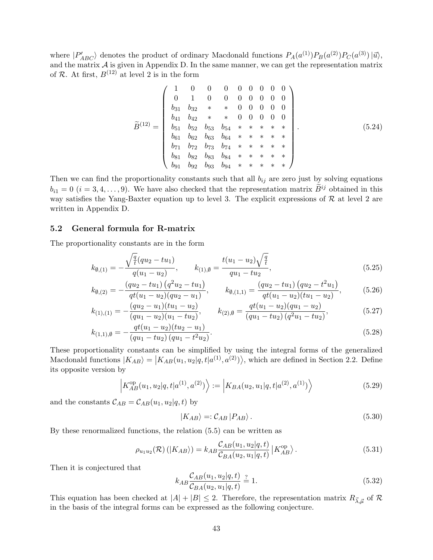where  $|P'_{ABC}\rangle$  denotes the product of ordinary Macdonald functions  $P_A(a^{(1)})P_B(a^{(2)})P_C(a^{(3)})| \vec{u}\rangle$ , and the matrix  $A$  is given in Appendix D. In the same manner, we can get the representation matrix of  $R$ . At first,  $B^{(12)}$  at level 2 is in the form

$$
\widetilde{B}^{(12)} = \begin{pmatrix}\n1 & 0 & 0 & 0 & 0 & 0 & 0 & 0 & 0 \\
0 & 1 & 0 & 0 & 0 & 0 & 0 & 0 & 0 \\
b_{31} & b_{32} & * & * & 0 & 0 & 0 & 0 & 0 \\
b_{41} & b_{42} & * & * & 0 & 0 & 0 & 0 & 0 \\
b_{51} & b_{52} & b_{53} & b_{54} & * & * & * & * \\
b_{61} & b_{62} & b_{63} & b_{64} & * & * & * & * \\
b_{71} & b_{72} & b_{73} & b_{74} & * & * & * & * \\
b_{81} & b_{82} & b_{83} & b_{84} & * & * & * & * \\
b_{91} & b_{92} & b_{93} & b_{94} & * & * & * & * & * \\
\end{pmatrix}.
$$
\n(5.24)

Then we can find the proportionality constants such that all  $b_{ij}$  are zero just by solving equations  $b_{i1} = 0$  (*i* = 3, 4, ..., 9). We have also checked that the representation matrix  $\widetilde{B}^{ij}$  obtained in this way satisfies the Yang-Baxter equation up to level 3. The explicit expressions of  $R$  at level 2 are written in Appendix D.

#### **5.2 General formula for R-matrix**

The proportionality constants are in the form

$$
k_{\emptyset,(1)} = -\frac{\sqrt{\frac{q}{t}}(qu_2 - tu_1)}{q(u_1 - u_2)}, \qquad k_{(1),\emptyset} = \frac{t(u_1 - u_2)\sqrt{\frac{q}{t}}}{qu_1 - tu_2}, \tag{5.25}
$$

$$
k_{\emptyset,(2)} = -\frac{(qu_2 - tu_1)(q^2u_2 - tu_1)}{qt(u_1 - u_2)(qu_2 - u_1)}, \qquad k_{\emptyset,(1,1)} = \frac{(qu_2 - tu_1)(qu_2 - t^2u_1)}{qt(u_1 - u_2)(tu_1 - u_2)}, \tag{5.26}
$$

$$
k_{(1),(1)} = -\frac{(qu_2 - u_1)(tu_1 - u_2)}{(qu_1 - u_2)(u_1 - tu_2)}, \qquad k_{(2),\emptyset} = \frac{qt(u_1 - u_2)(qu_1 - u_2)}{(qu_1 - tu_2)(q^2u_1 - tu_2)},
$$
(5.27)

$$
k_{(1,1),\emptyset} = -\frac{qt(u_1 - u_2)(tu_2 - u_1)}{(qu_1 - tu_2)(qu_1 - t^2 u_2)}.
$$
\n
$$
(5.28)
$$

These proportionality constants can be simplified by using the integral forms of the generalized Macdonald functions  $|K_{AB}\rangle = |K_{AB}(u_1, u_2|q, t|a^{(1)}, a^{(2)})\rangle$ , which are defined in Section 2.2. Define its opposite version by

$$
\left| K_{AB}^{\text{op}}(u_1, u_2 | q, t | a^{(1)}, a^{(2)}) \right\rangle := \left| K_{BA}(u_2, u_1 | q, t | a^{(2)}, a^{(1)}) \right\rangle \tag{5.29}
$$

and the constants  $C_{AB} = C_{AB}(u_1, u_2|q, t)$  by

$$
|K_{AB}\rangle =: \mathcal{C}_{AB} |P_{AB}\rangle. \tag{5.30}
$$

By these renormalized functions, the relation (5.5) can be written as

$$
\rho_{u_1 u_2}(\mathcal{R})\left(|K_{AB}\rangle\right) = k_{AB} \frac{\mathcal{C}_{AB}(u_1, u_2|q, t)}{\mathcal{C}_{BA}(u_2, u_1|q, t)} \left|K_{AB}^{\text{op}}\right\rangle. \tag{5.31}
$$

Then it is conjectured that

$$
k_{AB} \frac{\mathcal{C}_{AB}(u_1, u_2 | q, t)}{\mathcal{C}_{BA}(u_2, u_1 | q, t)} \stackrel{?}{=} 1.
$$
\n(5.32)

This equation has been checked at  $|A| + |B| \leq 2$ . Therefore, the representation matrix  $R_{\vec{\lambda}, \vec{\mu}}$  of  $\mathcal{R}$ in the basis of the integral forms can be expressed as the following conjecture.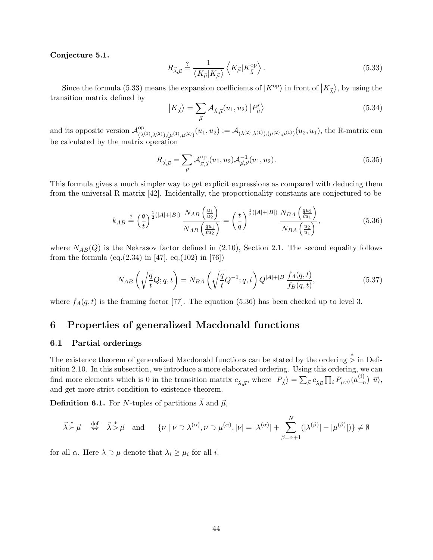#### **Conjecture 5.1.**

$$
R_{\vec{\lambda},\vec{\mu}} \stackrel{?}{=} \frac{1}{\langle K_{\vec{\mu}}|K_{\vec{\mu}}\rangle} \left\langle K_{\vec{\mu}}|K_{\vec{\lambda}}^{\text{op}} \right\rangle. \tag{5.33}
$$

Since the formula (5.33) means the expansion coefficients of  $|K^{\text{op}}\rangle$  in front of  $|K_{\vec{\lambda}}\rangle$ , by using the transition matrix defined by

$$
|K_{\vec{\lambda}}\rangle = \sum_{\vec{\mu}} \mathcal{A}_{\vec{\lambda},\vec{\mu}}(u_1, u_2) |P'_{\vec{\mu}}\rangle
$$
 (5.34)

and its opposite version  $\mathcal{A}_{\alpha}^{\text{op}}$  $(\lambda^{(1)}, \lambda^{(2)}), (\mu^{(1)}, \mu^{(2)})$   $(u_1, u_2) := \mathcal{A}_{(\lambda^{(2)}, \lambda^{(1)}), (\mu^{(2)}, \mu^{(1)})} (u_2, u_1)$ , the R-matrix can be calculated by the matrix operation

$$
R_{\vec{\lambda}, \vec{\mu}} = \sum_{\vec{\nu}} \mathcal{A}_{\vec{\nu}, \vec{\lambda}}^{\text{op}}(u_1, u_2) \mathcal{A}_{\vec{\mu}, \vec{\nu}}^{-1}(u_1, u_2).
$$
 (5.35)

This formula gives a much simpler way to get explicit expressions as compared with deducing them from the universal R-matrix [42]. Incidentally, the proportionality constants are conjectured to be

$$
k_{AB} \stackrel{?}{=} \left(\frac{q}{t}\right)^{\frac{1}{2}(|A|+|B|)} \frac{N_{AB}\left(\frac{u_1}{u_2}\right)}{N_{AB}\left(\frac{qu_1}{tu_2}\right)} = \left(\frac{t}{q}\right)^{\frac{1}{2}(|A|+|B|)} \frac{N_{BA}\left(\frac{qu_2}{tu_1}\right)}{N_{BA}\left(\frac{u_2}{u_1}\right)},
$$
(5.36)

where  $N_{AB}(Q)$  is the Nekrasov factor defined in  $(2.10)$ , Section 2.1. The second equality follows from the formula (eq.(2.34) in [47], eq.(102) in [76])

$$
N_{AB}\left(\sqrt{\frac{q}{t}}Q;q,t\right) = N_{BA}\left(\sqrt{\frac{q}{t}}Q^{-1};q,t\right)Q^{|A|+|B|}\frac{f_A(q,t)}{f_B(q,t)},\tag{5.37}
$$

where  $f_A(q,t)$  is the framing factor [77]. The equation (5.36) has been checked up to level 3.

# **6 Properties of generalized Macdonald functions**

#### **6.1 Partial orderings**

The existence theorem of generalized Macdonald functions can be stated by the ordering *∗ >* in Definition 2.10. In this subsection, we introduce a more elaborated ordering. Using this ordering, we can find more elements which is 0 in the transition matrix  $c_{\vec{\lambda}, \vec{\mu}}$ , where  $|P_{\vec{\lambda}}\rangle = \sum_{\vec{\mu}} c_{\vec{\lambda}, \vec{\mu}} \prod_i P_{\mu^{(i)}}(a_{-\vec{\mu}}^{(i)})$ *−n* )*|⃗u⟩*, and get more strict condition to existence theorem.

**Definition 6.1.** For *N*-tuples of partitions  $\vec{\lambda}$  and  $\vec{\mu}$ ,

$$
\vec{\lambda} \stackrel{*}{\succ} \vec{\mu} \quad \stackrel{\text{def}}{\Leftrightarrow} \quad \vec{\lambda} \stackrel{*}{\gt} \vec{\mu} \quad \text{and} \quad \{ \nu \mid \nu \supset \lambda^{(\alpha)}, \nu \supset \mu^{(\alpha)}, |\nu| = |\lambda^{(\alpha)}| + \sum_{\beta=\alpha+1}^N (|\lambda^{(\beta)}| - |\mu^{(\beta)}|) \} \neq \emptyset
$$

for all  $\alpha$ . Here  $\lambda \supset \mu$  denote that  $\lambda_i \geq \mu_i$  for all *i*.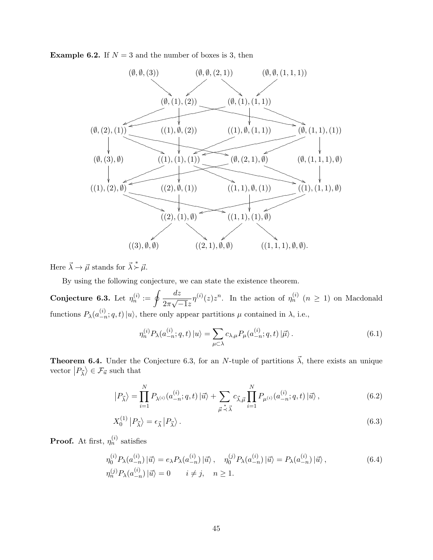**Example 6.2.** If  $N = 3$  and the number of boxes is 3, then



Here  $\vec{\lambda} \to \vec{\mu}$  stands for  $\vec{\lambda} \stackrel{*}{\succ} \vec{\mu}$ .

By using the following conjecture, we can state the existence theorem.

**Conjecture 6.3.** Let  $\eta_n^{(i)} := \oint \frac{dz}{2\pi i}$ 2*π √ −*1*z η*<sup>(*i*)</sup>(*z*) *z*<sup>*n*</sup>. In the action of *η*<sup>(*i*)</sup> (*n*  $\geq$  1) on Macdonald functions  $P_{\lambda}(a_{-\tau}^{(i)})$  $\langle u \rangle$ <sub>−n</sub>; *q, t*) |*u* $\rangle$ , there only appear partitions  $\mu$  contained in  $\lambda$ , i.e.,

$$
\eta_n^{(i)} P_\lambda(a_{-n}^{(i)}; q, t) |u\rangle = \sum_{\mu \subset \lambda} c_{\lambda, \mu} P_\mu(a_{-n}^{(i)}; q, t) | \vec{\mu} \rangle.
$$
 (6.1)

**Theorem 6.4.** Under the Conjecture 6.3, for an *N*-tuple of partitions  $\vec{\lambda}$ , there exists an unique vector  $|P_{\vec{\lambda}}\rangle \in \mathcal{F}_{\vec{u}}$  such that

$$
\left|P_{\vec{\lambda}}\right\rangle = \prod_{i=1}^{N} P_{\lambda^{(i)}}(a_{-n}^{(i)}; q, t) \left|\vec{u}\right\rangle + \sum_{\vec{\mu} \stackrel{*}{\prec} \vec{\lambda}} c_{\vec{\lambda}, \vec{\mu}} \prod_{i=1}^{N} P_{\mu^{(i)}}(a_{-n}^{(i)}; q, t) \left|\vec{u}\right\rangle, \tag{6.2}
$$

$$
X_0^{(1)} |P_{\vec{\lambda}}\rangle = \epsilon_{\vec{\lambda}} |P_{\vec{\lambda}}\rangle. \tag{6.3}
$$

**Proof.** At first,  $\eta_n^{(i)}$  satisfies

$$
\eta_0^{(i)} P_\lambda(a_{-n}^{(i)}) \left| \vec{u} \right\rangle = e_\lambda P_\lambda(a_{-n}^{(i)}) \left| \vec{u} \right\rangle, \quad \eta_0^{(j)} P_\lambda(a_{-n}^{(i)}) \left| \vec{u} \right\rangle = P_\lambda(a_{-n}^{(i)}) \left| \vec{u} \right\rangle, \eta_n^{(j)} P_\lambda(a_{-n}^{(i)}) \left| \vec{u} \right\rangle = 0 \qquad i \neq j, \quad n \geq 1.
$$
\n(6.4)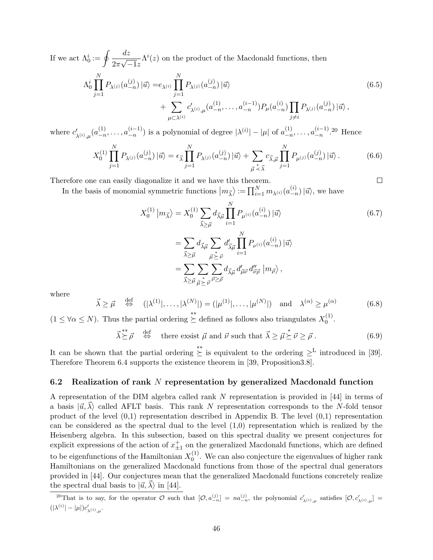If we act  $\Lambda_0^i := \oint \frac{dz}{\Omega - \sqrt{z}}$ 2*π √ −*1*z*  $\Lambda^{i}(z)$  on the product of the Macdonald functions, then

$$
\Lambda_0^i \prod_{j=1}^N P_{\lambda^{(j)}}(a_{-n}^{(j)}) \left| \vec{u} \right\rangle = e_{\lambda^{(i)}} \prod_{j=1}^N P_{\lambda^{(j)}}(a_{-n}^{(j)}) \left| \vec{u} \right\rangle + \sum_{\mu \subset \lambda^{(i)}} c'_{\lambda^{(i)},\mu}(a_{-n}^{(1)}, \dots, a_{-n}^{(i-1)}) P_{\mu}(a_{-n}^{(i)}) \prod_{j \neq i} P_{\lambda^{(j)}}(a_{-n}^{(j)}) \left| \vec{u} \right\rangle,
$$
(6.5)

where  $c'_{\lambda^{(i)},\mu}(a_{-n}^{(1)})$  $\binom{(1)}{-n}, \ldots, \binom{(i-1)}{-n}$  $\binom{(i-1)}{-n}$  is a polynomial of degree  $|\lambda^{(i)}| - |\mu|$  of  $a_{-n}^{(1)}$  $\binom{(1)}{-n}, \ldots, \binom{(i-1)}{-n}$  $\frac{(i-1)}{-n}$ .<sup>20</sup> Hence

$$
X_0^{(1)} \prod_{j=1}^N P_{\lambda^{(j)}}(a_{-n}^{(j)}) \left| \vec{u} \right\rangle = \epsilon_{\vec{\lambda}} \prod_{j=1}^N P_{\lambda^{(j)}}(a_{-n}^{(j)}) \left| \vec{u} \right\rangle + \sum_{\vec{\mu} \stackrel{*}{\prec} \vec{\lambda}} c_{\vec{\lambda},\vec{\mu}} \prod_{j=1}^N P_{\mu^{(j)}}(a_{-n}^{(j)}) \left| \vec{u} \right\rangle. \tag{6.6}
$$

Therefore one can easily diagonalize it and we have this theorem.

In the basis of monomial symmetric functions  $|m_{\vec{\lambda}}\rangle := \prod_{i=1}^{N} m_{\lambda^{(i)}}(a_{-r}^{(i)})$  $\binom{u}{-n}$  | $\vec{u}$ <sup>*n*</sup>, we have

$$
X_0^{(1)} |m_{\vec{\lambda}}\rangle = X_0^{(1)} \sum_{\vec{\lambda} \ge \vec{\mu}} d_{\vec{\lambda}\vec{\mu}} \prod_{i=1}^N P_{\mu^{(i)}}(a_{-n}^{(i)}) | \vec{u}\rangle
$$
  
\n
$$
= \sum_{\vec{\lambda} \ge \vec{\mu}} d_{\vec{\lambda}\vec{\mu}} \sum_{\vec{\mu} \ge \vec{\nu}} d'_{\vec{\lambda}\vec{\mu}} \prod_{i=1}^N P_{\nu^{(i)}}(a_{-n}^{(i)}) | \vec{u}\rangle
$$
  
\n
$$
= \sum_{\vec{\lambda} \ge \vec{\mu}} \sum_{\vec{\mu} \ge \vec{\nu}} \sum_{\vec{\mu} \ge \vec{\rho}} d_{\vec{\lambda}\vec{\mu}} d'_{\vec{\mu}\vec{\nu}} d''_{\vec{\nu}\vec{\rho}} |m_{\vec{\rho}}\rangle,
$$
  
\n(6.7)

 $\Box$ 

where

$$
\vec{\lambda} \ge \vec{\mu} \quad \stackrel{\text{def}}{\Leftrightarrow} \quad (|\lambda^{(1)}|, \dots, |\lambda^{(N)}|) = (|\mu^{(1)}|, \dots, |\mu^{(N)}|) \quad \text{and} \quad \lambda^{(\alpha)} \ge \mu^{(\alpha)} \tag{6.8}
$$

 $(1 \leq \forall \alpha \leq N)$ . Thus the partial ordering  $\stackrel{*}{\geq}$  defined as follows also triangulates  $X_0^{(1)}$  $\binom{1}{0}$ .

$$
\vec{\lambda} \succeq \vec{\rho} \quad \stackrel{\text{def}}{\Leftrightarrow} \quad \text{there exists } \vec{\mu} \text{ and } \vec{\nu} \text{ such that } \vec{\lambda} \ge \vec{\mu} \succeq \vec{\nu} \ge \vec{\rho} \,. \tag{6.9}
$$

It can be shown that the partial ordering  $\stackrel{*}{\succeq}$  is equivalent to the ordering  $\geq^L$  introduced in [39]. Therefore Theorem 6.4 supports the existence theorem in [39, Proposition3.8].

#### **6.2 Realization of rank** *N* **representation by generalized Macdonald function**

A representation of the DIM algebra called rank *N* representation is provided in [44] in terms of a basis  $|\vec{u}, \vec{\lambda}\rangle$  called AFLT basis. This rank *N* representation corresponds to the *N*-fold tensor product of the level (0,1) representation described in Appendix B. The level (0,1) representation can be considered as the spectral dual to the level  $(1,0)$  representation which is realized by the Heisenberg algebra. In this subsection, based on this spectral duality we present conjectures for explicit expressions of the action of  $x_{\pm 1}^+$  on the generalized Macdonald functions, which are defined to be eigenfunctions of the Hamiltonian  $X_0^{(1)}$  $_{0}^{(1)}$ . We can also conjecture the eigenvalues of higher rank Hamiltonians on the generalized Macdonald functions from those of the spectral dual generators provided in [44]. Our conjectures mean that the generalized Macdonald functions concretely realize the spectral dual basis to  $|\vec{u}, \lambda\rangle$  in [44].

<sup>&</sup>lt;sup>20</sup>That is to say, for the operator  $\mathcal O$  such that  $[\mathcal O, a_{-n}^{(j)}] = na_{-n}^{(j)}$ , the polynomial  $c'_{\lambda^{(i)},\mu}$  satisfies  $[\mathcal O, c'_{\lambda^{(i)},\mu}] =$  $(|\lambda^{(i)}| - |\mu|)c'_{\lambda^{(i)},\mu}.$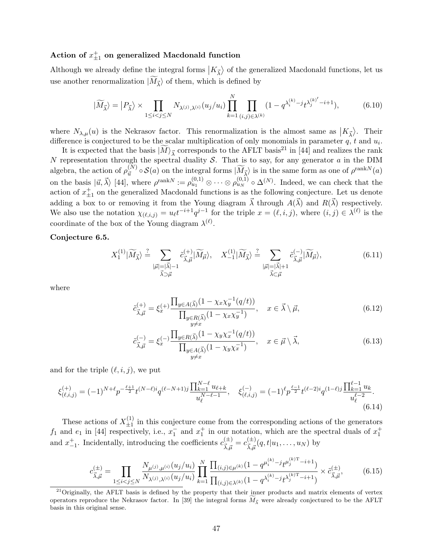# $\det(\mathbf{A}) = \det(\mathbf{A})$  **Action** of  $x_{\pm 1}^+$  on generalized Macdonald function

Although we already define the integral forms  $|K_{\vec{\lambda}}\rangle$  of the generalized Macdonald functions, let us use another renormalization  $|M_{\vec{\lambda}}\rangle$  of them, which is defined by

$$
|\widetilde{M}_{\vec{\lambda}}\rangle = |P_{\vec{\lambda}}\rangle \times \prod_{1 \le i < j \le N} N_{\lambda^{(j)},\lambda^{(i)}}(u_j/u_i) \prod_{k=1}^N \prod_{(i,j) \in \lambda^{(k)}} (1 - q^{\lambda_i^{(k)} - j} t^{\lambda_j^{(k)'} - i + 1}),\tag{6.10}
$$

where  $N_{\lambda,\mu}(u)$  is the Nekrasov factor. This renormalization is the almost same as  $|K_{\vec{\lambda}}\rangle$ . Their difference is conjectured to be the scalar multiplication of only monomials in parameter *q*, *t* and *u<sup>i</sup>* .

It is expected that the basis  $|\tilde{M}\rangle_{\vec{\lambda}}$  corresponds to the AFLT basis<sup>21</sup> in [44] and realizes the rank *N* representation through the spectral duality *S*. That is to say, for any generator *a* in the DIM algebra, the action of  $\rho_{\vec{u}}^{(N)} \circ \mathcal{S}(a)$  on the integral forms  $|\widetilde{M}_{\vec{\lambda}}\rangle$  is in the same form as one of  $\rho^{\text{rank}N}(a)$ on the basis  $|\vec{u}, \vec{\lambda}\rangle$  [44], where  $\rho^{\text{rank}N} := \rho_{u_1}^{(0,1)} \otimes \cdots \otimes \rho_{u_N}^{(0,1)} \circ \Delta^{(N)}$ . Indeed, we can check that the action of  $x_{\pm 1}^+$  on the generalized Macdonald functions is as the following conjecture. Let us denote adding a box to or removing it from the Young diagram  $\vec{\lambda}$  through  $A(\vec{\lambda})$  and  $R(\vec{\lambda})$  respectively. We also use the notation  $\chi_{(\ell,i,j)} = u_{\ell}t^{-i+1}q^{j-1}$  for the triple  $x = (\ell,i,j)$ , where  $(i,j) \in \lambda^{(\ell)}$  is the coordinate of the box of the Young diagram  $\lambda^{(\ell)}$ .

#### **Conjecture 6.5.**

$$
X_1^{(1)}|\widetilde{M}_{\vec{\lambda}}\rangle \stackrel{?}{=} \sum_{\substack{|\vec{\mu}|=|\vec{\lambda}|-1\\ \vec{\lambda}\supset\vec{\mu}}} \tilde{c}_{\vec{\lambda},\vec{\mu}}^{(+)}|\widetilde{M}_{\vec{\mu}}\rangle, \quad X_{-1}^{(1)}|\widetilde{M}_{\vec{\lambda}}\rangle \stackrel{?}{=} \sum_{\substack{|\vec{\mu}|=|\vec{\lambda}|+1\\ \vec{\lambda}\subset\vec{\mu}}} \tilde{c}_{\vec{\lambda},\vec{\mu}}^{(-)}|\widetilde{M}_{\vec{\mu}}\rangle, \tag{6.11}
$$

where

$$
\tilde{c}_{\vec{\lambda},\vec{\mu}}^{(+)} = \xi_x^{(+)} \frac{\prod_{y \in A(\vec{\lambda})} (1 - \chi_x \chi_y^{-1}(q/t))}{\prod_{\substack{y \in R(\vec{\lambda})} (1 - \chi_x \chi_y^{-1})}} , \quad x \in \vec{\lambda} \setminus \vec{\mu}, \tag{6.12}
$$

$$
\tilde{c}_{\vec{\lambda},\vec{\mu}}^{(-)} = \xi_x^{(-)} \frac{\prod_{y \in R(\vec{\lambda})} (1 - \chi_y \chi_x^{-1}(q/t))}{\prod_{\substack{y \in A(\vec{\lambda})} (1 - \chi_y \chi_x^{-1})}} , \quad x \in \vec{\mu} \setminus \vec{\lambda}, \tag{6.13}
$$

and for the triple  $(\ell, i, j)$ , we put

$$
\xi_{(\ell,i,j)}^{(+)} = (-1)^{N+\ell} p^{-\frac{\ell+1}{2}} t^{(N-\ell)i} q^{(\ell-N+1)j} \frac{\prod_{k=1}^{N-\ell} u_{\ell+k}}{u_{\ell}^{N-\ell-1}}, \quad \xi_{(\ell,i,j)}^{(-)} = (-1)^{\ell} p^{\frac{\ell-1}{2}} t^{(\ell-2)i} q^{(1-\ell)j} \frac{\prod_{k=1}^{\ell-1} u_k}{u_{\ell}^{\ell-2}}.
$$
\n(6.14)

These actions of  $X_{+1}^{(1)}$  $\pm$ <sup>1</sup>/<sub> $\pm$ 1</sub> in this conjecture come from the corresponding actions of the generators  $f_1$  and  $e_1$  in [44] respectively, i.e.,  $x_1^-$  and  $x_1^+$  in our notation, which are the spectral duals of  $x_1^+$ and  $x_{-1}^+$ . Incidentally, introducing the coefficients  $c_{\vec{\lambda}, \vec{\mu}}^{(\pm)}$  $\frac{d^2\vec{a}}{d\vec{\lambda},\vec{\mu}}=c^{(\pm)}_{\vec{\lambda},\vec{\mu}}$  $\frac{d^{\text{(E)}}\bar{x}}{\vec{\lambda},\vec{\mu}}(q,t|u_1,\ldots,u_N)$  by

$$
c_{\vec{\lambda},\vec{\mu}}^{(\pm)} = \prod_{1 \le i < j \le N} \frac{N_{\mu^{(j)},\mu^{(i)}}(u_j/u_i)}{N_{\lambda^{(j)},\lambda^{(i)}}(u_j/u_i)} \prod_{k=1}^N \frac{\prod_{(i,j) \in \mu^{(k)}} (1 - q^{\mu_i^{(k)} - j} t^{\mu_j^{(k)T} - i + 1})}{\prod_{(i,j) \in \lambda^{(k)}} (1 - q^{\lambda_i^{(k)} - j} t^{\lambda_j^{(k)T} - i + 1})} \times \tilde{c}_{\vec{\lambda},\vec{\mu}}^{(\pm)}, \tag{6.15}
$$

<sup>&</sup>lt;sup>21</sup>Originally, the AFLT basis is defined by the property that their inner products and matrix elements of vertex operators reproduce the Nekrasov factor. In [39] the integral forms  $M_{\overline{\lambda}}$  were already conjectured to be the AFLT basis in this original sense.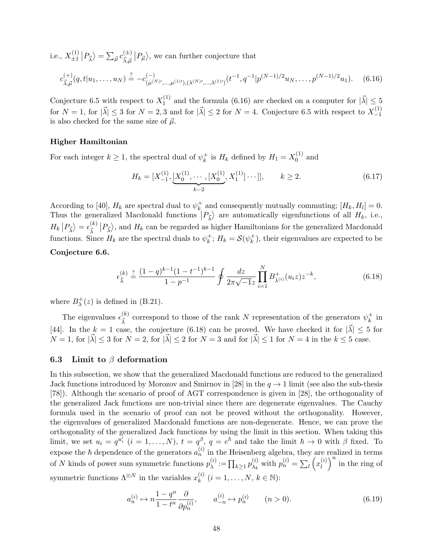i.e.,  $X_{+1}^{(1)}$  $\ket{\frac{(1)}{\pm 1}} P_{\vec{\lambda}}\rangle = \sum_{\vec{\mu}} c_{\vec{\lambda},\vec{\mu}}^{(\pm)}$  $\langle \frac{d^2y}{dx \mu} | P_{\vec{\mu}} \rangle$ , we can further conjecture that

$$
c_{\vec{\lambda},\vec{\mu}}^{(+)}(q,t|u_1,\ldots,u_N) \stackrel{?}{=} -c_{(\mu^{(N)}',\ldots,\mu^{(1)'}),(\lambda^{(N)'},\ldots,\lambda^{(1)'})}^{(-1)}(t^{-1},q^{-1}|p^{(N-1)/2}u_N,\ldots,p^{(N-1)/2}u_1).
$$
 (6.16)

Conjecture 6.5 with respect to  $X_1^{(1)}$  $\lambda_1^{(1)}$  and the formula (6.16) are checked on a computer for  $|\vec{\lambda}| \leq 5$ for  $N = 1$ , for  $|\vec{\lambda}| \leq 3$  for  $N = 2, 3$  and for  $|\vec{\lambda}| \leq 2$  for  $N = 4$ . Conjecture 6.5 with respect to  $X_{-1}^{(1)}$ *−*1 is also checked for the same size of  $\vec{\mu}$ .

#### **Higher Hamiltonian**

For each integer  $k \geq 1$ , the spectral dual of  $\psi_k^+$  $k \atop k$  is *H<sub>k</sub>* defined by  $H_1 = X_0^{(1)}$  $_0^{(1)}$  and

$$
H_k = [X_{-1}^{(1)}, \underbrace{[X_0^{(1)}, \cdots, [X_0^{(1)}, X_1^{(1)}] \cdots ]], \qquad k \ge 2. \tag{6.17}
$$

According to [40],  $H_k$  are spectral dual to  $\psi_k^+$  $\frac{1}{k}$  and consequently mutually commuting;  $[H_k, H_l] = 0$ . Thus the generalized Macdonald functions  $|P_{\vec{\lambda}}\rangle$  are automatically eigenfunctions of all  $H_k$ , i.e.,  $H_k | P_{\vec{\lambda}} \rangle = \epsilon_{\vec{\lambda}}^{(k)}$  $\frac{k}{\lambda}$   $|P_{\lambda}\rangle$ , and  $H_k$  can be regarded as higher Hamiltonians for the generalized Macdonald functions. Since  $H_k$  are the spectral duals to  $\psi_k^+$  $k^{\dagger}$ ;  $H_k = \mathcal{S}(\psi_k^+$  $\binom{+}{k}$ , their eigenvalues are expected to be

## **Conjecture 6.6.**

$$
\epsilon_{\vec{\lambda}}^{(k)} \stackrel{?}{=} \frac{(1-q)^{k-1}(1-t^{-1})^{k-1}}{1-p^{-1}} \oint \frac{dz}{2\pi\sqrt{-1}z} \prod_{i=1}^{N} B_{\lambda^{(i)}}^+(u_i z) z^{-k}, \tag{6.18}
$$

where  $B_{\lambda}^{+}$  $\chi^+(z)$  is defined in (B.21).

The eigenvalues  $\epsilon_{\vec{r}}^{(k)}$  $\frac{1}{\lambda}$ <sup>(k)</sup> correspond to those of the rank *N* representation of the generators  $\psi_k^+$  $\frac{+}{k}$  in [44]. In the  $k = 1$  case, the conjecture (6.18) can be proved. We have checked it for  $|\vec{\lambda}| \leq 5$  for  $N = 1$ , for  $|\vec{\lambda}| \leq 3$  for  $N = 2$ , for  $|\vec{\lambda}| \leq 2$  for  $N = 3$  and for  $|\vec{\lambda}| \leq 1$  for  $N = 4$  in the  $k \leq 5$  case.

#### **6.3 Limit to** *β* **deformation**

In this subsection, we show that the generalized Macdonald functions are reduced to the generalized Jack functions introduced by Morozov and Smirnov in [28] in the  $q \to 1$  limit (see also the sub-thesis [78]). Although the scenario of proof of AGT correspondence is given in [28], the orthogonality of the generalized Jack functions are non-trivial since there are degenerate eigenvalues. The Cauchy formula used in the scenario of proof can not be proved without the orthogonality. However, the eigenvalues of generalized Macdonald functions are non-degenerate. Hence, we can prove the orthogonality of the generalized Jack functions by using the limit in this section. When taking this limit, we set  $u_i = q^{u'_i}$   $(i = 1, ..., N)$ ,  $t = q^{\beta}$ ,  $q = e^{\hbar}$  and take the limit  $\hbar \to 0$  with  $\beta$  fixed. To expose the  $\hbar$  dependence of the generators  $a_n^{(i)}$  in the Heisenberg algebra, they are realized in terms of *N* kinds of power sum symmetric functions  $p_{\lambda}^{(i)}$  $\prod_{\lambda}^{(i)} := \prod_{k \geq 1} p_{\lambda_k}^{(i)}$  $\chi_k^{(i)}$  with  $p_n^{(i)} = \sum_l \left( x_l^{(i)} \right)$  $\binom{i}{l}$ <sup>n</sup> in the ring of symmetric functions  $\Lambda^{\otimes N}$  in the variables  $x_k^{(i)}$  $k^{(i)}$   $(i = 1, \ldots, N, k \in \mathbb{N})$ :

$$
a_n^{(i)} \mapsto n \frac{1 - q^n}{1 - t^n} \frac{\partial}{\partial p_n^{(i)}}, \qquad a_{-n}^{(i)} \mapsto p_n^{(i)} \qquad (n > 0). \tag{6.19}
$$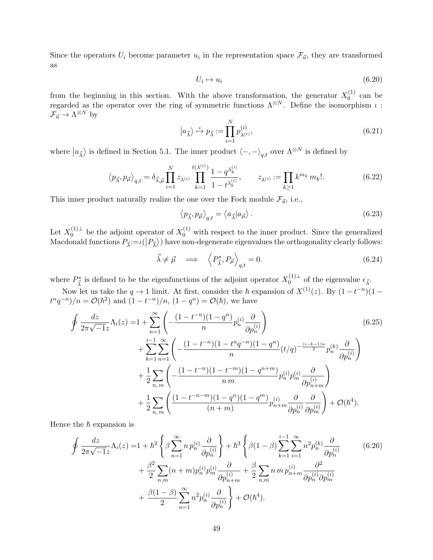Since the operators  $U_i$  become parameter  $u_i$  in the representation space  $\mathcal{F}_{\vec{u}}$ , they are transformed as

$$
U_i \mapsto u_i \tag{6.20}
$$

from the beginning in this section. With the above transformation, the generator  $X_0^{(1)}$  $_0^{(1)}$  can be regarded as the operator over the ring of symmetric functions  $\Lambda^{\otimes N}$ . Define the isomorphism *ι* :  $\mathcal{F}_{\vec{u}} \to \Lambda^{\otimes N}$  by

$$
|a_{\vec{\lambda}}\rangle \stackrel{\iota}{\mapsto} p_{\vec{\lambda}} := \prod_{i=1}^{N} p_{\lambda^{(i)}}^{(i)},
$$
\n(6.21)

where  $|a_{\vec{\lambda}}\rangle$  is defined in Section 5.1. The inner product  $\langle -, -\rangle_{q,t}$  over  $\Lambda^{\otimes N}$  is defined by

$$
\langle p_{\vec{\lambda}}, p_{\vec{\mu}} \rangle_{q,t} = \delta_{\vec{\lambda}, \vec{\mu}} \prod_{i=1}^{N} z_{\lambda^{(i)}} \prod_{k=1}^{\ell(\lambda^{(i)})} \frac{1 - q^{\lambda_k^{(i)}}}{1 - t^{\lambda_k^{(i)}}}, \qquad z_{\lambda^{(i)}} := \prod_{k \ge 1} k^{m_k} m_k!.
$$
 (6.22)

This inner product naturally realize the one over the Fock module  $\mathcal{F}_{\vec{u}}$ , i.e.,

$$
\langle p_{\vec{\lambda}}, p_{\vec{\mu}} \rangle_{q,t} = \langle a_{\vec{\lambda}} | a_{\vec{\mu}} \rangle. \tag{6.23}
$$

Let  $X_0^{(1)\perp}$  be the adjoint operator of  $X_0^{(1)}$  with respect to the inner product. Since the generalized Macdonald functions  $P_{\vec{\lambda}}:=\iota(|P_{\vec{\lambda}}\rangle)$  have non-degenerate eigenvalues the orthogonality clearly follows:

$$
\vec{\lambda} \neq \vec{\mu} \implies \left\langle P_{\vec{\lambda}}^*, P_{\vec{\mu}} \right\rangle_{q,t} = 0. \tag{6.24}
$$

where  $P^*_{\vec{\lambda}}$  is defined to be the eigenfunctions of the adjoint operator  $X_0^{(1)\perp}$  of the eigenvalue  $\epsilon_{\vec{\lambda}}$ .

Now let us take the  $q \to 1$  limit. At first, consider the  $\hbar$  expansion of  $X^{(1)}(z)$ . By  $(1 - t^{-n})(1$ *t*<sup>n</sup> $q^{-n}$ )*/n* =  $\mathcal{O}(\hbar^2)$  and  $(1 - t^{-n})/n$ ,  $(1 - q^n) = \mathcal{O}(\hbar)$ , we have

$$
\oint \frac{dz}{2\pi\sqrt{-1}z} \Lambda_i(z) = 1 + \sum_{n=1}^{\infty} \left( -\frac{(1-t^{-n})(1-q^n)}{n} p_n^{(i)} \frac{\partial}{\partial p_n^{(i)}} \right)
$$
\n
$$
+ \sum_{k=1}^{i-1} \sum_{n=1}^{\infty} \left( -\frac{(1-t^{-n})(1-t^nq^{-n})(1-q^n)}{n} (t/q)^{-\frac{(i-k-1)n}{2}} p_n^{(k)} \frac{\partial}{\partial p_n^{(i)}} \right)
$$
\n
$$
+ \frac{1}{2} \sum_{n,m} \left( -\frac{(1-t^{-n})(1-t^{-m})(1-q^{n+m})}{n m} p_n^{(i)} p_m^{(i)} \frac{\partial}{\partial p_{n+m}^{(i)}} \right)
$$
\n
$$
+ \frac{1}{2} \sum_{n,m} \left( \frac{(1-t^{-n-m})(1-q^n)(1-q^m)}{(n+m)} p_{n+m}^{(i)} \frac{\partial}{\partial p_n^{(i)}} \frac{\partial}{\partial p_m^{(i)}} \right) + \mathcal{O}(\hbar^4).
$$
\n(6.25)

Hence the  $\hbar$  expansion is

$$
\oint \frac{dz}{2\pi\sqrt{-1}z} \Lambda_i(z) = 1 + \hbar^2 \left\{ \beta \sum_{n=1}^{\infty} n p_n^{(i)} \frac{\partial}{\partial p_n^{(i)}} \right\} + \hbar^3 \left\{ \beta (1 - \beta) \sum_{k=1}^{i-1} \sum_{i=1}^{\infty} n^2 p_n^{(k)} \frac{\partial}{\partial p_n^{(i)}} \right. \\ \left. + \frac{\beta^2}{2} \sum_{n,m} (n + m) p_n^{(i)} p_m^{(i)} \frac{\partial}{\partial p_{n+m}^{(i)}} + \frac{\beta}{2} \sum_{n,m} n m p_{n+m}^{(i)} \frac{\partial^2}{\partial p_n^{(i)} \partial p_m^{(i)}} \right. \\ \left. + \frac{\beta (1 - \beta)}{2} \sum_{n=1}^{\infty} n^2 p_n^{(i)} \frac{\partial}{\partial p_n^{(i)}} \right\} + \mathcal{O}(\hbar^4).
$$
\n(6.26)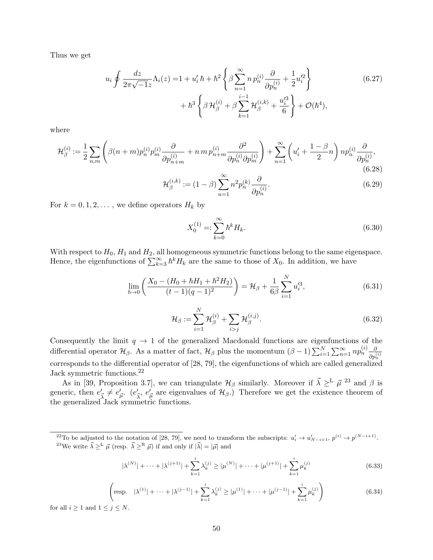Thus we get

$$
u_i \oint \frac{dz}{2\pi\sqrt{-1}z} \Lambda_i(z) = 1 + u'_i \hbar + \hbar^2 \left\{ \beta \sum_{n=1}^{\infty} n p_n^{(i)} \frac{\partial}{\partial p_n^{(i)}} + \frac{1}{2} u'_i^2 \right\} + \hbar^3 \left\{ \beta \mathcal{H}_{\beta}^{(i)} + \beta \sum_{k=1}^{i-1} \mathcal{H}_{\beta}^{(i,k)} + \frac{u'_i^3}{6} \right\} + \mathcal{O}(\hbar^4), \tag{6.27}
$$

where

$$
\mathcal{H}_{\beta}^{(i)} := \frac{1}{2} \sum_{n,m} \left( \beta(n+m) p_n^{(i)} p_m^{(i)} \frac{\partial}{\partial p_{n+m}^{(i)}} + n \, m \, p_{n+m}^{(i)} \frac{\partial^2}{\partial p_n^{(i)} \partial p_m^{(i)}} \right) + \sum_{n=1}^{\infty} \left( u_i' + \frac{1-\beta}{2} n \right) n p_n^{(i)} \frac{\partial}{\partial p_n^{(i)}},\tag{6.28}
$$

$$
\mathcal{H}_{\beta}^{(i,k)} := (1 - \beta) \sum_{n=1}^{\infty} n^2 p_n^{(k)} \frac{\partial}{\partial p_n^{(i)}}.
$$
\n(6.29)

For  $k = 0, 1, 2, \ldots$ , we define operators  $H_k$  by

$$
X_0^{(1)} =: \sum_{k=0}^{\infty} \hbar^k H_k.
$$
\n(6.30)

With respect to  $H_0$ ,  $H_1$  and  $H_2$ , all homogeneous symmetric functions belong to the same eigenspace. Hence, the eigenfunctions of  $\sum_{k=3}^{\infty} \hbar^k H_k$  are the same to those of  $X_0$ . In addition, we have

$$
\lim_{\hbar \to 0} \left( \frac{X_0 - (H_0 + \hbar H_1 + \hbar^2 H_2)}{(t - 1)(q - 1)^2} \right) = \mathcal{H}_{\beta} + \frac{1}{6\beta} \sum_{i=1}^N u_i'^3,
$$
\n(6.31)

$$
\mathcal{H}_{\beta} := \sum_{i=1}^{N} \mathcal{H}_{\beta}^{(i)} + \sum_{i>j} \mathcal{H}_{\beta}^{(i,j)}.
$$
\n(6.32)

Consequently the limit  $q \to 1$  of the generalized Macdonald functions are eigenfunctions of the differential operator  $\mathcal{H}_{\beta}$ . As a matter of fact,  $\mathcal{H}_{\beta}$  plus the momentum  $(\beta - 1) \sum_{i=1}^{N} \sum_{n=1}^{\infty} n p_n^{(i)} \frac{\partial}{\partial n^{(i)}}$  $\partial p_n^{(i)}$ <sup>oph</sup></sub><br>
corresponds to the differential operator of [28, 79], the eigenfunctions of which are called generalized Jack symmetric functions.<sup>22</sup>

As in [39, Proposition 3.7], we can triangulate  $\mathcal{H}_{\beta}$  similarly. Moreover if  $\vec{\lambda} \geq^{\text{L}} \vec{\mu}$  <sup>23</sup> and  $\beta$  is generic, then  $e'_{\vec{\lambda}} \neq e'_{\vec{\mu}}$ .  $(e'_{\vec{\lambda}}, e'_{\vec{\mu}})$  are eigenvalues of  $\mathcal{H}_{\beta}$ .) Therefore we get the existence theorem of the generalized Jack symmetric functions.

$$
|\lambda^{(N)}| + \dots + |\lambda^{(j+1)}| + \sum_{k=1}^{i} \lambda_k^{(j)} \ge |\mu^{(N)}| + \dots + |\mu^{(j+1)}| + \sum_{k=1}^{i} \mu_k^{(j)}
$$
(6.33)

$$
\left(\text{resp.} \quad |\lambda^{(1)}| + \dots + |\lambda^{(j-1)}| + \sum_{k=1}^{i} \lambda_k^{(j)} \ge |\mu^{(1)}| + \dots + |\mu^{(j-1)}| + \sum_{k=1}^{i} \mu_k^{(j)}\right) \tag{6.34}
$$

for all  $i \geq 1$  and  $1 \leq j \leq N$ .

<sup>&</sup>lt;sup>22</sup>To be adjusted to the notation of [28, 79], we need to transform the subscripts:  $u'_i \to u'_{N-i+1}$ ,  $p^{(i)} \to p^{(N-i+1)}$ . <sup>23</sup>We write  $\vec{\lambda} \geq^{\text{L}} \vec{\mu}$  (resp.  $\vec{\lambda} \geq^{\text{R}} \vec{\mu}$ ) if and only if  $|\vec{\lambda}| = |\vec{\mu}|$  and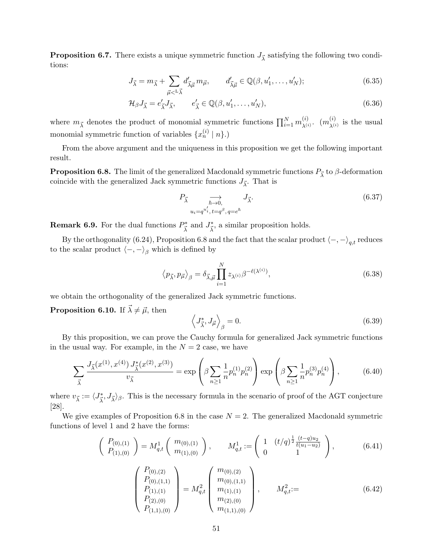**Proposition 6.7.** There exists a unique symmetric function  $J_{\vec{\lambda}}$  satisfying the following two conditions:

$$
J_{\vec{\lambda}} = m_{\vec{\lambda}} + \sum_{\vec{\mu} < L_{\vec{\lambda}}} d'_{\vec{\lambda}\vec{\mu}} m_{\vec{\mu}}, \qquad d'_{\vec{\lambda}\vec{\mu}} \in \mathbb{Q}(\beta, u'_1, \dots, u'_N); \tag{6.35}
$$

$$
\mathcal{H}_{\beta}J_{\vec{\lambda}} = e'_{\vec{\lambda}}J_{\vec{\lambda}}, \qquad e'_{\vec{\lambda}} \in \mathbb{Q}(\beta, u'_1, \dots, u'_N), \qquad (6.36)
$$

where  $m_{\vec{\lambda}}$  denotes the product of monomial symmetric functions  $\prod_{i=1}^{N} m_{\lambda^{(i)}}^{(i)}$  $\chi^{(i)}$ .  $(m_{\lambda^{(i)}}^{(i)}$  $\chi^{(i)}_{(i)}$  is the usual monomial symmetric function of variables  $\{x_n^{(i)} \mid n\}$ .)

From the above argument and the uniqueness in this proposition we get the following important result.

**Proposition 6.8.** The limit of the generalized Macdonald symmetric functions  $P_{\vec{\lambda}}$  to  $\beta$ -deformation coincide with the generalized Jack symmetric functions  $J_{\vec{\lambda}}$ . That is

$$
P_{\vec{\lambda}} \underset{u_i = q^{u'_i}, t = q^{\beta}, q = e^{\hbar}}{\longrightarrow} J_{\vec{\lambda}}.
$$
\n(6.37)

**Remark 6.9.** For the dual functions  $P^*_{\vec{\lambda}}$  and  $J^*_{\vec{\lambda}}$ , a similar proposition holds.

By the orthogonality (6.24), Proposition 6.8 and the fact that the scalar product  $\langle -, - \rangle_{q,t}$  reduces to the scalar product  $\langle -, - \rangle_{\beta}$  which is defined by

$$
\langle p_{\vec{\lambda}}, p_{\vec{\mu}} \rangle_{\beta} = \delta_{\vec{\lambda}, \vec{\mu}} \prod_{i=1}^{N} z_{\lambda^{(i)}} \beta^{-\ell(\lambda^{(i)})},
$$
\n(6.38)

we obtain the orthogonality of the generalized Jack symmetric functions.

**Proposition 6.10.** If  $\vec{\lambda} \neq \vec{\mu}$ , then

$$
\left\langle J_{\vec{\lambda}}^*, J_{\vec{\mu}} \right\rangle_{\beta} = 0. \tag{6.39}
$$

By this proposition, we can prove the Cauchy formula for generalized Jack symmetric functions in the usual way. For example, in the  $N = 2$  case, we have

$$
\sum_{\vec{\lambda}} \frac{J_{\vec{\lambda}}(x^{(1)}, x^{(4)}) J_{\vec{\lambda}}^*(x^{(2)}, x^{(3)})}{v_{\vec{\lambda}}} = \exp\left(\beta \sum_{n\geq 1} \frac{1}{n} p_n^{(1)} p_n^{(2)}\right) \exp\left(\beta \sum_{n\geq 1} \frac{1}{n} p_n^{(3)} p_n^{(4)}\right),\tag{6.40}
$$

where  $v_{\vec{\lambda}} := \langle J_{\vec{\lambda}}^*, J_{\vec{\lambda}} \rangle_{\beta}$ . This is the necessary formula in the scenario of proof of the AGT conjecture [28].

We give examples of Proposition 6.8 in the case  $N = 2$ . The generalized Macdonald symmetric functions of level 1 and 2 have the forms:

$$
\begin{pmatrix}\nP_{(0),(1)} \\
P_{(1),(0)}\n\end{pmatrix} = M_{q,t}^1 \begin{pmatrix}\nm_{(0),(1)} \\
m_{(1),(0)}\n\end{pmatrix}, \qquad M_{q,t}^1 := \begin{pmatrix}\n1 & (t/q)^{\frac{1}{2}} \frac{(t-q)u_2}{t(u_1-u_2)} \\
0 & 1\n\end{pmatrix},
$$
\n(6.41)

$$
\begin{pmatrix}\nP_{(0),(2)} \\
P_{(0),(1,1)} \\
P_{(1),(1)} \\
P_{(2),(0)} \\
P_{(1,1),(0)}\n\end{pmatrix} = M_{q,t}^2 \begin{pmatrix}\nm_{(0),(2)} \\
m_{(0),(1,1)} \\
m_{(1),(1)} \\
m_{(2),(0)} \\
m_{(1,1),(0)}\n\end{pmatrix}, \qquad M_{q,t}^2 := (6.42)
$$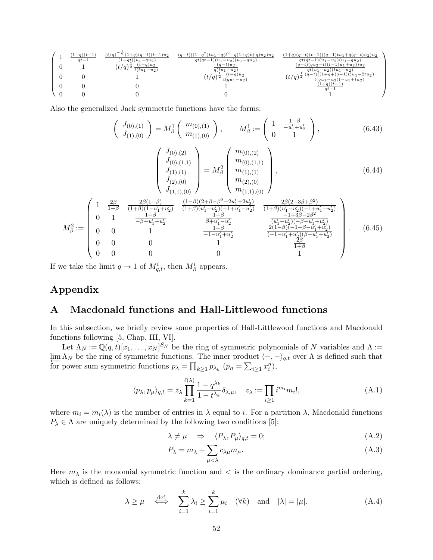$$
\left(\begin{array}{cccccc} 1 & \frac{(1+q)(t-1)}{qt-1} & \frac{(t/q)^{-\frac{1}{2}}(1+q)(q-t)(t-1)u_2}{(1-qt)(u_1-qu_2)} & \frac{(q-t)((1-q^2)tu_1-q(t^2-q(1+q)t+q)u_2)u_2}{qt(qt-1)(u_1-u_2)(u_1-qu_2)} & \frac{(1+q)(q-t)(t-1)((q-1)tu_1+q(q-t)u_2)u_2}{qt(qt-1)(u_1-u_2)} \\ 0 & 1 & (t/q)^{\frac{1}{2}}\frac{(t-q)u_2}{t(tu_1-u_2)} & \frac{(q-t)u_2}{qt(u_1-u_2)} & \frac{(q-t)(qu_2-t((t-1)u_1+u_2))(u_2-u_2)}{qt(u_1-u_2)(u_1-u_2)} \\ 0 & 0 & 1 & 0 & (t/q)^{\frac{1}{2}}\frac{(t-q)u_2}{t(qu_1-u_2)} & (t/q)^{\frac{1}{2}}\frac{(q-t)((1+q+(q-1)tu_1-u_2)(u_1-u_2)u_2)}{qt(u_1-u_2)(-u_1+tu_2)} \\ 0 & 0 & 0 & 1 & \frac{(1+q)(t-1)}{qt-1} \\ 0 & 0 & 0 & 0 & 1 & \frac{(1+q)(t-1)}{qt-1} \end{array}\right)
$$

Also the generalized Jack symmetric functions have the forms:

$$
\begin{pmatrix} J_{(0),(1)} \\ J_{(1),(0)} \end{pmatrix} = M_\beta^1 \begin{pmatrix} m_{(0),(1)} \\ m_{(1),(0)} \end{pmatrix}, \qquad M_\beta^1 := \begin{pmatrix} 1 & \frac{1-\beta}{-u_1' + u_2'} \\ 0 & 1 \end{pmatrix}, \tag{6.43}
$$

$$
\begin{pmatrix}\nJ_{(0),(2)} \\
J_{(0),(1,1)} \\
J_{(1),(1)} \\
J_{(2),(0)} \\
J_{(1,1),(0)}\n\end{pmatrix} = M_{\beta}^2 \begin{pmatrix}\nm_{(0),(2)} \\
m_{(0),(1,1)} \\
m_{(1),(1)} \\
m_{(2),(0)} \\
m_{(1,1),(0)}\n\end{pmatrix},
$$
\n(6.44)

$$
M_{\beta}^{2} := \begin{pmatrix} 1 & \frac{2\beta}{1+\beta} & \frac{2\beta(1-\beta)}{(1+\beta)(1-u_{1}'+u_{2}')} & \frac{(1-\beta)(2+\beta-\beta^{2}-2u_{1}'+2u_{2}')}{(1+\beta)(u_{1}'-u_{2}')(-1+u_{1}'-u_{2}')} & \frac{2\beta(2-3\beta+\beta^{2})}{(1+\beta)(u_{1}'-u_{2}')(-1+u_{1}'-u_{2}')} \\ 0 & 1 & \frac{1-\beta}{-\beta-u_{1}'+u_{2}'} & \frac{1-\beta}{\beta+u_{1}'-u_{2}'} & \frac{-1-\beta}{(u_{1}'-u_{2}')(-\beta-u_{1}'+u_{2}')} \\ 0 & 0 & 1 & \frac{1-\beta}{-1-u_{1}'+u_{2}'} & \frac{2(1-\beta)(-1+\beta-u_{1}'+u_{2}')}{(1-\beta)(-1+\beta-u_{1}'+u_{2}')} \\ 0 & 0 & 0 & 1 & \frac{2\beta}{1+\beta} \\ 0 & 0 & 0 & 0 & 1 \end{pmatrix} . \quad (6.45)
$$

If we take the limit  $q \to 1$  of  $M_{q,t}^i$ , then  $M_{\beta}^i$  appears.

# **Appendix**

# **A Macdonald functions and Hall-Littlewood functions**

In this subsection, we briefly review some properties of Hall-Littlewood functions and Macdonald functions following [5, Chap. III, VI].

Let  $\Lambda_N := \mathbb{Q}(q, t)[x_1, \ldots, x_N]^{S_N}$  be the ring of symmetric polynomials of *N* variables and  $\Lambda :=$  $\lim_{\epsilon \to 0} \Lambda_N$  be the ring of symmetric functions. The inner product  $\langle -, - \rangle_{q,t}$  over  $\Lambda$  is defined such that for power sum symmetric functions  $p_{\lambda} = \prod_{k \geq 1} p_{\lambda_k}$   $(p_n = \sum_{i \geq 1} x_i^n)$ ,

$$
\langle p_{\lambda}, p_{\mu} \rangle_{q,t} = z_{\lambda} \prod_{k=1}^{\ell(\lambda)} \frac{1 - q^{\lambda_k}}{1 - t^{\lambda_k}} \delta_{\lambda, \mu}, \quad z_{\lambda} := \prod_{i \ge 1} i^{m_i} m_i!, \tag{A.1}
$$

where  $m_i = m_i(\lambda)$  is the number of entries in  $\lambda$  equal to *i*. For a partition  $\lambda$ , Macdonald functions  $P_{\lambda} \in \Lambda$  are uniquely determined by the following two conditions [5]:

$$
\lambda \neq \mu \quad \Rightarrow \quad \langle P_{\lambda}, P_{\mu} \rangle_{q,t} = 0; \tag{A.2}
$$

$$
P_{\lambda} = m_{\lambda} + \sum_{\mu < \lambda} c_{\lambda \mu} m_{\mu}.
$$
\n(A.3)

Here  $m_{\lambda}$  is the monomial symmetric function and  $\langle$  is the ordinary dominance partial ordering, which is defined as follows:

$$
\lambda \ge \mu \quad \stackrel{\text{def}}{\iff} \quad \sum_{i=1}^k \lambda_i \ge \sum_{i=1}^k \mu_i \quad (\forall k) \quad \text{and} \quad |\lambda| = |\mu|. \tag{A.4}
$$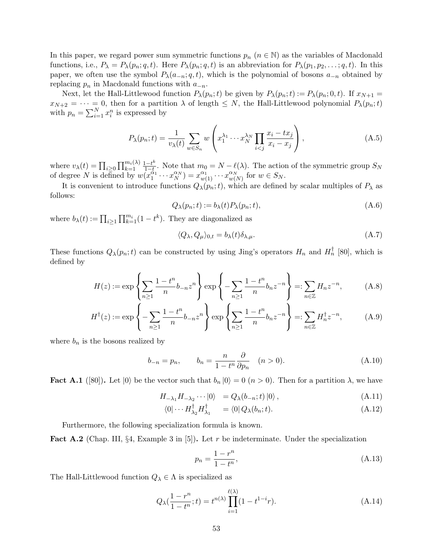In this paper, we regard power sum symmetric functions  $p_n$  ( $n \in \mathbb{N}$ ) as the variables of Macdonald functions, i.e.,  $P_{\lambda} = P_{\lambda}(p_n; q, t)$ . Here  $P_{\lambda}(p_n; q, t)$  is an abbreviation for  $P_{\lambda}(p_1, p_2, \ldots; q, t)$ . In this paper, we often use the symbol  $P_{\lambda}(a_{-n}; q, t)$ , which is the polynomial of bosons  $a_{-n}$  obtained by replacing *p<sup>n</sup>* in Macdonald functions with *a−n*.

Next, let the Hall-Littlewood function  $P_{\lambda}(p_n;t)$  be given by  $P_{\lambda}(p_n;t) := P_{\lambda}(p_n;0,t)$ . If  $x_{N+1} =$  $x_{N+2} = \cdots = 0$ , then for a partition  $\lambda$  of length  $\leq N$ , the Hall-Littlewood polynomial  $P_{\lambda}(p_n; t)$ with  $p_n = \sum_{i=1}^{N} x_i^n$  is expressed by

$$
P_{\lambda}(p_n; t) = \frac{1}{v_{\lambda}(t)} \sum_{w \in S_n} w \left( x_1^{\lambda_1} \cdots x_N^{\lambda_N} \prod_{i < j} \frac{x_i - tx_j}{x_i - x_j} \right),\tag{A.5}
$$

where  $v_{\lambda}(t) = \prod_{i \geq 0} \prod_{k=1}^{m_i(\lambda)} \frac{1-t^k}{1-t^k}$  $\frac{1-t^k}{1-t}$ . Note that  $m_0 = N - \ell(\lambda)$ . The action of the symmetric group  $S_N$ of degree *N* is defined by  $w(x_1^{\alpha_1} \cdots x_N^{\alpha_N}) = x_{w(1)}^{\alpha_1} \cdots x_{w(N)}^{\alpha_N}$  $\frac{\alpha_N}{w(N)}$  for  $w \in S_N$ .

It is convenient to introduce functions  $Q_{\lambda}(p_n; t)$ , which are defined by scalar multiples of  $P_{\lambda}$  as follows:

$$
Q_{\lambda}(p_n;t) := b_{\lambda}(t)P_{\lambda}(p_n;t),
$$
\n(A.6)

where  $b_{\lambda}(t) := \prod_{i \geq 1} \prod_{k=1}^{m_i} (1 - t^k)$ . They are diagonalized as

$$
\langle Q_{\lambda}, Q_{\mu} \rangle_{0,t} = b_{\lambda}(t) \delta_{\lambda,\mu}.
$$
\n(A.7)

These functions  $Q_{\lambda}(p_n; t)$  can be constructed by using Jing's operators  $H_n$  and  $H_n^{\dagger}$  [80], which is defined by

$$
H(z) := \exp\left\{\sum_{n\geq 1} \frac{1-t^n}{n} b_{-n} z^n \right\} \exp\left\{-\sum_{n\geq 1} \frac{1-t^n}{n} b_n z^{-n} \right\} =: \sum_{n\in \mathbb{Z}} H_n z^{-n}, \tag{A.8}
$$

$$
H^{\dagger}(z) := \exp\left\{-\sum_{n\geq 1} \frac{1-t^n}{n} b_{-n} z^n\right\} \exp\left\{\sum_{n\geq 1} \frac{1-t^n}{n} b_n z^{-n}\right\} =: \sum_{n\in\mathbb{Z}} H_n^{\dagger} z^{-n},\tag{A.9}
$$

where  $b_n$  is the bosons realized by

$$
b_{-n} = p_n, \qquad b_n = \frac{n}{1 - t^n} \frac{\partial}{\partial p_n} \quad (n > 0). \tag{A.10}
$$

**Fact A.1** ([80]). Let  $|0\rangle$  be the vector such that  $b_n |0\rangle = 0$   $(n > 0)$ . Then for a partition  $\lambda$ , we have

$$
H_{-\lambda_1} H_{-\lambda_2} \cdots |0\rangle = Q_{\lambda}(b_{-n}; t) |0\rangle , \qquad (A.11)
$$

$$
\langle 0 | \cdots H_{\lambda_2}^{\dagger} H_{\lambda_1}^{\dagger} = \langle 0 | Q_{\lambda}(b_n; t). \tag{A.12}
$$

Furthermore, the following specialization formula is known.

**Fact A.2** (Chap. III, *§*4, Example 3 in [5])**.** Let *r* be indeterminate. Under the specialization

$$
p_n = \frac{1 - r^n}{1 - t^n},\tag{A.13}
$$

The Hall-Littlewood function  $Q_{\lambda} \in \Lambda$  is specialized as

$$
Q_{\lambda}(\frac{1-r^n}{1-t^n};t) = t^{n(\lambda)} \prod_{i=1}^{\ell(\lambda)} (1-t^{1-i}r). \tag{A.14}
$$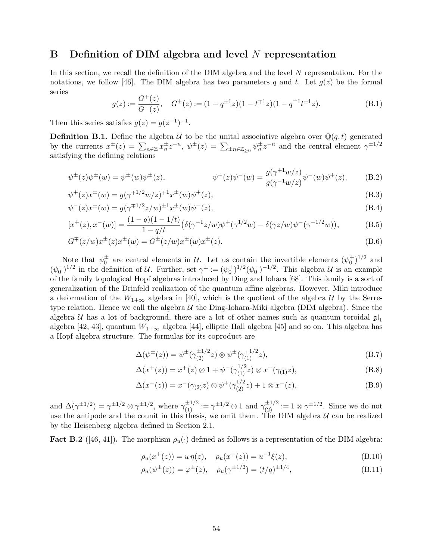# **B Definition of DIM algebra and level** *N* **representation**

In this section, we recall the definition of the DIM algebra and the level *N* representation. For the notations, we follow [46]. The DIM algebra has two parameters q and t. Let  $g(z)$  be the formal series

$$
g(z) := \frac{G^+(z)}{G^-(z)}, \quad G^\pm(z) := (1 - q^{\pm 1}z)(1 - t^{\mp 1}z)(1 - q^{\mp 1}t^{\pm 1}z). \tag{B.1}
$$

Then this series satisfies  $g(z) = g(z^{-1})^{-1}$ .

**Definition B.1.** Define the algebra *U* to be the unital associative algebra over  $\mathbb{Q}(q, t)$  generated by the currents  $x^{\pm}(z) = \sum_{n \in \mathbb{Z}} x^{\pm}_n z^{-n}$ ,  $\psi^{\pm}(z) = \sum_{\pm n \in \mathbb{Z}_{\geq 0}} \psi^{\pm}_n z^{-n}$  and the central element  $\gamma^{\pm 1/2}$ satisfying the defining relations

$$
\psi^{\pm}(z)\psi^{\pm}(w) = \psi^{\pm}(w)\psi^{\pm}(z), \qquad \psi^{\pm}(z)\psi^{\pm}(w) = \frac{g(\gamma^{\pm 1}w/z)}{g(\gamma^{-1}w/z)}\psi^{\pm}(w)\psi^{\pm}(z), \qquad (B.2)
$$

$$
\psi^+(z)x^{\pm}(w) = g(\gamma^{\mp 1/2}w/z)^{\mp 1}x^{\pm}(w)\psi^+(z),\tag{B.3}
$$

$$
\psi^-(z)x^{\pm}(w) = g(\gamma^{\mp 1/2}z/w)^{\pm 1}x^{\pm}(w)\psi^-(z),\tag{B.4}
$$

$$
[x^+(z), x^-(w)] = \frac{(1-q)(1-1/t)}{1-q/t} \left( \delta(\gamma^{-1}z/w) \psi^+(\gamma^{1/2}w) - \delta(\gamma z/w) \psi^-(\gamma^{-1/2}w) \right),\tag{B.5}
$$

$$
G^{\pm}(z/w)x^{\pm}(z)x^{\pm}(w) = G^{\pm}(z/w)x^{\pm}(w)x^{\pm}(z).
$$
 (B.6)

Note that  $\psi_0^{\pm}$  are central elements in *U*. Let us contain the invertible elements  $(\psi_0^{\pm})^{1/2}$  and  $(\psi_0^{-})^{1/2}$  in the definition of *U*. Further, set  $\gamma^{\perp} := (\psi_0^{+})^{1/2} (\psi_0^{-})^{-1/2}$ . This algebra *U* is an example of the family topological Hopf algebras introduced by Ding and Iohara [68]. This family is a sort of generalization of the Drinfeld realization of the quantum affine algebras. However, Miki introduce a deformation of the  $W_{1+\infty}$  algebra in [40], which is the quotient of the algebra *U* by the Serretype relation. Hence we call the algebra *U* the Ding-Iohara-Miki algebra (DIM algebra). Since the algebra *U* has a lot of background, there are a lot of other names such as quantum toroidal  $\mathfrak{gl}_1$ algebra [42, 43], quantum  $W_{1+\infty}$  algebra [44], elliptic Hall algebra [45] and so on. This algebra has a Hopf algebra structure. The formulas for its coproduct are

$$
\Delta(\psi^{\pm}(z)) = \psi^{\pm}(\gamma_{(2)}^{\pm 1/2} z) \otimes \psi^{\pm}(\gamma_{(1)}^{\mp 1/2} z), \tag{B.7}
$$

$$
\Delta(x^+(z)) = x^+(z) \otimes 1 + \psi^-(\gamma_{(1)}^{1/2} z) \otimes x^+(\gamma_{(1)} z), \tag{B.8}
$$

$$
\Delta(x^{-}(z)) = x^{-}(\gamma_{(2)}z) \otimes \psi^{+}(\gamma_{(2)}^{1/2}z) + 1 \otimes x^{-}(z), \tag{B.9}
$$

and  $\Delta(\gamma^{\pm 1/2}) = \gamma^{\pm 1/2} \otimes \gamma^{\pm 1/2}$ , where  $\gamma_{(1)}^{\pm 1/2} := \gamma^{\pm 1/2} \otimes 1$  and  $\gamma_{(2)}^{\pm 1/2} := 1 \otimes \gamma^{\pm 1/2}$ . Since we do not use the antipode and the counit in this thesis, we omit them. The DIM algebra  $U$  can be realized by the Heisenberg algebra defined in Section 2.1.

**Fact B.2** ([46, 41]). The morphism  $\rho_u(\cdot)$  defined as follows is a representation of the DIM algebra:

$$
\rho_u(x^+(z)) = u \eta(z), \quad \rho_u(x^-(z)) = u^{-1}\xi(z), \tag{B.10}
$$

$$
\rho_u(\psi^{\pm}(z)) = \varphi^{\pm}(z), \quad \rho_u(\gamma^{\pm 1/2}) = (t/q)^{\pm 1/4}, \tag{B.11}
$$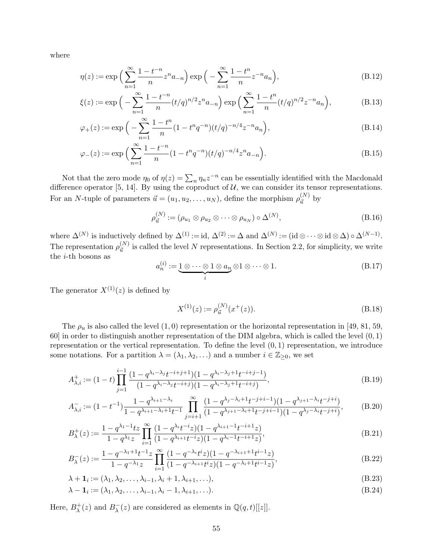where

$$
\eta(z) := \exp\left(\sum_{n=1}^{\infty} \frac{1 - t^{-n}}{n} z^n a_{-n}\right) \exp\left(-\sum_{n=1}^{\infty} \frac{1 - t^n}{n} z^{-n} a_n\right),\tag{B.12}
$$

$$
\xi(z) := \exp\left(-\sum_{n=1}^{\infty} \frac{1 - t^{-n}}{n} (t/q)^{n/2} z^n a_{-n}\right) \exp\left(\sum_{n=1}^{\infty} \frac{1 - t^n}{n} (t/q)^{n/2} z^{-n} a_n\right),\tag{B.13}
$$

$$
\varphi_{+}(z) := \exp\Big(-\sum_{n=1}^{\infty} \frac{1-t^{n}}{n} (1-t^{n}q^{-n})(t/q)^{-n/4} z^{-n} a_{n}\Big),\tag{B.14}
$$

$$
\varphi_{-}(z) := \exp\Big(\sum_{n=1}^{\infty} \frac{1 - t^{-n}}{n} (1 - t^{n} q^{-n}) (t/q)^{-n/4} z^{n} a_{-n}\Big). \tag{B.15}
$$

Not that the zero mode  $\eta_0$  of  $\eta(z) = \sum_n \eta_n z^{-n}$  can be essentially identified with the Macdonald difference operator [5, 14]. By using the coproduct of  $U$ , we can consider its tensor representations. For an *N*-tuple of parameters  $\vec{u} = (u_1, u_2, \dots, u_N)$ , define the morphism  $\rho_{\vec{u}}^{(N)}$  by

$$
\rho_{\vec{u}}^{(N)} := (\rho_{u_1} \otimes \rho_{u_2} \otimes \cdots \otimes \rho_{u_N}) \circ \Delta^{(N)},
$$
\n(B.16)

where  $\Delta^{(N)}$  is inductively defined by  $\Delta^{(1)} := id$ ,  $\Delta^{(2)} := \Delta$  and  $\Delta^{(N)} := (id \otimes \cdots \otimes id \otimes \Delta) \circ \Delta^{(N-1)}$ . The representation  $\rho_{\vec{u}}^{(N)}$  is called the level *N* representations. In Section 2.2, for simplicity, we write the *i*-th bosons as

$$
a_n^{(i)} := \underbrace{1 \otimes \cdots \otimes 1 \otimes a_n}_{i} \otimes 1 \otimes \cdots \otimes 1. \tag{B.17}
$$

The generator  $X^{(1)}(z)$  is defined by

$$
X^{(1)}(z) := \rho_{\vec{u}}^{(N)}(x^+(z)).
$$
\n(B.18)

The  $\rho_u$  is also called the level  $(1,0)$  representation or the horizontal representation in [49, 81, 59, 60] in order to distinguish another representation of the DIM algebra, which is called the level (0*,* 1) representation or the vertical representation. To define the level (0*,* 1) representation, we introduce some notations. For a partition  $\lambda = (\lambda_1, \lambda_2, \ldots)$  and a number  $i \in \mathbb{Z}_{\geq 0}$ , we set

$$
A_{\lambda,i}^{+} := (1-t) \prod_{j=1}^{i-1} \frac{(1-q^{\lambda_i - \lambda_j} t^{-i+j+1})(1-q^{\lambda_i - \lambda_j + 1} t^{-i+j-1})}{(1-q^{\lambda_i - \lambda_j} t^{-i+j})(1-q^{\lambda_i - \lambda_j + 1} t^{-i+j})},
$$
(B.19)

$$
A_{\lambda,i}^- := (1 - t^{-1}) \frac{1 - q^{\lambda_{i+1} - \lambda_i}}{1 - q^{\lambda_{i+1} - \lambda_i + 1}} \prod_{j=i+1}^{\infty} \frac{(1 - q^{\lambda_j - \lambda_i + 1} t^{-j+i-1})(1 - q^{\lambda_{j+1} - \lambda_i} t^{-j+i})}{(1 - q^{\lambda_{j+1} - \lambda_i + 1} t^{-j+i-1})(1 - q^{\lambda_j - \lambda_i} t^{-j+i})},
$$
(B.20)

$$
B_{\lambda}^{+}(z) := \frac{1 - q^{\lambda_1 - 1}tz}{1 - q^{\lambda_1}z} \prod_{i=1}^{\infty} \frac{(1 - q^{\lambda_i}t^{-i}z)(1 - q^{\lambda_{i+1} - 1}t^{-i+1}z)}{(1 - q^{\lambda_{i+1}}t^{-i}z)(1 - q^{\lambda_i - 1}t^{-i+1}z)},
$$
(B.21)

$$
B_{\lambda}^{-}(z) := \frac{1 - q^{-\lambda_1 + 1} t^{-1} z}{1 - q^{-\lambda_1} z} \prod_{i=1}^{\infty} \frac{(1 - q^{-\lambda_i} t^i z)(1 - q^{-\lambda_{i+1} + 1} t^{i-1} z)}{(1 - q^{-\lambda_{i+1}} t^i z)(1 - q^{-\lambda_i + 1} t^{i-1} z)},
$$
(B.22)

$$
\lambda + \mathbf{1}_i := (\lambda_1, \lambda_2, \dots, \lambda_{i-1}, \lambda_i + 1, \lambda_{i+1}, \dots),
$$
\n(B.23)

$$
\lambda - \mathbf{1}_i := (\lambda_1, \lambda_2, \dots, \lambda_{i-1}, \lambda_i - 1, \lambda_{i+1}, \dots). \tag{B.24}
$$

Here,  $B_{\lambda}^+$  $\lambda^+(z)$  and  $B_\lambda^-(z)$  are considered as elements in  $\mathbb{Q}(q,t)[[z]]$ .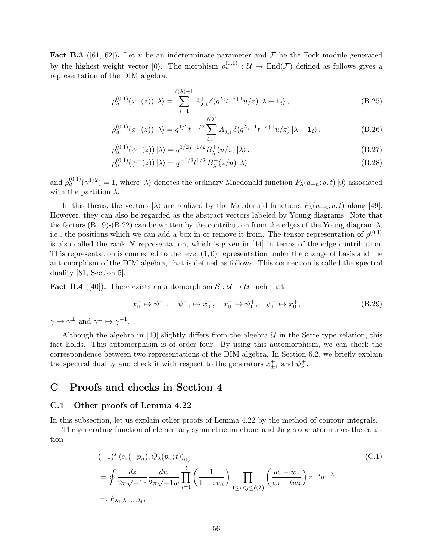**Fact B.3** ([61, 62]). Let *u* be an indeterminate parameter and  $\mathcal F$  be the Fock module generated by the highest weight vector  $|0\rangle$ . The morphism  $\rho_u^{(0,1)} : \mathcal{U} \to \text{End}(\mathcal{F})$  defined as follows gives a representation of the DIM algebra:

$$
\rho_u^{(0,1)}(x^+(z))\left|\lambda\right\rangle = \sum_{i=1}^{\ell(\lambda)+1} A_{\lambda,i}^+ \,\delta(q^{\lambda_i}t^{-i+1}u/z)\left|\lambda+\mathbf{1}_i\right\rangle,\tag{B.25}
$$

$$
\rho_u^{(0,1)}(x^-(z))\ket{\lambda} = q^{1/2}t^{-1/2}\sum_{i=1}^{\ell(\lambda)}A_{\lambda,i}^-\delta(q^{\lambda_i-1}t^{-i+1}u/z)\ket{\lambda-1_i},\tag{B.26}
$$

$$
\rho_u^{(0,1)}(\psi^+(z))\ket{\lambda} = q^{1/2}t^{-1/2}B_\lambda^+(u/z)\ket{\lambda},\tag{B.27}
$$

$$
\rho_u^{(0,1)}(\psi^-(z))\ket{\lambda} = q^{-1/2}t^{1/2} B_\lambda^-(z/u)\ket{\lambda} \tag{B.28}
$$

and  $\rho_u^{(0,1)}(\gamma^{1/2}) = 1$ , where  $|\lambda\rangle$  denotes the ordinary Macdonald function  $P_\lambda(a_{-n}; q, t) |0\rangle$  associated with the partition  $\lambda$ .

In this thesis, the vectors  $|\lambda\rangle$  are realized by the Macdonald functions  $P_{\lambda}(a_{-n};q,t)$  along [49]. However, they can also be regarded as the abstract vectors labeled by Young diagrams. Note that the factors (B.19)-(B.22) can be written by the contribution from the edges of the Young diagram  $\lambda$ , i.e., the positions which we can add a box in or remove it from. The tensor representation of  $\rho^{(0,1)}$ is also called the rank *N* representation, which is given in [44] in terms of the edge contribution. This representation is connected to the level (1*,* 0) representation under the change of basis and the automorphism of the DIM algebra, that is defined as follows. This connection is called the spectral duality [81, Section 5].

**Fact B.4** ([40]). There exists an automorphism  $S: U \to U$  such that

$$
x_0^+ \mapsto \psi_{-1}^-, \quad \psi_{-1}^- \mapsto x_0^-, \quad x_0^- \mapsto \psi_1^+, \quad \psi_1^+ \mapsto x_0^+, \tag{B.29}
$$

 $\gamma \mapsto \gamma^{\perp}$  and  $\gamma^{\perp} \mapsto \gamma^{-1}$ .

Although the algebra in [40] slightly differs from the algebra  $U$  in the Serre-type relation, this fact holds. This automorphism is of order four. By using this automorphism, we can check the correspondence between two representations of the DIM algebra. In Section 6.2, we briefly explain the spectral duality and check it with respect to the generators  $x_{\pm 1}^+$  and  $\psi_k^+$  $\frac{k}{k}$ .

# **C Proofs and checks in Section 4**

#### **C.1 Other proofs of Lemma 4.22**

In this subsection, let us explain other proofs of Lemma 4.22 by the method of contour integrals.

The generating function of elementary symmetric functions and Jing's operator makes the equation

$$
(-1)^{s} \langle e_{s}(-p_{n}), Q_{\lambda}(p_{n}; t) \rangle_{0,t}
$$
  
=  $\oint \frac{dz}{2\pi\sqrt{-1}z} \frac{dw}{2\pi\sqrt{-1}w} \prod_{i=1}^{l} \left(\frac{1}{1-zw_{i}}\right) \prod_{1 \leq i < j \leq \ell(\lambda)} \left(\frac{w_{i} - w_{j}}{w_{i} - tw_{j}}\right) z^{-s} w^{-\lambda}$   
=:  $F_{\lambda_{1},\lambda_{2},\dots,\lambda_{l}},$  (C.1)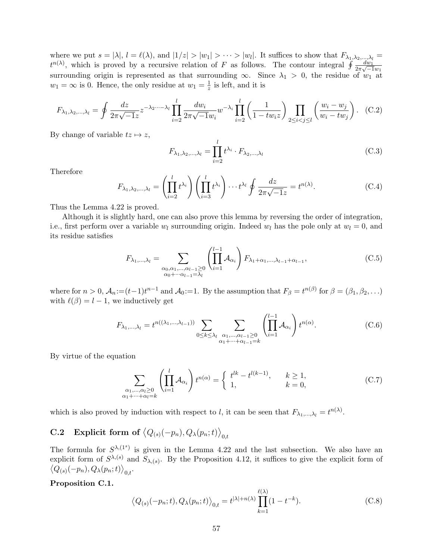where we put  $s = |\lambda|$ ,  $l = \ell(\lambda)$ , and  $|1/z| > |w_1| > \cdots > |w_l|$ . It suffices to show that  $F_{\lambda_1, \lambda_2, \ldots, \lambda_l} =$  $t^{n(\lambda)}$ , which is proved by a recursive relation of *F* as follows. The contour integral  $\oint \frac{dw_1}{2\pi\sqrt{d}}$  $\frac{2\pi\sqrt{-1}w_1}{w_1}$ surrounding origin is represented as that surrounding  $\infty$ . Since  $\lambda_1 > 0$ , the residue of  $w_1$  at  $w_1 = \infty$  is 0. Hence, the only residue at  $w_1 = \frac{1}{z}$  $\frac{1}{z}$  is left, and it is

$$
F_{\lambda_1, \lambda_2, ..., \lambda_l} = \oint \frac{dz}{2\pi\sqrt{-1}z} z^{-\lambda_2...-\lambda_l} \prod_{i=2}^l \frac{dw_i}{2\pi\sqrt{-1}w_i} w^{-\lambda_i} \prod_{i=2}^l \left(\frac{1}{1 - tw_iz}\right) \prod_{2 \le i < j \le l} \left(\frac{w_i - w_j}{w_i - tw_j}\right). \tag{C.2}
$$

By change of variable  $tz \mapsto z$ ,

$$
F_{\lambda_1, \lambda_2, \dots, \lambda_l} = \prod_{i=2}^l t^{\lambda_i} \cdot F_{\lambda_2, \dots, \lambda_l}
$$
 (C.3)

Therefore

$$
F_{\lambda_1, \lambda_2, \dots, \lambda_l} = \left(\prod_{i=2}^l t^{\lambda_i}\right) \left(\prod_{i=3}^l t^{\lambda_i}\right) \cdots t^{\lambda_l} \oint \frac{dz}{2\pi\sqrt{-1}z} = t^{n(\lambda)}.
$$
 (C.4)

Thus the Lemma 4.22 is proved.

Although it is slightly hard, one can also prove this lemma by reversing the order of integration, i.e., first perform over a variable  $w_l$  surrounding origin. Indeed  $w_l$  has the pole only at  $w_l = 0$ , and its residue satisfies

$$
F_{\lambda_1,\dots,\lambda_l} = \sum_{\substack{\alpha_0,\alpha_1,\dots,\alpha_{l-1}\geq 0\\ \alpha_0+\dots+\alpha_{l-1}=\lambda_l}} \left(\prod_{i=1}^{l-1} \mathcal{A}_{\alpha_i}\right) F_{\lambda_1+\alpha_1,\dots,\lambda_{l-1}+\alpha_{l-1}},\tag{C.5}
$$

where for  $n > 0$ ,  $A_n := (t-1)t^{n-1}$  and  $A_0 := 1$ . By the assumption that  $F_\beta = t^{n(\beta)}$  for  $\beta = (\beta_1, \beta_2, \ldots)$ with  $\ell(\beta) = l - 1$ , we inductively get

$$
F_{\lambda_1, ..., \lambda_l} = t^{n((\lambda_1, ..., \lambda_{l-1}))} \sum_{\substack{0 \le k \le \lambda_l}} \sum_{\substack{\alpha_1, ..., \alpha_{l-1} \ge 0 \\ \alpha_1 + \dots + \alpha_{l-1} = k}} \left( \prod_{i=1}^{l-1} \mathcal{A}_{\alpha_i} \right) t^{n(\alpha)}.
$$
 (C.6)

By virtue of the equation

$$
\sum_{\substack{\alpha_1,\ldots,\alpha_l\geq 0\\ \alpha_1+\cdots+\alpha_l=k}} \left(\prod_{i=1}^l \mathcal{A}_{\alpha_i}\right) t^{n(\alpha)} = \begin{cases} t^{lk} - t^{l(k-1)}, & k \geq 1, \\ 1, & k = 0, \end{cases} \tag{C.7}
$$

which is also proved by induction with respect to *l*, it can be seen that  $F_{\lambda_1,\dots,\lambda_l} = t^{n(\lambda)}$ .

# $\textbf{C.2} \quad \textbf{Explicit form of } \big\langle Q_{(s)}(-p_n),Q_\lambda(p_n;t) \big\rangle_{0,t}$

The formula for  $S^{\lambda,(1^s)}$  is given in the Lemma 4.22 and the last subsection. We also have an explicit form of  $S^{\lambda,(s)}$  and  $S_{\lambda,(s)}$ . By the Proposition 4.12, it suffices to give the explicit form of  $\langle Q_{(s)}(-p_n), Q_\lambda(p_n;t) \rangle_{0,t}.$ 

#### **Proposition C.1.**

$$
\left\langle Q_{(s)}(-p_n;t), Q_\lambda(p_n;t) \right\rangle_{0,t} = t^{|\lambda|+n(\lambda)} \prod_{k=1}^{\ell(\lambda)} (1-t^{-k}).
$$
\n(C.8)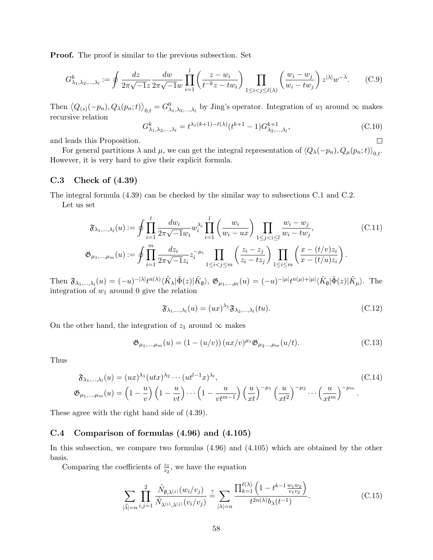**Proof.** The proof is similar to the previous subsection. Set

$$
G_{\lambda_1,\lambda_2,\dots,\lambda_l}^k := \oint \frac{dz}{2\pi\sqrt{-1}z} \frac{dw}{2\pi\sqrt{-1}w} \prod_{i=1}^l \left(\frac{z-w_i}{t^{-k}z-tw_i}\right) \prod_{1 \le i < j \le \ell(\lambda)} \left(\frac{w_i - w_j}{w_i - tw_j}\right) z^{|\lambda|} w^{-\lambda}.\tag{C.9}
$$

Then  $(Q_{(s)}(-p_n), Q_\lambda(p_n;t)$ <sub>0,t</sub> =  $G^0_{\lambda_1,\lambda_2,\dots,\lambda_l}$  by Jing's operator. Integration of  $w_l$  around  $\infty$  makes recursive relation

$$
G_{\lambda_1, \lambda_2, ..., \lambda_l}^k = t^{\lambda_1(k+1) - \ell(\lambda)} (t^{k+1} - 1) G_{\lambda_2, ..., \lambda_l}^{k+1},
$$
\n(C.10)

and leads this Proposition.

For general partitions  $\lambda$  and  $\mu$ , we can get the integral representation of  $\langle Q_{\lambda}(-p_n), Q_{\mu}(p_n;t) \rangle_{0,t}$ . However, it is very hard to give their explicit formula.

## **C.3 Check of (4.39)**

The integral formula (4.39) can be checked by the similar way to subsections C.1 and C.2.

Let us set

$$
\mathfrak{F}_{\lambda_1,\dots,\lambda_l}(u) := \oint \prod_{i=1}^l \frac{dw_i}{2\pi \sqrt{-1}w_i} w_i^{\lambda_i} \prod_{i=1}^l \left(\frac{w_i}{w_i - ux}\right) \prod_{1 \le j < i \le l} \frac{w_i - w_j}{w_i - tw_j},
$$
\n
$$
\mathfrak{G}_{\mu_1,\dots,\mu_m}(u) := \oint \prod_{i=1}^m \frac{dz_i}{2\pi \sqrt{-1}z_i} z_i^{-\mu_i} \prod_{1 \le i < j \le m} \left(\frac{z_i - z_j}{z_i - tz_j}\right) \prod_{1 \le i \le m} \left(\frac{x - (t/v)z_i}{x - (t/u)z_i}\right).
$$
\n(C.11)

Then  $\mathfrak{F}_{\lambda_1,\dots,\lambda_l}(u) = (-u)^{-|\lambda|} t^{n(\lambda)} \langle \tilde{K}_{\lambda} | \tilde{\Phi}(z) | \tilde{K}_{\emptyset} \rangle$ ,  $\mathfrak{G}_{\mu_1,\dots,\mu_l}(u) = (-u)^{-|\mu|} t^{n(\mu)+|\mu|} \langle \tilde{K}_{\emptyset} | \tilde{\Phi}(z) | \tilde{K}_{\mu} \rangle$ . The integration of  $w_1$  around 0 give the relation

$$
\mathfrak{F}_{\lambda_1,\dots,\lambda_l}(u) = (ux)^{\lambda_1} \mathfrak{F}_{\lambda_2,\dots,\lambda_l}(tu). \tag{C.12}
$$

On the other hand, the integration of  $z_1$  around  $\infty$  makes

$$
\mathfrak{G}_{\mu_1,\dots,\mu_m}(u) = (1 - (u/v))(ux/v)^{\mu_1} \mathfrak{G}_{\mu_2\dots,\mu_m}(u/t). \tag{C.13}
$$

Thus

$$
\mathfrak{F}_{\lambda_1,\dots,\lambda_l}(u) = (ux)^{\lambda_1} (utx)^{\lambda_2} \cdots (ut^{l-1}x)^{\lambda_l},
$$
\n
$$
\mathfrak{G}_{\mu_1,\dots,\mu_m}(u) = \left(1 - \frac{u}{v}\right) \left(1 - \frac{u}{vt}\right) \cdots \left(1 - \frac{u}{vt^{m-1}}\right) \left(\frac{u}{xt}\right)^{-\mu_1} \left(\frac{u}{xt^2}\right)^{-\mu_2} \cdots \left(\frac{u}{xt^m}\right)^{-\mu_m}.
$$
\n(C.14)

These agree with the right hand side of (4.39).

## **C.4 Comparison of formulas (4.96) and (4.105)**

In this subsection, we compare two formulas (4.96) and (4.105) which are obtained by the other basis.

Comparing the coefficients of  $\frac{z_1}{z_2}$ , we have the equation

$$
\sum_{|\vec{\lambda}|=n} \prod_{i,j=1}^{2} \frac{\tilde{N}_{\emptyset,\lambda^{(j)}}(w_i/v_j)}{\tilde{N}_{\lambda^{(i)},\lambda^{(j)}}(v_i/v_j)} \stackrel{?}{=} \sum_{|\lambda|=n} \frac{\prod_{k=1}^{\ell(\lambda)} \left(1 - t^{k-1} \frac{w_1 w_2}{v_1 v_2}\right)}{t^{2n(\lambda)} b_{\lambda}(t^{-1})}.
$$
\n(C.15)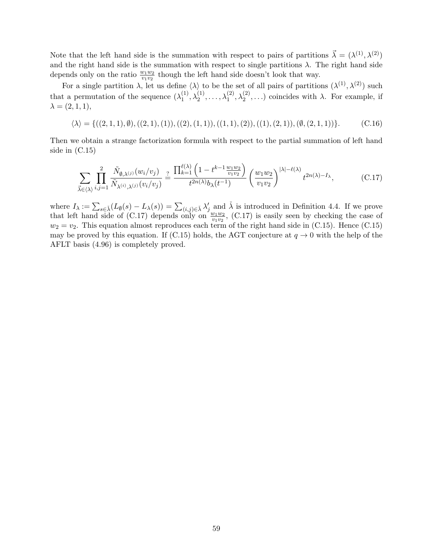Note that the left hand side is the summation with respect to pairs of partitions  $\vec{\lambda} = (\lambda^{(1)}, \lambda^{(2)})$ and the right hand side is the summation with respect to single partitions  $\lambda$ . The right hand side depends only on the ratio  $\frac{w_1w_2}{v_1v_2}$  though the left hand side doesn't look that way.

For a single partition  $\lambda$ , let us define  $\langle \lambda \rangle$  to be the set of all pairs of partitions  $(\lambda^{(1)}, \lambda^{(2)})$  such that a permutation of the sequence  $(\lambda_1^{(1)})$  $\lambda_1^{(1)}, \lambda_2^{(1)}, \ldots, \lambda_1^{(2)}, \lambda_2^{(2)}, \ldots$  coincides with  $\lambda$ . For example, if  $\lambda = (2, 1, 1),$ 

$$
\langle \lambda \rangle = \{((2,1,1),\emptyset), ((2,1),(1)), ((2),(1,1)), ((1,1),(2)), ((1),(2,1)), (\emptyset, (2,1,1))\}.
$$
 (C.16)

Then we obtain a strange factorization formula with respect to the partial summation of left hand side in (C.15)

$$
\sum_{\vec{\lambda}\in\langle\lambda\rangle}\prod_{i,j=1}^{2}\frac{\tilde{N}_{\emptyset,\lambda^{(j)}}(w_i/v_j)}{\tilde{N}_{\lambda^{(i)},\lambda^{(j)}}(v_i/v_j)}\stackrel{?}{=} \frac{\prod_{k=1}^{\ell(\lambda)}\left(1-t^{k-1}\frac{w_1w_2}{v_1v_2}\right)}{t^{2n(\lambda)}b_{\lambda}(t^{-1})}\left(\frac{w_1w_2}{v_1v_2}\right)^{|\lambda|-\ell(\lambda)}t^{2n(\lambda)-I_{\lambda}},\tag{C.17}
$$

where  $I_{\lambda} := \sum_{s \in \lambda} (L_{\emptyset}(s) - L_{\lambda}(s)) = \sum_{(i,j) \in \lambda} \lambda'_{j}$  and  $\lambda$  is introduced in Definition 4.4. If we prove that left hand side of (C.17) depends only on  $\frac{w_1w_2}{v_1v_2}$ , (C.17) is easily seen by checking the case of  $w_2 = v_2$ . This equation almost reproduces each term of the right hand side in (C.15). Hence (C.15) may be proved by this equation. If (C.15) holds, the AGT conjecture at  $q \to 0$  with the help of the AFLT basis (4.96) is completely proved.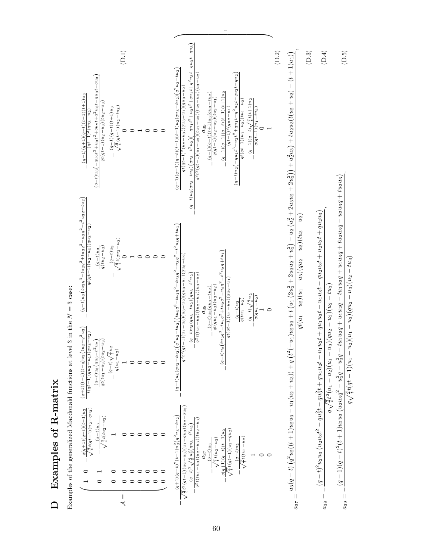|                                                                                 | (D.1)                                                                                                                                                                                                                                                                                           | (D.2)                                                                                                                                                                                                                                                                                                                                                                                                                                                                                                                                                                                               | (D.3)<br>(D.4)<br>(D.5)                                                                                                                                                                                                                                                                                               |
|---------------------------------------------------------------------------------|-------------------------------------------------------------------------------------------------------------------------------------------------------------------------------------------------------------------------------------------------------------------------------------------------|-----------------------------------------------------------------------------------------------------------------------------------------------------------------------------------------------------------------------------------------------------------------------------------------------------------------------------------------------------------------------------------------------------------------------------------------------------------------------------------------------------------------------------------------------------------------------------------------------------|-----------------------------------------------------------------------------------------------------------------------------------------------------------------------------------------------------------------------------------------------------------------------------------------------------------------------|
|                                                                                 | $\left(q-t\right)u_3\left(-qu_2t^3+u_3t^2+qu_2t+q^2u_3t-qu_3t-qu_3\right)$<br>$\frac{(q-1)(q+1)(q-t)(t-1)(t+1)u_3}{(q-1)(t-1)(t+1)u_3}$<br>$q t(q t-1)(u_2-u_3)(t u_2-u_3)$<br>$\sqrt{\frac{q}{t}}(qt-1)(u_2-tu_3)$<br>$(q-1)(q-t)(t+1)u_3$<br>$(qt-1)^2 (qu_3-u_2)$<br>$\circ$<br>$\circ$<br>⊂ | $(-qu_1t^3+u_3t^2+qu_1t+q^2u_3t-qu_3t-qu_3)$<br>$(q-1)(q+1)(q-t)(t-1)(t+1)u_3(qu_3-tu_2)(q^2u_3-tu_2)$<br>$\left(q-t\right)u_2\left(-qu_1t^3+u_2t^2+qu_1t+q^2u_2t-qu_2t-qu_2\right)$<br>$q^{2}t^{2}(qt-1)(u_{1}-u_{3})(tu_{1}-u_{3})(tu_{2}-u_{3})(u_{3}-u_{2})$<br>$qt(qt-1)2(u2-u3)(qu3-u1)(qu3-u2)$<br>$\frac{(q-1)(q+1)(q-t)(t-1)(t+1)u_2}{(qt-1)^2(qu_2-u_1)}$<br>$(q-1)(q-t)(t+1)u_3(qu_3-tu_2)$<br>$q(qt-1)(u_2-u_3)(tu_3-u_1)$<br>$\frac{(q-1)(q-t)\sqrt{\frac{q}{t}}t(t+1)u_2}{t}$<br>$qt(qt-1)(u_1-u_2)(tu_1-u_2)$<br>$\frac{q(qt-1)(u_1-tu_2)}{0}$<br>$(q-t)u_3(qu_3-tu_2)(qu_3-t^2u_2)$ | $u_3(q-t)\left(q^2u_2((t+1)u_2u_3-u_1(u_2+u_3))+q\left(t^2(-u_1)u_2u_3+t(u_1(2u_2^2+2u_3u_2+u_3^2)-u_2(u_2^2+2u_3u_2+2u_3^2)\right)+tu_2^2u_3(t(u_2+u_3)-(t+1)u_1)\right)$                                                                                                                                            |
|                                                                                 | $-\frac{(q-t)u_3\left(tu_3q^3-tu_2q^2+tu_3q^2-u_3q^2-t^2u_3q+tu_2\right)}{2}$<br>$qt(qt-1)(u_2-u_3)(qu_3-u_2)$<br>$\sqrt{\frac{q}{t}}t(qu_2-u_3)$<br>$q(tu_2-u_3)$<br>$(a-t)u_3$<br>$(u-t)u_3$<br>$\circ$<br>$\circ$<br>$\circ$<br>C                                                            | $(q-t)u_3\big( qu_3-tu_2 \big) \Big( q^2 u_3-tu_2 \Big) \Big( tu_3 q^3 - tu_1 q^2 + tu_3 q^2 - u_3 q^2 - t^2 u_3 q + tu_1 \Big)$<br>$-t^2u_2q+tu_1$<br>$\frac{q^2t^2(qt-1)(u_1-u_3)(u_3-u_2)(qu_3-u_1)(qu_3-u_2)}{q^2t^2}$<br>$q^2t(tu_1-u_3)(tu_2-u_3)(u_3-u_2)$<br>$(q-t)u_3(qu_3-tu_2)(qu_3-t^2u_2)$<br>$q t (qt-1) (u_1-u_2) (qu_2-u_1)$<br>$qt(qu_1-u_3)(u_3-u_2)$<br>$(q-t)u_3(qu_3-tu_2)$<br>$(q-t)\sqrt{\frac{q}{t}}u_2$<br>$\frac{\overline{q(qu_1}-u_2)}{1}$<br>$\frac{1}{q(tu_1-u_2)}$<br>$\frac{(q-t)u_2}{2}$<br>$\circ$                                                                | $(q-1)(q-t)^2(t+1)u_2u_3(u_2u_3q^2-u_2^2q-u_3^2q-tu_1u_2q+u_1u_2q-tu_1u_3q+u_1u_3q+tu_2u_3q+tu_2u_3)$<br>$(q-t)^2 u_2 u_3 \left( u_2 u_3 t^2 - q u_2^2 t - q u_3^2 t + q u_1 u_2 t - u_1 u_2 t + q u_1 u_3 t - u_1 u_3 t - q u_2 u_3 t + u_2 u_3 t + q u_2 u_3 \right)$<br>$qt(u_1-u_2)(u_1-u_3)(qu_2-u_3)(tu_3-u_2)$ |
|                                                                                 | $(q+1)(t-1)(t-q)u_3(tu_2-q^2u_3)$<br>$t(qt-1)(qu_3-u_1)(qu_3-u_2)$<br>$q t (t u_1 - u_3) (t u_2 - u_3)$<br>$(q-t)u_3(qu_3-t^2u_2)$<br>$-\frac{(q-t)\sqrt{\frac{q}{t}}\,u_2}{q(u_1-u_2)}$<br>$\circ$<br>$\circ$<br>$\circ$                                                                       | $(q-t)u_2(tu_2q^3-tu_1q^2+tu_2q^2-u_2q^2)$                                                                                                                                                                                                                                                                                                                                                                                                                                                                                                                                                          | $q\sqrt{\frac{q}{t}}t(qt-1)(u_1-u_2)(u_1-u_3)(qu_2-u_3)(u_2-tu_3)$<br>$q\sqrt{\frac{q}{t}}t^2(u_1-u_2)(u_1-u_3)(qu_2-u_3)(u_2-tu_3)$                                                                                                                                                                                  |
| Examples of the generalized Macdonald functions at level 3 in the $N = 3$ case: | $\sqrt{\frac{q}{t}}t(qt-1)(u_2-qu_3)$<br>$-\frac{q(q+1)(q-t)(t-1)u_3}{}$<br>$\sqrt{\frac{q}{t}}t(tu_2-u_3)$<br>$\frac{a-t}{a-a}$<br>$\circ$<br>$\circ$<br>$\circ$<br>0<br>$\circ$<br>0<br>$\circ$<br>0<br>$\circ$                                                                               | $\frac{\sqrt{\frac{q}{t}}t^2\left(qt-1\right)\left(u_2-u_3\right)\left(u_1-qu_3\right)\left(u_2-qu_3\right)}{\left(q-t\right)^2\sqrt{\frac{q}{t}}u_3^2\left(qu_3-t^2u_2\right)}$<br>$(q+1)(q-t)^2(t-1)u_3^2(q^2u_3-tu_2)$<br>$-\frac{1}{q^2t(tu_1-u_3)(u_2-u_3)(tu_2-u_3)}$<br>$\sqrt{\frac{q}{t}t(qt-1)(u_1-qu_2)}$<br>$\frac{q(q+1)(q-t)(t-1)u_2}{q}$<br>$\sqrt{\frac{q}{t}}t(tu_1-u_2)$<br>$\sqrt{\frac{q}{t}}t(u_2-u_3)$<br>$(u-t)u_3$<br>$(q-t)u_2$<br>$\circ$<br>$\circ$                                                                                                                      |                                                                                                                                                                                                                                                                                                                       |
|                                                                                 | $=$                                                                                                                                                                                                                                                                                             |                                                                                                                                                                                                                                                                                                                                                                                                                                                                                                                                                                                                     | $a_{39} =$<br>$a_{37} =$<br>$a_{38} =$                                                                                                                                                                                                                                                                                |

*,*

Examples of the generalized Macdonald functions at level 3 in the

**D Examples of R-matrix**

D Examples of R-matrix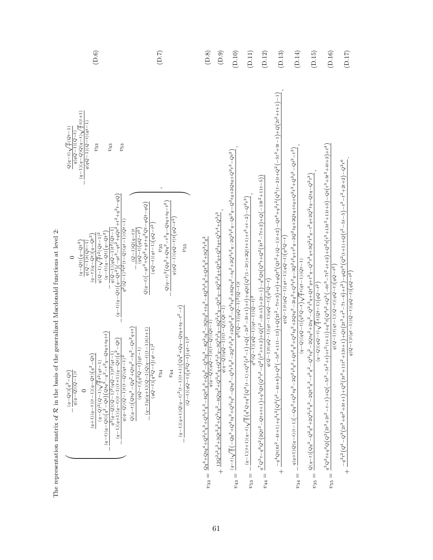| (D.6)                                                                                                                                                                                                                                                                                                                                                                                                                                                                                                                                                                                                                                                                                                                                                                                                                                                            | (D.7)                                                                                                                                                                                                                                                                                                                                                                                                                                                                                                                              | (D.8)                                                                                                                                                                                                                                                                       | $(\mathbb{D}.9)$                                                                                                                                                                            | $(D.10)$                               | $(D.11)$                                                                                                                                                                                                                                                                                                                                                                                                                             | $(D.12)$                                                                                                                                                                                               | $(D.13)$                                                                                                                                                                                                                                                                                                                                   | (D.14)                                                                                                                                                                                                                                                                                                                                                                                                                                               | $(D.15)$                                                                                                                                                                                                                                           | $(\mathrm{D}.16)$                                                                                                                                                                                                                                                                                                                                                                                          | $(D.17)$                                                                                                                                                                                                                                                                                             |
|------------------------------------------------------------------------------------------------------------------------------------------------------------------------------------------------------------------------------------------------------------------------------------------------------------------------------------------------------------------------------------------------------------------------------------------------------------------------------------------------------------------------------------------------------------------------------------------------------------------------------------------------------------------------------------------------------------------------------------------------------------------------------------------------------------------------------------------------------------------|------------------------------------------------------------------------------------------------------------------------------------------------------------------------------------------------------------------------------------------------------------------------------------------------------------------------------------------------------------------------------------------------------------------------------------------------------------------------------------------------------------------------------------|-----------------------------------------------------------------------------------------------------------------------------------------------------------------------------------------------------------------------------------------------------------------------------|---------------------------------------------------------------------------------------------------------------------------------------------------------------------------------------------|----------------------------------------|--------------------------------------------------------------------------------------------------------------------------------------------------------------------------------------------------------------------------------------------------------------------------------------------------------------------------------------------------------------------------------------------------------------------------------------|--------------------------------------------------------------------------------------------------------------------------------------------------------------------------------------------------------|--------------------------------------------------------------------------------------------------------------------------------------------------------------------------------------------------------------------------------------------------------------------------------------------------------------------------------------------|------------------------------------------------------------------------------------------------------------------------------------------------------------------------------------------------------------------------------------------------------------------------------------------------------------------------------------------------------------------------------------------------------------------------------------------------------|----------------------------------------------------------------------------------------------------------------------------------------------------------------------------------------------------------------------------------------------------|------------------------------------------------------------------------------------------------------------------------------------------------------------------------------------------------------------------------------------------------------------------------------------------------------------------------------------------------------------------------------------------------------------|------------------------------------------------------------------------------------------------------------------------------------------------------------------------------------------------------------------------------------------------------------------------------------------------------|
| $\frac{q}{4}t(t+1)$<br>$q(qQ-1)(Q-t)(qt-1)$<br>$Q(q-t)\sqrt{\frac{q}{t}}(Qt-1)$<br>$(q-1)(q-Q)Q(q-t)$<br>$q(qQ - 1)(Q - t)$<br>$v_{33}$<br>$v_{43}$<br>$v_{53}$<br>$\frac{-\frac{1}{q(Q-1)(qQ-1)t^2(Qt-1)}}{(-q+1)(q-1)(q^2-1)t^2(Qt-1)}$<br>$q^2 (Q-1)^2 t^2 (t-Q)(qt-1)(Qt-1)$<br>$(q-t)(q-Qt)\left( q-Qt^{2}\right)$<br>$q\left( Q-1\right) \sqrt{\frac{q}{t}}\,t^{2}\left( Q\,t-1\right) ^{2}$<br>$(q-t)(q-Qt)(q-Qt^2)$<br>$(q - Qt)(q - Qt^2)$<br>$q(Q-1)t(Qt-1)$<br>$(q-t)(q-Qt)\left(q^2-Qt\right)\left(\frac{q}{q^2}+q^3\right)+\left(\frac{q}{q}t^2\left(qt-1\right)\left(q^2-q^2\right)\right)$<br>$\frac{q^2\,(q-Q)(Q-1)^2\,(qQ-1)t^2\,(qt-1)}{(q-1)(q+1)(q-t)(t-1)(t+1)(q-Qt)\left(q^2-Qt\right)}$<br>$(q+1)(q-t)(t-1)(q-Qt)(q2-Qt)$<br>$q(q-Q)(Q-1)t(t-Q)(qt-1)^2$<br>$(q\!-\!Qt)\!\left(q^2\!-\!Qt\right)$<br>$\imath (q-Q)(Q-\imath)t$<br>$\circ$ | $Q(q-t)^2\Big(Qq^2+Qtq^2-t^2q-Qtq+tq-t^2\Big)$<br>$Q(q-t)(-qt^3+Qt^2+qt+q^2Qt-qQt-qQ)$<br>$q(qQ-1)(qQ-t)t(qQ-t^2)$<br>$(qQ-t)(qt-1)(qQ-t^2)$<br>$(Q-1)Q(q-t)t$<br>$\left( qQ\!-\!t\right) \left( qQ\!-\!t^{2}\right)$<br>$v_{55}$<br>$(Qq^2+Qq-qtq+t^2-t^2-t)$<br>$Q(q-t)\left(Qtq^3\!-\!Qq^2\!+\!Qtq^2\!-\!tq^2\!-\!Qt^2q\!+\!t\right)$<br>$(q-1)q(q+1)(Q-1)Q(q-t)(t-1)t(t+1)$<br>$(Q-t)(qQ-t)(q^2Q-t)(qt-1)^2$<br>$(qQ-t)(q^2Q-t)(qt-1)^2$<br>$(qQ-t)(q^2Q-t)(qt-1)$<br>$(q-1)(q+1)Q(q-t)^2(t-1)(t+1)$<br>$v_{34}$<br>$\,v_{44}$ | $v_{33}=\frac{Qq^4+Qtq^4+Q^2t^3q^3+Q^3t^2q^3-4Qt^2q^3+Qq^3+Q^2tq^3-4Q^2tq^3-3Qtq^3+tq^3-4Q^3t^2q^2+Qt^3q^2+3Q^3t^2q^2+Q^3t^2q^3}{q^2+Q^3t^2q^3+Q^3t^2q^3+Q^3t^2q^3+Q^2t^2q^2+Q^2t^2q^3+Q^3t^2q^2+Q^3t^2q^3+Q^2t^2q^2+Q^2t^2q^3+Q^2t^$<br>$\frac{1}{4(a-b)(b-1)(1-bb)(b-b)}$ | $+\frac{12 Q^2 t^2 q^2+3 Q t^2 q^2+Q^3 t q^2-4 Q t q^2+Q^3 t^4+Q^4 t q^3-3 Q^3 t^3-4 Q^2 t^2 q-Q t^2 q^2+Q^3 t^2 q+Q t^2 q^2+Q^2 t q+Q^3 t^4+Q^3 t^3}{q (q- Q) (q^2-1) t (t- Q) (Q t-1)}\\$ | $q^2(Q-1)(qQ-1)^2(Q-t)t$<br>$v_{43} =$ | $\frac{1}{2} \left( q^2 - (2 - 1 + 1 + 1)(2 + 1 + 1 + 2) \right)$ $\frac{1}{4} \left( q^2 + q^2 + q^2 \right)$ $\frac{1}{4} \left( 2 + 2 + 1 - q + 1 \right)$ $\frac{1}{4} \left( 2 + 2 + 1 - q + 1 \right)$ $\frac{1}{4} \left( q^2 + 1 + 1 - q + 1 \right)$ $\frac{1}{4} \left( q^2 + 1 + q^2 \right)$ $\frac{1}{4} \left( q^2 + q^2 \right)$ $\frac{1}{4} \left( q^2$<br>$q^2(Q-1)(qQ-1)(qt-1)(Q-t)^2$<br>$\parallel$<br>$v_{53}$ | $q^7Q^3t_{-}q^6Q^2t^2Qt^2-dt+t+1\bigl)+q^5Qt(t^3t^2+Q^4t^2+2t+1+3+2t+5\bigl)+2t+1+q^6Qt(t^2^3t+Q^2(3t^2-7t+2)+Q(t-13t^2+11t-5))\bigr)$<br>$q(Q-1)t(qQ-1)(qt-1)(qQ-t){\Large (q^{2}Q-t)}$<br>$v_{44} =$ | $+\frac{-q^4 Q t (6 t^2-4 t+1)+q^3 t^2 \left(Q^3 \left(t^2-4 t+6\right)+Q^2 \left(-5 t^2+11 t-13\right)+Q \left(2 t^2-7 t+3\right)+t\right)+q Q t^3 \left(Q t^2+ (Q-1) t+2\right)-Q t^4+q^2 t^2 \left(Q^3 (t-2) t+Q^2 \left(-5 t^2+3 t-1\right)+Q \left(2 t^2+11 t-1\right)-1\right)}{4 t^2 t^2}$<br>$q(Q-1)t(qQ-1)(qt-1)(qQ-t)(q^{2}Q-t)$ | $\frac{1}{2}g^2 + \frac{1}{2}g^2 + \frac{1}{2}g^2 + \frac{1}{2}g^2 + \frac{1}{2}g^2 + \frac{1}{2}g^2 + \frac{1}{2}g^2 + \frac{1}{2}g^2 + \frac{1}{2}g^2 + \frac{1}{2}g^2 + \frac{1}{2}g^2 + \frac{1}{2}g^2 + \frac{1}{2}g^2 + \frac{1}{2}g^2 + \frac{1}{2}g^2 + \frac{1}{2}g^2 + \frac{1}{2}g^2 + \frac{1}{2}g^2 + \frac{1}{2}g^2 + \frac{1}{2}g^2 +$<br>$\left( (1-t) (q-2) (q-2) (q^2-2) (q^2-1) (q^2-1) (q-1) \right)$<br>$\parallel$<br>$v_{34}$ | $Q(q-t)\Big( Q q^3-Q^2 q^2+2Q^2 t^2 q^2-2Q t^2 q^2-t^2 q^2-Q^2 t q^2-2Q t q^2+2 t q^2-Q^2 t^3+Q t^3 q+Q t^3 q-Q^2 t^2 q+3Q^2 t^2 q-t^2 q+2Q^2 t q-Q t q-Q^2 t^3\Big)$<br>$(q-Q)(qQ-t)\sqrt{\frac{q}{t}}t(Qt-1)(qQ-t^2)$<br>$\mid \mid$<br>$v_{35}$ | $q^5Q^2t + q^4Q(Q^2 + 5t^2 + 5t^2 + 5t^2 + 5t^2 + 6t^2 + 6t^2 + 6t^2 - 6t^2 - 6t^2 - 6t^2 - 6t^2 - 6t^2 - 6t^2 - 6t^2 - 6t^2 - 6t^2 - 6t^2 - 6t^2 - 6t^2 - 6t^2 - 6t^2 - 6t^2 - 6t^2 - 6t^2 - 6t^2 - 6t^2 - 6t^2 - 6t^2 - 6t^2 - 6t^2 - 6t^2 - 6t^2 - 6t^2 - 6t^2 -$<br>$q\left( Q-1\right) t\left( qt-1\right) \left( Q-t\right) \left( qQ-t\right) \left( qQ-t^{2}\right. \\$<br>$\parallel$<br>$v_{55}$ | $1t^2+13t+1)+Qt(2t^3+t^2-7t-6)+t^2)-qQt^4(Q^2(t+1)+Q(t^2-5t-5)-t^2+2t+2)-Q^2t^6$<br>$\label{eq:q} q\left(Q-1\right)t\left(qt-1\right)\left(Q-t\right)\left(qQ-t\right)\left(qQ-t^2\right)$<br>$+\frac{-q^2t^2\left( Q^4-Q^3\left(2t^3+4t^2+3t+1\right)+Q^2\left(3t^3+1\right)\right.}{4}\nonumber\\$ |

The representation matrix of The representation matrix of  $R$  in the basis of the generalized Macdonald functions at level  $2$ :  $\mathcal R$  in the basis of the generalized Macdonald functions at level 2: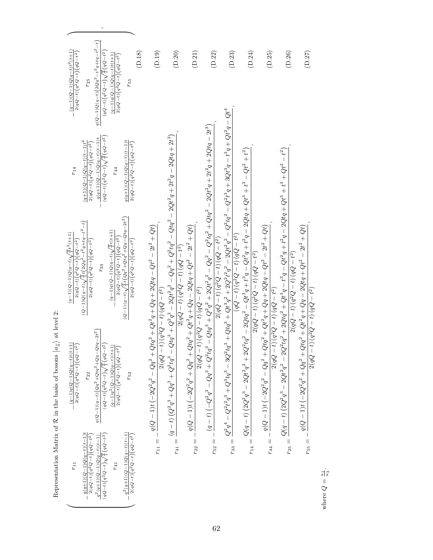| $q(Q-1)\,Q(q-t)\Bigl(2\,Q\,q^2-t^2\,q+t\,q-t^2-t\Bigr)$<br>$(q-1)(Q-1)Q(q-t)t^2(t+1)$<br>$(D.18)$<br>$2(qQ-t)(q^2Q-t)(qQ-t^2)$<br>$(qQ-t)\left( q^{2}Q-t\right) \sqrt{\frac{q}{t}}\left( qQ-t^{2}\right)$<br>$(q-1)q(Q-1)Q(q-t)t(t+1)$<br>$2(qQ-t)\left(q^2Q-t\right)\left(qQ-t^2\right)$<br>$r_{25}$<br>$r_{55}$                                                                                                                                                                                                                     | (D.19)<br>$(\mathrm{D.20})$                                                                                                                                                                                                       | $(\mathrm{D.21})$                                                                                                                                                      | $(\mathrm{D.22})$                                                                                                                                                | $(\mathrm{D.23})$                                                                                                                                                                                                                                                       | $(\mathrm{D.24})$                                                                                                         | $(\mathrm{D.25})$                                                                                                                                   | $(\mathrm{D.26})$                                                                                                | $(\mathrm{D.27})$                                                                                                      |
|---------------------------------------------------------------------------------------------------------------------------------------------------------------------------------------------------------------------------------------------------------------------------------------------------------------------------------------------------------------------------------------------------------------------------------------------------------------------------------------------------------------------------------------|-----------------------------------------------------------------------------------------------------------------------------------------------------------------------------------------------------------------------------------|------------------------------------------------------------------------------------------------------------------------------------------------------------------------|------------------------------------------------------------------------------------------------------------------------------------------------------------------|-------------------------------------------------------------------------------------------------------------------------------------------------------------------------------------------------------------------------------------------------------------------------|---------------------------------------------------------------------------------------------------------------------------|-----------------------------------------------------------------------------------------------------------------------------------------------------|------------------------------------------------------------------------------------------------------------------|------------------------------------------------------------------------------------------------------------------------|
| $(qQ-t)(q^2Q-t)\sqrt{\frac{q}{t}}\left(qQ-t^2\right)$<br>$q(q+1)(Q-1)Q(q-t)(t-1)t$<br>$(q+1)(Q-1)Q(q-t)(t-1)t^2$<br>$q(q+1)(Q-1)Q(q-t)(t-1)t$<br>$2(qQ-t)(q^2Q-t)(qQ-t^2)$<br>$2(qQ-t)(q^2Q-t)(qQ-t^2)$<br>$r_{14}$<br>$r_{44}$                                                                                                                                                                                                                                                                                                       |                                                                                                                                                                                                                                   |                                                                                                                                                                        |                                                                                                                                                                  |                                                                                                                                                                                                                                                                         |                                                                                                                           |                                                                                                                                                     |                                                                                                                  |                                                                                                                        |
| $(Q-1)(q-t)\sqrt{\tfrac{q}{t}}\,t\big(\,Q\big)q^2+Q\,t\bigq^2+Q\,q-\hat{Q}\,t\,q-2\,t^2\,\big)$<br>$(Q-1)\,Q\,(q-t)\,\sqrt{\frac{\dot{q}}{4}}\,t\,\big(\,2Q\,q^{\dot{2}}\,\dot{-}\,t^{\,2}\,q\,+\,t\dot{q}\,-\,t^{\,2}-t\,\big)$<br>$(q-1)q(Q-1)Q(q-t)(\frac{q}{4}t(t+1))$<br>$(q-1)(Q-1)Q(q-t)(\frac{q}{4}t^2(t+1))$<br>$\frac{2(qQ-t)(q^2Q-t)(qQ-t^2)}{q^2Q-t^2}$<br>$2(qQ-t)(q^2Q-t)(qQ-t^2)$<br>$2(qQ-t){\left( q^{2}Q-t\right) }{\left( qQ-t^{2}\right) }$<br>$2(qQ-t)\left( q^{2}Q-t\right) \left( qQ-t^{2}\right)$<br>$r_{33}$ | $-Q^4q^3+Q^2q^2-2Qt^2q^2-Qq^2+Q^2tq^2-Qtq^2-2Qt^2q+2t^2q-2Qtq+2t^3)$                                                                                                                                                              | $2 (qQ - t) (q^2Q - t) (qQ - t^2)$                                                                                                                                     | $r_{52}=-\frac{(q-t)\left(-Q^2q^3+Q^2tq^3+Q^2tq^3+Q^2q^2+2Qt^2q^2-Qq^2-Q^2tq^2+Qtq^2+Qtq^2-2Qt^2q+2t^2q+2Qtq-2t^3\right)}{q(tq-t)}$<br>$2(qQ-t)(q^2Q-t)(qQ-t^2)$ | $r_{33}=\frac{Q^2q^4-Q^2t^2q^3+Q^3tq^3-3Q^2tq^3+Qtq^3+Qt^3q^2+2Q^2t^2q^2-2Qt^2q^2-Q^2tq^2-Q^2t^3q+3Qt^3q+t^3q+Qt^2q-Qt^4q^2+Qt^2q^2+Qt^3q^2+Qt^2q^2+Qt^3q^2+Qt^2q^2+Qt^3q^2+Qt^2q^2+Qt^4q^2+Qt^2q^2+Qt^3q^2+Qt^2q^2+Qt^3q^2+Qt^2q^2+Qt^4q^$<br>$(qQ-t)(q^2Q-t)(qQ-t^2)$ | $2Q^2tq^2 - 2Qtq^2 - Qt^3q + t^3q - Qt^2q + t^2q - 2Qtq + Qt^3 + t^3 - Qt^2 + t^2)$<br>$2 (qQ - t) (q^2Q - t) (qQ - t^2)$ |                                                                                                                                                     | $2Q^2tq^2 + 2Qtq^2 + Qt^3q - t^3q - Qt^2q + t^2q - 2Qtq + Qt^3 + t^3 + Qt^2 - t^2)$<br>$2(qQ-t)(q^2Q-t)(qQ-t^2)$ |                                                                                                                        |
| $q\left( {Q - 1} \right)\left( {q - t} \right)\left( {Q{q^2} + Qt{q^2} + Q\,q - Qt\,q - 2{t^2}} \right)$<br>$(q-1)q(Q-1)Q(q-t)t(t+1)$<br>$(qQ-t)\left( q^{2}Q-t\right) \sqrt{\frac{q}{t}}\left( qQ-t^{2}\right)$<br>$2(qQ-t)\left(q^2Q-t\right)\left(qQ-t^2\right)$<br>$(q-1)q^2(Q-1)Q(q-t)(t+1)$<br>$2(qQ-t)\big(q^2Q-t\big)\big(qQ-t^2\big)$<br>$r_{22}$<br>$r_{52}$                                                                                                                                                                | $r_{11}=-\frac{q(Q-1)t \left(-2 Q^2 q^2 -Q q^2+Q t q^2+Q t^2 q+Q q+2 Q t q-Q t^2-2 t^2+Q t\right)}{r_{11}}$<br>$\sigma(t-t)(q^2Q-t)(qQ-t^2)$<br>2(qQ)<br>$r_{41}=\frac{(q-t)\left( Q^{2}q^{3}+Qq^{3}+Q^{2}tq^{3}\right. }{q^{2}}$ | $q(Q-1)t ( -2 Q^2 q^2 + Q q^2 + Q t q^2 + Q t^2 q + Q q - 2 Q t q + Q t^2 - 2 t^2 + Q t)$<br>$\left( -t\right) \left( q^{2}Q-t\right) \left( qQ-t^{2}\right)$<br>2(qQ) |                                                                                                                                                                  |                                                                                                                                                                                                                                                                         | $r_{14} = \frac{Q(q-t)\left(2Q^2q^3-2Qt^2q^2+ \right.}{$                                                                  | $q(Q-1)t \left( -2 Q^2 q^2 - Q q^2 + Q t q^2 + Q t^2 q + Q q + 2 Q t q - Q t^2 - 2 t^2 + Q t \right)$<br>$(4^2 - t)(q^2 Q - t)(q Q - t^2)$<br>2(qQ) | $Q(q-t)\left(2Q^{2}q^{3}-2Qt^{2}q^{2}-\right.$                                                                   | $\label{eq:q} q(Q-1)t\left(-2Q^2q^2+Qq^2+Qtq^2+Qt^2+Q^2+2Qtq+Qt^2-2t^2+Qt\right)$<br>$2(a) - t$ $(a2) - t$ $(a) - t^2$ |
| $\hspace{6cm} - \frac{q^2(q+1)(Q-1)Q(q-t)(t-1)}{t}$<br>$q(q+1)(Q-1)Q(q-t)(t-1)t$<br>$\left(qQ-t\right)\left(q^2Q-t\right)\sqrt{\frac{q}{t}}\left(qQ-t^2\right)$<br>$2(qQ-t)(q^2Q-t)(qQ-t^2)$<br>$2(qQ-t)\left(q^2Q-t\right)\left(qQ-t^2\right)$<br>$q^2(q+1)(Q-1)Q(q-t)(t-1)$<br>$r_{11}$<br>$r_{41}$                                                                                                                                                                                                                                 |                                                                                                                                                                                                                                   | $r_{22} =$                                                                                                                                                             |                                                                                                                                                                  |                                                                                                                                                                                                                                                                         |                                                                                                                           | $r_{44} = -$                                                                                                                                        | $r_{25} =$                                                                                                       | $r_{55} =$                                                                                                             |

Representation Matrix of *R* $\mathcal R$  in the basis of bosons  $|a_{\vec{\lambda}}\rangle$  $\rangle$  at level 2:

╭

 $\overline{\phantom{a}}$ *,*

> where *Q*.<br>تا 2

2(*qQ*

 *t*) (*q* 2*<sup>Q</sup>*

*t*) (*qQ*

*<sup>t</sup>* 2)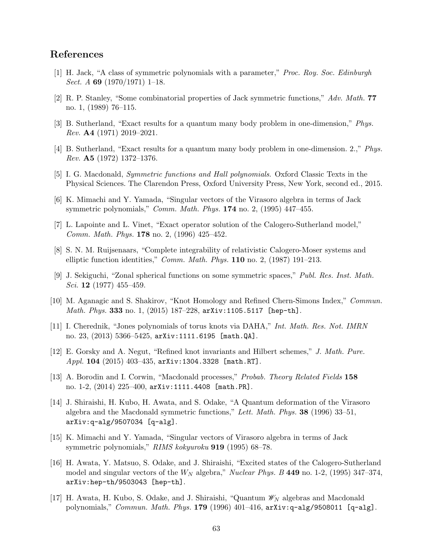# **References**

- [1] H. Jack, "A class of symmetric polynomials with a parameter," *Proc. Roy. Soc. Edinburgh Sect. A* **69** (1970/1971) 1–18.
- [2] R. P. Stanley, "Some combinatorial properties of Jack symmetric functions," *Adv. Math.* **77** no. 1, (1989) 76–115.
- [3] B. Sutherland, "Exact results for a quantum many body problem in one-dimension," *Phys. Rev.* **A4** (1971) 2019–2021.
- [4] B. Sutherland, "Exact results for a quantum many body problem in one-dimension. 2.," *Phys. Rev.* **A5** (1972) 1372–1376.
- [5] I. G. Macdonald, *Symmetric functions and Hall polynomials*. Oxford Classic Texts in the Physical Sciences. The Clarendon Press, Oxford University Press, New York, second ed., 2015.
- [6] K. Mimachi and Y. Yamada, "Singular vectors of the Virasoro algebra in terms of Jack symmetric polynomials," *Comm. Math. Phys.* **174** no. 2, (1995) 447–455.
- [7] L. Lapointe and L. Vinet, "Exact operator solution of the Calogero-Sutherland model," *Comm. Math. Phys.* **178** no. 2, (1996) 425–452.
- [8] S. N. M. Ruijsenaars, "Complete integrability of relativistic Calogero-Moser systems and elliptic function identities," *Comm. Math. Phys.* **110** no. 2, (1987) 191–213.
- [9] J. Sekiguchi, "Zonal spherical functions on some symmetric spaces," *Publ. Res. Inst. Math. Sci.* **12** (1977) 455–459.
- [10] M. Aganagic and S. Shakirov, "Knot Homology and Refined Chern-Simons Index," *Commun. Math. Phys.* **333** no. 1, (2015) 187–228, arXiv:1105.5117 [hep-th].
- [11] I. Cherednik, "Jones polynomials of torus knots via DAHA," *Int. Math. Res. Not. IMRN* no. 23, (2013) 5366–5425, arXiv:1111.6195 [math.QA].
- [12] E. Gorsky and A. Negut, "Refined knot invariants and Hilbert schemes," *J. Math. Pure. Appl.* **104** (2015) 403–435, arXiv:1304.3328 [math.RT].
- [13] A. Borodin and I. Corwin, "Macdonald processes," *Probab. Theory Related Fields* **158** no. 1-2, (2014) 225–400, arXiv:1111.4408 [math.PR].
- [14] J. Shiraishi, H. Kubo, H. Awata, and S. Odake, "A Quantum deformation of the Virasoro algebra and the Macdonald symmetric functions," *Lett. Math. Phys.* **38** (1996) 33–51, arXiv:q-alg/9507034 [q-alg].
- [15] K. Mimachi and Y. Yamada, "Singular vectors of Virasoro algebra in terms of Jack symmetric polynomials," *RIMS kokyuroku* **919** (1995) 68–78.
- [16] H. Awata, Y. Matsuo, S. Odake, and J. Shiraishi, "Excited states of the Calogero-Sutherland model and singular vectors of the *W<sup>N</sup>* algebra," *Nuclear Phys. B* **449** no. 1-2, (1995) 347–374, arXiv:hep-th/9503043 [hep-th].
- [17] H. Awata, H. Kubo, S. Odake, and J. Shiraishi, "Quantum *W<sup>N</sup>* algebras and Macdonald polynomials," *Commun. Math. Phys.* **179** (1996) 401–416, arXiv:q-alg/9508011 [q-alg].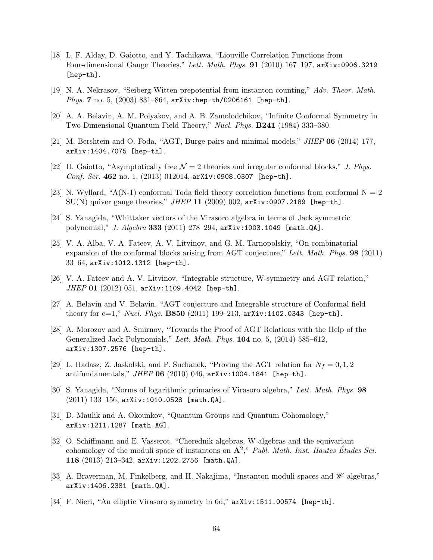- [18] L. F. Alday, D. Gaiotto, and Y. Tachikawa, "Liouville Correlation Functions from Four-dimensional Gauge Theories," *Lett. Math. Phys.* **91** (2010) 167–197, arXiv:0906.3219 [hep-th].
- [19] N. A. Nekrasov, "Seiberg-Witten prepotential from instanton counting," *Adv. Theor. Math. Phys.* **7** no. 5, (2003) 831–864, arXiv:hep-th/0206161 [hep-th].
- [20] A. A. Belavin, A. M. Polyakov, and A. B. Zamolodchikov, "Infinite Conformal Symmetry in Two-Dimensional Quantum Field Theory," *Nucl. Phys.* **B241** (1984) 333–380.
- [21] M. Bershtein and O. Foda, "AGT, Burge pairs and minimal models," *JHEP* **06** (2014) 177, arXiv:1404.7075 [hep-th].
- [22] D. Gaiotto, "Asymptotically free  $\mathcal{N}=2$  theories and irregular conformal blocks," *J. Phys. Conf. Ser.* **462** no. 1, (2013) 012014, arXiv:0908.0307 [hep-th].
- [23] N. Wyllard, "A(N-1) conformal Toda field theory correlation functions from conformal  $N = 2$ SU(N) quiver gauge theories," *JHEP* **11** (2009) 002, arXiv:0907.2189 [hep-th].
- [24] S. Yanagida, "Whittaker vectors of the Virasoro algebra in terms of Jack symmetric polynomial," *J. Algebra* **333** (2011) 278–294, arXiv:1003.1049 [math.QA].
- [25] V. A. Alba, V. A. Fateev, A. V. Litvinov, and G. M. Tarnopolskiy, "On combinatorial expansion of the conformal blocks arising from AGT conjecture," *Lett. Math. Phys.* **98** (2011) 33–64, arXiv:1012.1312 [hep-th].
- [26] V. A. Fateev and A. V. Litvinov, "Integrable structure, W-symmetry and AGT relation," *JHEP* **01** (2012) 051, arXiv:1109.4042 [hep-th].
- [27] A. Belavin and V. Belavin, "AGT conjecture and Integrable structure of Conformal field theory for c=1," *Nucl. Phys.* **B850** (2011) 199–213, arXiv:1102.0343 [hep-th].
- [28] A. Morozov and A. Smirnov, "Towards the Proof of AGT Relations with the Help of the Generalized Jack Polynomials," *Lett. Math. Phys.* **104** no. 5, (2014) 585–612, arXiv:1307.2576 [hep-th].
- [29] L. Hadasz, Z. Jaskolski, and P. Suchanek, "Proving the AGT relation for  $N_f = 0, 1, 2$ antifundamentals," *JHEP* **06** (2010) 046, arXiv:1004.1841 [hep-th].
- [30] S. Yanagida, "Norms of logarithmic primaries of Virasoro algebra," *Lett. Math. Phys.* **98** (2011) 133–156, arXiv:1010.0528 [math.QA].
- [31] D. Maulik and A. Okounkov, "Quantum Groups and Quantum Cohomology," arXiv:1211.1287 [math.AG].
- [32] O. Schiffmann and E. Vasserot, "Cherednik algebras, W-algebras and the equivariant cohomology of the moduli space of instantons on  $\mathbf{A}^2$ ," *Publ. Math. Inst. Hautes Études Sci.* **118** (2013) 213–342, arXiv:1202.2756 [math.QA].
- [33] A. Braverman, M. Finkelberg, and H. Nakajima, "Instanton moduli spaces and *W* -algebras," arXiv:1406.2381 [math.QA].
- [34] F. Nieri, "An elliptic Virasoro symmetry in 6d," arXiv:1511.00574 [hep-th].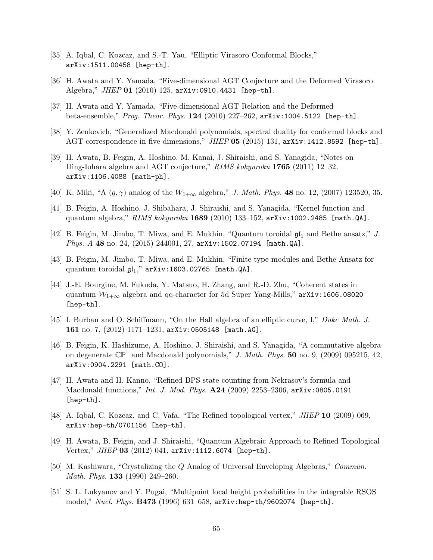- [35] A. Iqbal, C. Kozcaz, and S.-T. Yau, "Elliptic Virasoro Conformal Blocks," arXiv:1511.00458 [hep-th].
- [36] H. Awata and Y. Yamada, "Five-dimensional AGT Conjecture and the Deformed Virasoro Algebra," *JHEP* **01** (2010) 125, arXiv:0910.4431 [hep-th].
- [37] H. Awata and Y. Yamada, "Five-dimensional AGT Relation and the Deformed beta-ensemble," *Prog. Theor. Phys.* **124** (2010) 227–262, arXiv:1004.5122 [hep-th].
- [38] Y. Zenkevich, "Generalized Macdonald polynomials, spectral duality for conformal blocks and AGT correspondence in five dimensions," *JHEP* **05** (2015) 131, arXiv:1412.8592 [hep-th].
- [39] H. Awata, B. Feigin, A. Hoshino, M. Kanai, J. Shiraishi, and S. Yanagida, "Notes on Ding-Iohara algebra and AGT conjecture," *RIMS kokyuroku* **1765** (2011) 12–32, arXiv:1106.4088 [math-ph].
- [40] K. Miki, "A (*q, γ*) analog of the *W*1+*<sup>∞</sup>* algebra," *J. Math. Phys.* **48** no. 12, (2007) 123520, 35.
- [41] B. Feigin, A. Hoshino, J. Shibahara, J. Shiraishi, and S. Yanagida, "Kernel function and quantum algebra," *RIMS kokyuroku* **1689** (2010) 133–152, arXiv:1002.2485 [math.QA].
- [42] B. Feigin, M. Jimbo, T. Miwa, and E. Mukhin, "Quantum toroidal  $\mathfrak{gl}_1$  and Bethe ansatz," *J. Phys. A* **48** no. 24, (2015) 244001, 27, arXiv:1502.07194 [math.QA].
- [43] B. Feigin, M. Jimbo, T. Miwa, and E. Mukhin, "Finite type modules and Bethe Ansatz for quantum toroidal  $\mathfrak{gl}_1$ ,"  $arXiv:1603.02765$  [math.QA].
- [44] J.-E. Bourgine, M. Fukuda, Y. Matsuo, H. Zhang, and R.-D. Zhu, "Coherent states in quantum  $W_{1+\infty}$  algebra and qq-character for 5d Super Yang-Mills," arXiv:1606.08020 [hep-th].
- [45] I. Burban and O. Schiffmann, "On the Hall algebra of an elliptic curve, I," *Duke Math. J.* **161** no. 7, (2012) 1171–1231, arXiv:0505148 [math.AG].
- [46] B. Feigin, K. Hashizume, A. Hoshino, J. Shiraishi, and S. Yanagida, "A commutative algebra on degenerate  $\mathbb{CP}^1$  and Macdonald polynomials," *J. Math. Phys.* **50** no. 9, (2009) 095215, 42, arXiv:0904.2291 [math.CO].
- [47] H. Awata and H. Kanno, "Refined BPS state counting from Nekrasov's formula and Macdonald functions," *Int. J. Mod. Phys.* **A24** (2009) 2253–2306, arXiv:0805.0191 [hep-th].
- [48] A. Iqbal, C. Kozcaz, and C. Vafa, "The Refined topological vertex," *JHEP* **10** (2009) 069, arXiv:hep-th/0701156 [hep-th].
- [49] H. Awata, B. Feigin, and J. Shiraishi, "Quantum Algebraic Approach to Refined Topological Vertex," *JHEP* **03** (2012) 041, arXiv:1112.6074 [hep-th].
- [50] M. Kashiwara, "Crystalizing the *Q* Analog of Universal Enveloping Algebras," *Commun. Math. Phys.* **133** (1990) 249–260.
- [51] S. L. Lukyanov and Y. Pugai, "Multipoint local height probabilities in the integrable RSOS model," *Nucl. Phys.* **B473** (1996) 631–658, arXiv:hep-th/9602074 [hep-th].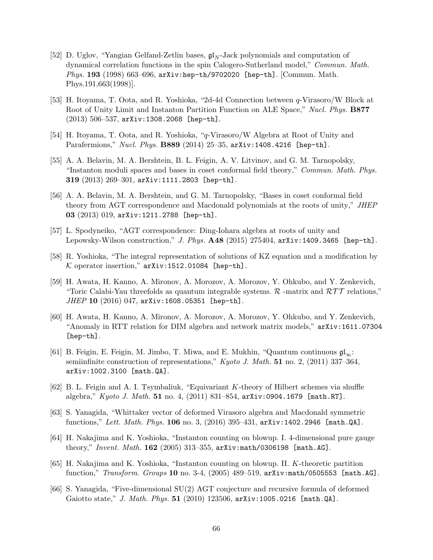- [52] D. Uglov, "Yangian Gelfand-Zetlin bases, gl*<sup>N</sup>* -Jack polynomials and computation of dynamical correlation functions in the spin Calogero-Sutherland model," *Commun. Math. Phys.* **193** (1998) 663–696, arXiv:hep-th/9702020 [hep-th]. [Commun. Math. Phys.191,663(1998)].
- [53] H. Itoyama, T. Oota, and R. Yoshioka, "2d-4d Connection between *q*-Virasoro/W Block at Root of Unity Limit and Instanton Partition Function on ALE Space," *Nucl. Phys.* **B877**  $(2013)$  506-537, arXiv:1308.2068 [hep-th].
- [54] H. Itoyama, T. Oota, and R. Yoshioka, "*q*-Virasoro/W Algebra at Root of Unity and Parafermions," *Nucl. Phys.* **B889** (2014) 25–35, arXiv:1408.4216 [hep-th].
- [55] A. A. Belavin, M. A. Bershtein, B. L. Feigin, A. V. Litvinov, and G. M. Tarnopolsky, "Instanton moduli spaces and bases in coset conformal field theory," *Commun. Math. Phys.* **319** (2013) 269–301, arXiv:1111.2803 [hep-th].
- [56] A. A. Belavin, M. A. Bershtein, and G. M. Tarnopolsky, "Bases in coset conformal field theory from AGT correspondence and Macdonald polynomials at the roots of unity," *JHEP* **03** (2013) 019, arXiv:1211.2788 [hep-th].
- [57] L. Spodyneiko, "AGT correspondence: Ding-Iohara algebra at roots of unity and Lepowsky-Wilson construction," *J. Phys.* **A48** (2015) 275404, arXiv:1409.3465 [hep-th].
- [58] R. Yoshioka, "The integral representation of solutions of KZ equation and a modification by  $K$  operator insertion,"  $arXiv:1512.01084$  [hep-th].
- [59] H. Awata, H. Kanno, A. Mironov, A. Morozov, A. Morozov, Y. Ohkubo, and Y. Zenkevich, "Toric Calabi-Yau threefolds as quantum integrable systems. *R* -matrix and *RT T* relations," *JHEP* **10** (2016) 047, arXiv:1608.05351 [hep-th].
- [60] H. Awata, H. Kanno, A. Mironov, A. Morozov, A. Morozov, Y. Ohkubo, and Y. Zenkevich, "Anomaly in RTT relation for DIM algebra and network matrix models," arXiv:1611.07304 [hep-th].
- [61] B. Feigin, E. Feigin, M. Jimbo, T. Miwa, and E. Mukhin, "Quantum continuous gl*∞*: semiinfinite construction of representations," *Kyoto J. Math.* **51** no. 2, (2011) 337–364, arXiv:1002.3100 [math.QA].
- [62] B. L. Feigin and A. I. Tsymbaliuk, "Equivariant *K*-theory of Hilbert schemes via shuffle algebra," *Kyoto J. Math.* **51** no. 4, (2011) 831–854, arXiv:0904.1679 [math.RT].
- [63] S. Yanagida, "Whittaker vector of deformed Virasoro algebra and Macdonald symmetric functions," *Lett. Math. Phys.* **106** no. 3, (2016) 395–431, arXiv:1402.2946 [math.QA].
- [64] H. Nakajima and K. Yoshioka, "Instanton counting on blowup. I. 4-dimensional pure gauge theory," *Invent. Math.* **162** (2005) 313–355, arXiv:math/0306198 [math.AG].
- [65] H. Nakajima and K. Yoshioka, "Instanton counting on blowup. II. *K*-theoretic partition function," *Transform. Groups* **10** no. 3-4, (2005) 489–519, arXiv:math/0505553 [math.AG].
- [66] S. Yanagida, "Five-dimensional SU(2) AGT conjecture and recursive formula of deformed Gaiotto state," *J. Math. Phys.* **51** (2010) 123506, arXiv:1005.0216 [math.QA].